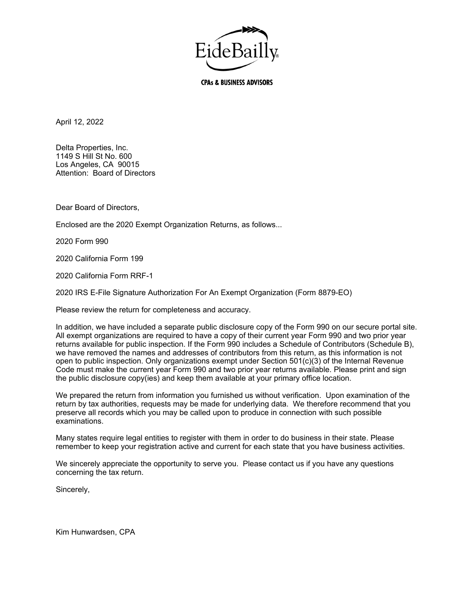

**CPAs & BUSINESS ADVISORS** 

April 12, 2022

Delta Properties, Inc. 1149 S Hill St No. 600 Los Angeles, CA 90015 Attention: Board of Directors

Dear Board of Directors,

Enclosed are the 2020 Exempt Organization Returns, as follows...

2020 Form 990

2020 California Form 199

2020 California Form RRF-1

2020 IRS E-File Signature Authorization For An Exempt Organization (Form 8879-EO)

Please review the return for completeness and accuracy.

In addition, we have included a separate public disclosure copy of the Form 990 on our secure portal site. All exempt organizations are required to have a copy of their current year Form 990 and two prior year returns available for public inspection. If the Form 990 includes a Schedule of Contributors (Schedule B), we have removed the names and addresses of contributors from this return, as this information is not open to public inspection. Only organizations exempt under Section 501(c)(3) of the Internal Revenue Code must make the current year Form 990 and two prior year returns available. Please print and sign the public disclosure copy(ies) and keep them available at your primary office location.

We prepared the return from information you furnished us without verification. Upon examination of the return by tax authorities, requests may be made for underlying data. We therefore recommend that you preserve all records which you may be called upon to produce in connection with such possible examinations.

Many states require legal entities to register with them in order to do business in their state. Please remember to keep your registration active and current for each state that you have business activities.

We sincerely appreciate the opportunity to serve you. Please contact us if you have any questions concerning the tax return.

Sincerely,

Kim Hunwardsen, CPA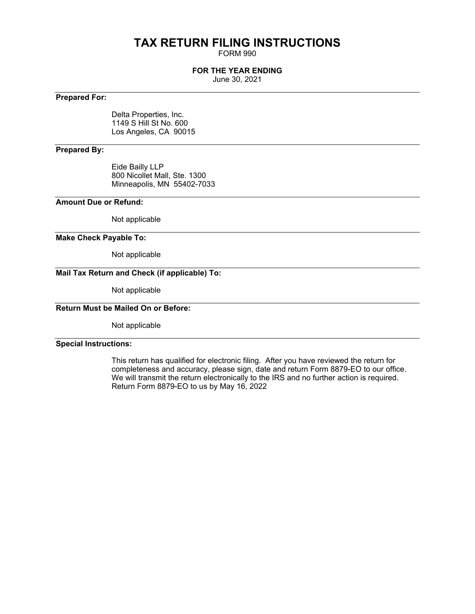# **TAX RETURN FILING INSTRUCTIONS**

FORM 990

#### **FOR THE YEAR ENDING**

June 30, 2021

#### **Prepared For:**

Delta Properties, Inc. 1149 S Hill St No. 600 Los Angeles, CA 90015

#### **Prepared By:**

Eide Bailly LLP 800 Nicollet Mall, Ste. 1300 Minneapolis, MN 55402-7033

#### **Amount Due or Refund:**

Not applicable

#### **Make Check Payable To:**

Not applicable

### **Mail Tax Return and Check (if applicable) To:**

Not applicable

#### **Return Must be Mailed On or Before:**

Not applicable

#### **Special Instructions:**

This return has qualified for electronic filing. After you have reviewed the return for completeness and accuracy, please sign, date and return Form 8879-EO to our office. We will transmit the return electronically to the IRS and no further action is required. Return Form 8879-EO to us by May 16, 2022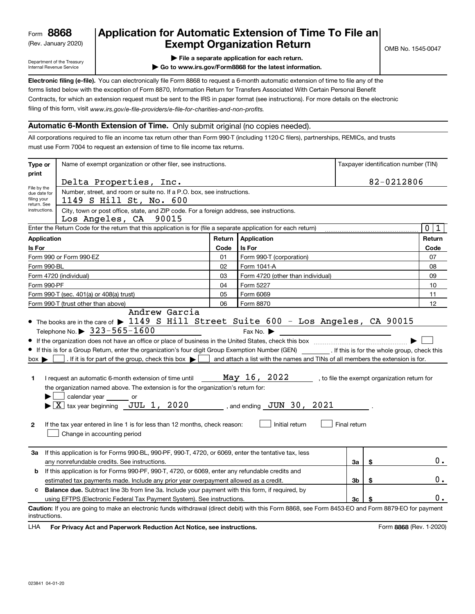(Rev. January 2020)

## **Application for Automatic Extension of Time To File an Exempt Organization Return**

Department of the Treasury Internal Revenue Service

- **| File a separate application for each return.**
- **| Go to www.irs.gov/Form8868 for the latest information.**

**Electronic filing (e-file).**  You can electronically file Form 8868 to request a 6-month automatic extension of time to file any of the filing of this form, visit www.irs.gov/e-file-providers/e-file-for-charities-and-non-profits. forms listed below with the exception of Form 8870, Information Return for Transfers Associated With Certain Personal Benefit Contracts, for which an extension request must be sent to the IRS in paper format (see instructions). For more details on the electronic

#### **Automatic 6-Month Extension of Time.** Only submit original (no copies needed).

All corporations required to file an income tax return other than Form 990-T (including 1120-C filers), partnerships, REMICs, and trusts must use Form 7004 to request an extension of time to file income tax returns.

| Type or                                                   | Name of exempt organization or other filer, see instructions.                                                                                                                                                                                                                                                                                                                                                                                                                                                                                                                                                                                                                                                                                                                                                                                                                       |                                                                                                                                                                     |                                   |    | Taxpayer identification number (TIN) |        |  |  |
|-----------------------------------------------------------|-------------------------------------------------------------------------------------------------------------------------------------------------------------------------------------------------------------------------------------------------------------------------------------------------------------------------------------------------------------------------------------------------------------------------------------------------------------------------------------------------------------------------------------------------------------------------------------------------------------------------------------------------------------------------------------------------------------------------------------------------------------------------------------------------------------------------------------------------------------------------------------|---------------------------------------------------------------------------------------------------------------------------------------------------------------------|-----------------------------------|----|--------------------------------------|--------|--|--|
| print                                                     | Delta Properties, Inc.                                                                                                                                                                                                                                                                                                                                                                                                                                                                                                                                                                                                                                                                                                                                                                                                                                                              |                                                                                                                                                                     |                                   |    | 82-0212806                           |        |  |  |
| File by the<br>due date for<br>filing your<br>return. See | Number, street, and room or suite no. If a P.O. box, see instructions.<br>1149 S Hill St, No. 600                                                                                                                                                                                                                                                                                                                                                                                                                                                                                                                                                                                                                                                                                                                                                                                   |                                                                                                                                                                     |                                   |    |                                      |        |  |  |
| instructions.                                             | City, town or post office, state, and ZIP code. For a foreign address, see instructions.<br>Los Angeles, CA 90015                                                                                                                                                                                                                                                                                                                                                                                                                                                                                                                                                                                                                                                                                                                                                                   |                                                                                                                                                                     |                                   |    |                                      |        |  |  |
|                                                           | Enter the Return Code for the return that this application is for (file a separate application for each return)                                                                                                                                                                                                                                                                                                                                                                                                                                                                                                                                                                                                                                                                                                                                                                     |                                                                                                                                                                     |                                   |    |                                      | 0 1    |  |  |
| <b>Application</b>                                        |                                                                                                                                                                                                                                                                                                                                                                                                                                                                                                                                                                                                                                                                                                                                                                                                                                                                                     |                                                                                                                                                                     | Return Application                |    |                                      | Return |  |  |
| Is For                                                    |                                                                                                                                                                                                                                                                                                                                                                                                                                                                                                                                                                                                                                                                                                                                                                                                                                                                                     | Code                                                                                                                                                                | Is For                            |    |                                      | Code   |  |  |
|                                                           | Form 990 or Form 990-EZ                                                                                                                                                                                                                                                                                                                                                                                                                                                                                                                                                                                                                                                                                                                                                                                                                                                             | 01                                                                                                                                                                  | Form 990-T (corporation)          |    |                                      | 07     |  |  |
| Form 990-BL                                               |                                                                                                                                                                                                                                                                                                                                                                                                                                                                                                                                                                                                                                                                                                                                                                                                                                                                                     | 02                                                                                                                                                                  | Form 1041-A                       |    |                                      | 08     |  |  |
|                                                           | Form 4720 (individual)                                                                                                                                                                                                                                                                                                                                                                                                                                                                                                                                                                                                                                                                                                                                                                                                                                                              | 03                                                                                                                                                                  | Form 4720 (other than individual) |    |                                      | 09     |  |  |
| Form 990-PF                                               |                                                                                                                                                                                                                                                                                                                                                                                                                                                                                                                                                                                                                                                                                                                                                                                                                                                                                     | 04                                                                                                                                                                  | Form 5227                         |    |                                      | 10     |  |  |
|                                                           | Form 990-T (sec. 401(a) or 408(a) trust)                                                                                                                                                                                                                                                                                                                                                                                                                                                                                                                                                                                                                                                                                                                                                                                                                                            | 05                                                                                                                                                                  | Form 6069                         |    |                                      | 11     |  |  |
|                                                           | Form 990-T (trust other than above)                                                                                                                                                                                                                                                                                                                                                                                                                                                                                                                                                                                                                                                                                                                                                                                                                                                 | 06                                                                                                                                                                  | Form 8870                         |    |                                      | 12     |  |  |
| $box \blacktriangleright$<br>1.<br>$\mathbf{2}$           | Telephone No. $\triangleright$ 323-565-1600<br>If this is for a Group Return, enter the organization's four digit Group Exemption Number (GEN) [67] If this is for the whole group, check this<br>. If it is for part of the group, check this box $\blacktriangleright$ [<br>and attach a list with the names and TINs of all members the extension is for.<br>May 16, 2022<br>, to file the exempt organization return for<br>I request an automatic 6-month extension of time until<br>the organization named above. The extension is for the organization's return for:<br>calendar year<br>or<br>$\blacktriangleright$ $\boxed{\text{X}}$ tax year beginning JUL 1, 2020<br>$\frac{1}{2}$ , and ending $\frac{JUN}{30}$ , 2021<br>Initial return<br>Final return<br>If the tax year entered in line 1 is for less than 12 months, check reason:<br>Change in accounting period |                                                                                                                                                                     |                                   |    |                                      |        |  |  |
| За                                                        | If this application is for Forms 990-BL, 990-PF, 990-T, 4720, or 6069, enter the tentative tax, less<br>any nonrefundable credits. See instructions.                                                                                                                                                                                                                                                                                                                                                                                                                                                                                                                                                                                                                                                                                                                                |                                                                                                                                                                     |                                   | За | \$                                   | О.     |  |  |
| b                                                         | If this application is for Forms 990-PF, 990-T, 4720, or 6069, enter any refundable credits and                                                                                                                                                                                                                                                                                                                                                                                                                                                                                                                                                                                                                                                                                                                                                                                     |                                                                                                                                                                     |                                   |    |                                      |        |  |  |
|                                                           | estimated tax payments made. Include any prior year overpayment allowed as a credit.                                                                                                                                                                                                                                                                                                                                                                                                                                                                                                                                                                                                                                                                                                                                                                                                |                                                                                                                                                                     |                                   | 3b | \$                                   | 0.     |  |  |
|                                                           | c Balance due. Subtract line 3b from line 3a. Include your payment with this form, if required, by                                                                                                                                                                                                                                                                                                                                                                                                                                                                                                                                                                                                                                                                                                                                                                                  |                                                                                                                                                                     |                                   |    |                                      |        |  |  |
|                                                           | using EFTPS (Electronic Federal Tax Payment System). See instructions.                                                                                                                                                                                                                                                                                                                                                                                                                                                                                                                                                                                                                                                                                                                                                                                                              |                                                                                                                                                                     |                                   | 3c |                                      | υ.     |  |  |
|                                                           |                                                                                                                                                                                                                                                                                                                                                                                                                                                                                                                                                                                                                                                                                                                                                                                                                                                                                     | Caution: If you are going to make an electronic funds withdrawal (direct debit) with this Form 8868, see Form 8453-EO and Form 8879-EO for payment<br>instructions. |                                   |    |                                      |        |  |  |

**HA** For Privacy Act and Paperwork Reduction Act Notice, see instructions. **But a struction of the Constantion Constant** Form 8868 (Rev. 1-2020) LHA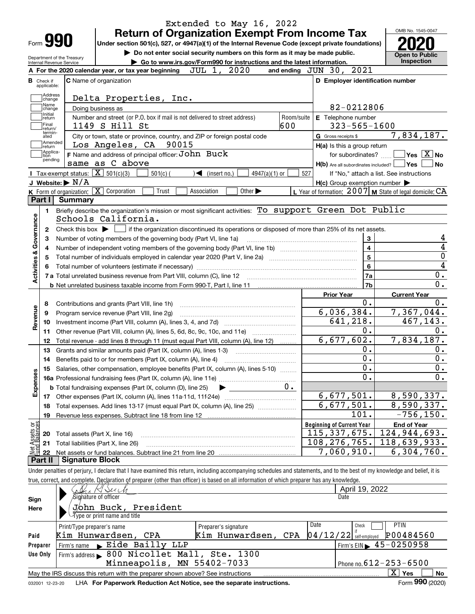|                         |                                                        | Extended to May 16, 2022<br><b>Return of Organization Exempt From Income Tax</b>                                                                                           |                                                             | OMB No. 1545-0047                                                                                                                      |
|-------------------------|--------------------------------------------------------|----------------------------------------------------------------------------------------------------------------------------------------------------------------------------|-------------------------------------------------------------|----------------------------------------------------------------------------------------------------------------------------------------|
|                         | Form <b>990</b>                                        | Under section 501(c), 527, or 4947(a)(1) of the Internal Revenue Code (except private foundations)                                                                         |                                                             |                                                                                                                                        |
|                         |                                                        | Do not enter social security numbers on this form as it may be made public.                                                                                                |                                                             | <b>Open to Public</b>                                                                                                                  |
|                         | Department of the Treasury<br>Internal Revenue Service | Go to www.irs.gov/Form990 for instructions and the latest information.                                                                                                     |                                                             | Inspection                                                                                                                             |
|                         |                                                        | JUL 1, 2020<br>A For the 2020 calendar year, or tax year beginning                                                                                                         | 2021<br>and ending $JUN$ 30,                                |                                                                                                                                        |
| <b>B</b> Check if       | applicable:                                            | <b>C</b> Name of organization                                                                                                                                              | D Employer identification number                            |                                                                                                                                        |
|                         | Address<br>change<br>Name                              | Delta Properties, Inc.                                                                                                                                                     |                                                             |                                                                                                                                        |
|                         | change<br>  Initial                                    | Doing business as                                                                                                                                                          | 82-0212806                                                  |                                                                                                                                        |
|                         | return<br>Final<br>return/                             | Number and street (or P.O. box if mail is not delivered to street address)<br>Room/suite<br>600<br>1149 S Hill St                                                          | E Telephone number<br>$323 - 565 - 1600$                    |                                                                                                                                        |
|                         | termin-<br>ated<br>Amended<br> return                  | City or town, state or province, country, and ZIP or foreign postal code<br>Los Angeles, CA 90015                                                                          | G Gross receipts \$<br>H(a) Is this a group return          | 7,834,187.                                                                                                                             |
|                         | Applica-<br>tion<br>pending                            | F Name and address of principal officer: John Buck                                                                                                                         | for subordinates?                                           | $\sqrt{}$ Yes $\sqrt{X}$ No                                                                                                            |
|                         |                                                        | same as C above                                                                                                                                                            | $H(b)$ Are all subordinates included? $\Box$                | Yes!<br><b>No</b>                                                                                                                      |
|                         |                                                        | Tax-exempt status: $\boxed{\mathbf{X}}$ 501(c)(3)<br>4947(a)(1) or<br>$501(c)$ (<br>$\sqrt{\frac{1}{1}}$ (insert no.)                                                      | 527                                                         | If "No," attach a list. See instructions                                                                                               |
|                         | J Website: $\blacktriangleright$ N/A                   |                                                                                                                                                                            | $H(c)$ Group exemption number $\blacktriangleright$         |                                                                                                                                        |
|                         |                                                        | K Form of organization: X Corporation<br>Other $\blacktriangleright$<br>Trust<br>Association                                                                               | L Year of formation: $2007$ M State of legal domicile: $CA$ |                                                                                                                                        |
| Part I                  | <b>Summary</b>                                         |                                                                                                                                                                            |                                                             |                                                                                                                                        |
|                         | 1.                                                     | Briefly describe the organization's mission or most significant activities: To support Green Dot Public                                                                    |                                                             |                                                                                                                                        |
| Governance              |                                                        | Schools California.                                                                                                                                                        |                                                             |                                                                                                                                        |
|                         | 2                                                      | Check this box $\blacktriangleright$ $\blacksquare$ if the organization discontinued its operations or disposed of more than 25% of its net assets.                        |                                                             |                                                                                                                                        |
|                         | 3                                                      | Number of voting members of the governing body (Part VI, line 1a)                                                                                                          | 3                                                           |                                                                                                                                        |
|                         | 4                                                      |                                                                                                                                                                            | $\overline{4}$                                              | $\overline{4}$                                                                                                                         |
|                         | 5                                                      |                                                                                                                                                                            | 5                                                           | $\overline{0}$                                                                                                                         |
|                         | 6                                                      |                                                                                                                                                                            | 6                                                           | 4                                                                                                                                      |
| <b>Activities &amp;</b> |                                                        |                                                                                                                                                                            | 7a                                                          | $0$ .                                                                                                                                  |
|                         |                                                        |                                                                                                                                                                            | 7b                                                          | 0.                                                                                                                                     |
|                         |                                                        |                                                                                                                                                                            | <b>Prior Year</b>                                           | <b>Current Year</b>                                                                                                                    |
|                         | 8                                                      | Contributions and grants (Part VIII, line 1h)                                                                                                                              | 0.                                                          | 0.                                                                                                                                     |
|                         | 9                                                      | Program service revenue (Part VIII, line 2g)                                                                                                                               | 6,036,384.                                                  | 7,367,044.                                                                                                                             |
| Revenue                 | 10                                                     |                                                                                                                                                                            | 641,218.                                                    | 467,143.                                                                                                                               |
|                         | 11                                                     | Other revenue (Part VIII, column (A), lines 5, 6d, 8c, 9c, 10c, and 11e)                                                                                                   | 0.                                                          | 0.                                                                                                                                     |
|                         | 12                                                     | Total revenue - add lines 8 through 11 (must equal Part VIII, column (A), line 12)                                                                                         | 6,677,602.                                                  | 7,834,187.                                                                                                                             |
|                         |                                                        |                                                                                                                                                                            | 0.                                                          | 0.                                                                                                                                     |
|                         | 13                                                     | Grants and similar amounts paid (Part IX, column (A), lines 1-3)                                                                                                           | 0.                                                          | 0.                                                                                                                                     |
|                         | 14                                                     | Benefits paid to or for members (Part IX, column (A), line 4)                                                                                                              |                                                             |                                                                                                                                        |
|                         | 15                                                     | Salaries, other compensation, employee benefits (Part IX, column (A), lines 5-10)                                                                                          | $0 \cdot$<br>0.                                             | $0 \cdot$<br>0.                                                                                                                        |
|                         |                                                        |                                                                                                                                                                            |                                                             |                                                                                                                                        |
| Expenses                |                                                        | $0$ .<br><b>b</b> Total fundraising expenses (Part IX, column (D), line 25)                                                                                                |                                                             |                                                                                                                                        |
|                         | 17                                                     |                                                                                                                                                                            | 6,677,501.                                                  | 8,590,337.                                                                                                                             |
|                         | 18                                                     | Total expenses. Add lines 13-17 (must equal Part IX, column (A), line 25) [                                                                                                | 6,677,501.                                                  | 8,590,337.                                                                                                                             |
|                         | 19                                                     |                                                                                                                                                                            | 101.                                                        | $-756, 150.$                                                                                                                           |
|                         |                                                        |                                                                                                                                                                            | <b>Beginning of Current Year</b>                            | <b>End of Year</b>                                                                                                                     |
| Assets or<br>d Balances | 20                                                     | Total assets (Part X, line 16)                                                                                                                                             | 115,337,675.                                                | 124,944,693.                                                                                                                           |
|                         | 21                                                     | Total liabilities (Part X, line 26)                                                                                                                                        | 108, 276, 765.                                              | 118,639,933.                                                                                                                           |
|                         | 22                                                     |                                                                                                                                                                            | 7,060,910.                                                  | 6,304,760.                                                                                                                             |
| Part II                 |                                                        | <b>Signature Block</b>                                                                                                                                                     |                                                             |                                                                                                                                        |
|                         |                                                        | Under penalties of perjury, I declare that I have examined this return, including accompanying schedules and statements, and to the best of my knowledge and belief, it is |                                                             |                                                                                                                                        |
|                         |                                                        | true, correct, and complete. Declaration of preparer (other than officer) is based on all information of which preparer has any knowledge.                                 |                                                             |                                                                                                                                        |
|                         |                                                        |                                                                                                                                                                            | April 19, 2022                                              |                                                                                                                                        |
| Sign                    |                                                        | Sighature of officer                                                                                                                                                       | Date                                                        |                                                                                                                                        |
|                         |                                                        | John Buck, President                                                                                                                                                       |                                                             |                                                                                                                                        |
| Here                    |                                                        | ∕iype or print name and title                                                                                                                                              |                                                             |                                                                                                                                        |
|                         |                                                        |                                                                                                                                                                            | Date<br>Check                                               | <b>PTIN</b>                                                                                                                            |
|                         | $TT - T$                                               | Print/Type preparer's name<br>Preparer's signature<br>$TT - 1$<br>$\sim$ n $\overline{ }$<br>$\alpha$ na                                                                   | if<br>0.1110100                                             | $\overline{D}$ $\overline{D}$ $\overline{D}$ $\overline{A}$ $\overline{D}$ $\overline{A}$ $\overline{E}$ $\overline{C}$ $\overline{D}$ |

|          | Print/Type preparer's name                                                                        | Preparer s signature                           | ---- | <b>PHOPH</b><br>.                                 |  |  |  |  |
|----------|---------------------------------------------------------------------------------------------------|------------------------------------------------|------|---------------------------------------------------|--|--|--|--|
| Paid     | Kim Hunwardsen, CPA                                                                               | Kim Hunwardsen, CPA $ 04/12/22 $ self-employed |      | P00484560                                         |  |  |  |  |
| Preparer | Firm's name Eide Bailly LLP                                                                       |                                                |      | $1$ Firm's EIN $\blacktriangleright$ 45 - 0250958 |  |  |  |  |
| Use Only | Firm's address 600 Nicollet Mall, Ste. 1300                                                       |                                                |      |                                                   |  |  |  |  |
|          | Minneapolis, MN 55402-7033                                                                        |                                                |      | I Phone no. $612 - 253 - 6500$                    |  |  |  |  |
|          | Yes<br>No<br>May the IRS discuss this return with the preparer shown above? See instructions<br>A |                                                |      |                                                   |  |  |  |  |
|          |                                                                                                   |                                                |      | $\mathbf{a} \mathbf{a} \mathbf{b}$                |  |  |  |  |

032001 12-23-20 LHA **For Paperwork Reduction Act Notice, see the separate instructions.** Form 990 (2020)

**990**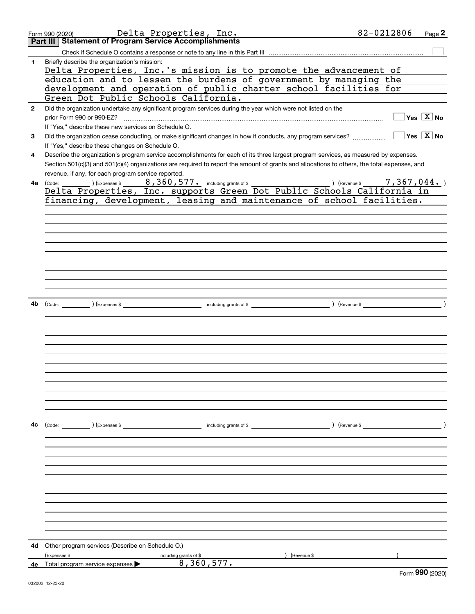| 4a | Delta Properties, Inc. supports Green Dot Public Schools California in                                                             |                             |
|----|------------------------------------------------------------------------------------------------------------------------------------|-----------------------------|
|    | financing, development, leasing and maintenance of school facilities.                                                              |                             |
|    |                                                                                                                                    |                             |
|    |                                                                                                                                    |                             |
|    |                                                                                                                                    |                             |
|    |                                                                                                                                    |                             |
|    |                                                                                                                                    |                             |
|    |                                                                                                                                    |                             |
| 4b |                                                                                                                                    |                             |
|    |                                                                                                                                    |                             |
|    |                                                                                                                                    |                             |
|    |                                                                                                                                    |                             |
|    |                                                                                                                                    |                             |
|    |                                                                                                                                    |                             |
|    |                                                                                                                                    |                             |
|    |                                                                                                                                    |                             |
|    |                                                                                                                                    |                             |
| 4с | ) (Revenue \$<br>$\text{(Code:}$ $)$ $\text{(Expenses $}$                                                                          |                             |
|    |                                                                                                                                    |                             |
|    |                                                                                                                                    |                             |
|    |                                                                                                                                    |                             |
|    |                                                                                                                                    |                             |
|    |                                                                                                                                    |                             |
|    |                                                                                                                                    |                             |
|    |                                                                                                                                    |                             |
|    |                                                                                                                                    |                             |
| 4d | Other program services (Describe on Schedule O.)                                                                                   |                             |
|    | (Expenses \$<br>) (Revenue \$<br>including grants of \$<br>8, 360, 577.<br>4e Total program service expenses $\blacktriangleright$ |                             |
|    |                                                                                                                                    | $F_{\text{arm}}$ 990 (2020) |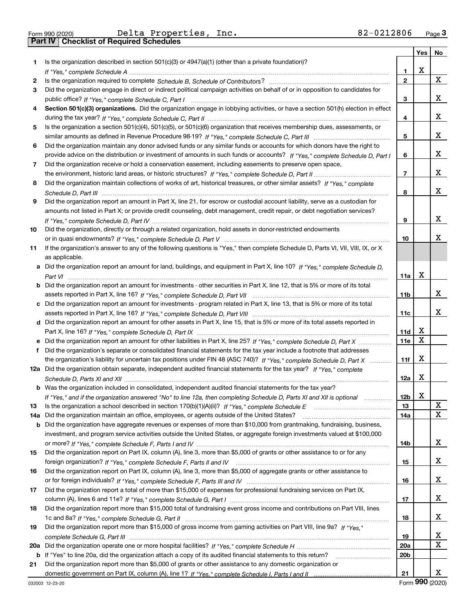|  | Form 990 (2020) |
|--|-----------------|

Form 990 (2020) Page **3Part IV Checklist of Required Schedules** Delta Properties, Inc. 82-0212806

|     |                                                                                                                                                                                                                                                   |                 | Yes | No |
|-----|---------------------------------------------------------------------------------------------------------------------------------------------------------------------------------------------------------------------------------------------------|-----------------|-----|----|
| 1   | Is the organization described in section $501(c)(3)$ or $4947(a)(1)$ (other than a private foundation)?                                                                                                                                           |                 |     |    |
|     |                                                                                                                                                                                                                                                   | 1               | х   |    |
| 2   |                                                                                                                                                                                                                                                   | $\mathbf{2}$    |     | X  |
| 3   | Did the organization engage in direct or indirect political campaign activities on behalf of or in opposition to candidates for                                                                                                                   |                 |     |    |
|     |                                                                                                                                                                                                                                                   | 3               |     | x  |
| 4   | Section 501(c)(3) organizations. Did the organization engage in lobbying activities, or have a section 501(h) election in effect                                                                                                                  |                 |     |    |
|     |                                                                                                                                                                                                                                                   | 4               |     | x  |
| 5   | Is the organization a section 501(c)(4), 501(c)(5), or 501(c)(6) organization that receives membership dues, assessments, or                                                                                                                      |                 |     |    |
|     |                                                                                                                                                                                                                                                   | 5               |     | x  |
| 6   | Did the organization maintain any donor advised funds or any similar funds or accounts for which donors have the right to                                                                                                                         |                 |     |    |
|     | provide advice on the distribution or investment of amounts in such funds or accounts? If "Yes," complete Schedule D, Part I                                                                                                                      | 6               |     | X. |
| 7   | Did the organization receive or hold a conservation easement, including easements to preserve open space,                                                                                                                                         |                 |     |    |
|     |                                                                                                                                                                                                                                                   | $\overline{7}$  |     | x  |
| 8   | Did the organization maintain collections of works of art, historical treasures, or other similar assets? If "Yes," complete                                                                                                                      |                 |     |    |
|     |                                                                                                                                                                                                                                                   | 8               |     | X. |
| 9   | Did the organization report an amount in Part X, line 21, for escrow or custodial account liability, serve as a custodian for                                                                                                                     |                 |     |    |
|     | amounts not listed in Part X; or provide credit counseling, debt management, credit repair, or debt negotiation services?                                                                                                                         |                 |     |    |
|     |                                                                                                                                                                                                                                                   | 9               |     | x  |
| 10  | Did the organization, directly or through a related organization, hold assets in donor-restricted endowments                                                                                                                                      |                 |     |    |
|     |                                                                                                                                                                                                                                                   | 10              |     | x  |
| 11  | If the organization's answer to any of the following questions is "Yes," then complete Schedule D, Parts VI, VII, VIII, IX, or X                                                                                                                  |                 |     |    |
|     | as applicable.                                                                                                                                                                                                                                    |                 |     |    |
|     | a Did the organization report an amount for land, buildings, and equipment in Part X, line 10? If "Yes," complete Schedule D,                                                                                                                     |                 |     |    |
|     |                                                                                                                                                                                                                                                   | 11a             | х   |    |
|     | <b>b</b> Did the organization report an amount for investments - other securities in Part X, line 12, that is 5% or more of its total                                                                                                             |                 |     |    |
|     |                                                                                                                                                                                                                                                   | 11 <sub>b</sub> |     | x  |
|     | c Did the organization report an amount for investments - program related in Part X, line 13, that is 5% or more of its total                                                                                                                     |                 |     |    |
|     |                                                                                                                                                                                                                                                   | 11c             |     | x  |
|     | d Did the organization report an amount for other assets in Part X, line 15, that is 5% or more of its total assets reported in                                                                                                                   |                 | x   |    |
|     |                                                                                                                                                                                                                                                   | 11d             | x   |    |
|     | e Did the organization report an amount for other liabilities in Part X, line 25? If "Yes," complete Schedule D, Part X                                                                                                                           | 11e             |     |    |
| f   | Did the organization's separate or consolidated financial statements for the tax year include a footnote that addresses                                                                                                                           |                 | x   |    |
|     | the organization's liability for uncertain tax positions under FIN 48 (ASC 740)? If "Yes," complete Schedule D, Part X<br>12a Did the organization obtain separate, independent audited financial statements for the tax year? If "Yes," complete | 11f             |     |    |
|     |                                                                                                                                                                                                                                                   | 12a             | X   |    |
|     | <b>b</b> Was the organization included in consolidated, independent audited financial statements for the tax year?                                                                                                                                |                 |     |    |
|     | If "Yes," and if the organization answered "No" to line 12a, then completing Schedule D, Parts XI and XII is optional                                                                                                                             | 12 <sub>b</sub> | Χ   |    |
| 13  | Is the organization a school described in section $170(b)(1)(A)(ii)?$ If "Yes," complete Schedule E                                                                                                                                               | 13              |     | X  |
| 14a | Did the organization maintain an office, employees, or agents outside of the United States?                                                                                                                                                       | 14a             |     | х  |
| b   | Did the organization have aggregate revenues or expenses of more than \$10,000 from grantmaking, fundraising, business,                                                                                                                           |                 |     |    |
|     | investment, and program service activities outside the United States, or aggregate foreign investments valued at \$100,000                                                                                                                        |                 |     |    |
|     |                                                                                                                                                                                                                                                   | 14b             |     | x  |
| 15  | Did the organization report on Part IX, column (A), line 3, more than \$5,000 of grants or other assistance to or for any                                                                                                                         |                 |     |    |
|     |                                                                                                                                                                                                                                                   | 15              |     | x  |
| 16  | Did the organization report on Part IX, column (A), line 3, more than \$5,000 of aggregate grants or other assistance to                                                                                                                          |                 |     |    |
|     |                                                                                                                                                                                                                                                   | 16              |     | x  |
| 17  | Did the organization report a total of more than \$15,000 of expenses for professional fundraising services on Part IX,                                                                                                                           |                 |     |    |
|     |                                                                                                                                                                                                                                                   | 17              |     | X  |
| 18  | Did the organization report more than \$15,000 total of fundraising event gross income and contributions on Part VIII, lines                                                                                                                      |                 |     |    |
|     |                                                                                                                                                                                                                                                   | 18              |     | x  |
| 19  | Did the organization report more than \$15,000 of gross income from gaming activities on Part VIII, line 9a? If "Yes."                                                                                                                            |                 |     |    |
|     |                                                                                                                                                                                                                                                   | 19              |     | x  |
| 20a |                                                                                                                                                                                                                                                   | 20a             |     | X  |
|     | b If "Yes" to line 20a, did the organization attach a copy of its audited financial statements to this return?                                                                                                                                    | 20 <sub>b</sub> |     |    |
| 21  | Did the organization report more than \$5,000 of grants or other assistance to any domestic organization or                                                                                                                                       |                 |     |    |
|     |                                                                                                                                                                                                                                                   | 21              |     | x  |

Form (2020) **990**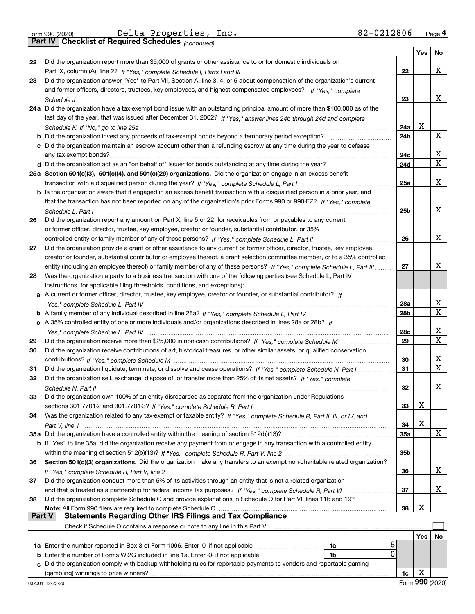|  | Form 990 (2020) |
|--|-----------------|
|  |                 |

*(continued)*

|               |                                                                                                                                                                                                   |                 | Yes | No |
|---------------|---------------------------------------------------------------------------------------------------------------------------------------------------------------------------------------------------|-----------------|-----|----|
| 22            | Did the organization report more than \$5,000 of grants or other assistance to or for domestic individuals on                                                                                     |                 |     |    |
|               |                                                                                                                                                                                                   | 22              |     | x  |
| 23            | Did the organization answer "Yes" to Part VII, Section A, line 3, 4, or 5 about compensation of the organization's current                                                                        |                 |     |    |
|               | and former officers, directors, trustees, key employees, and highest compensated employees? If "Yes," complete                                                                                    |                 |     |    |
|               | Schedule J                                                                                                                                                                                        | 23              |     | х  |
|               | 24a Did the organization have a tax-exempt bond issue with an outstanding principal amount of more than \$100,000 as of the                                                                       |                 |     |    |
|               | last day of the year, that was issued after December 31, 2002? If "Yes," answer lines 24b through 24d and complete                                                                                |                 | х   |    |
|               | <b>b</b> Did the organization invest any proceeds of tax-exempt bonds beyond a temporary period exception?                                                                                        | 24a<br>24b      |     | x  |
|               | c Did the organization maintain an escrow account other than a refunding escrow at any time during the year to defease                                                                            |                 |     |    |
|               | any tax-exempt bonds?                                                                                                                                                                             | 24c             |     | х  |
|               |                                                                                                                                                                                                   | 24d             |     | X  |
|               | 25a Section 501(c)(3), 501(c)(4), and 501(c)(29) organizations. Did the organization engage in an excess benefit                                                                                  |                 |     |    |
|               |                                                                                                                                                                                                   | 25a             |     | х  |
|               | b Is the organization aware that it engaged in an excess benefit transaction with a disqualified person in a prior year, and                                                                      |                 |     |    |
|               | that the transaction has not been reported on any of the organization's prior Forms 990 or 990-EZ? If "Yes," complete                                                                             |                 |     |    |
|               | Schedule L, Part I                                                                                                                                                                                | 25 <sub>b</sub> |     | х  |
| 26            | Did the organization report any amount on Part X, line 5 or 22, for receivables from or payables to any current                                                                                   |                 |     |    |
|               | or former officer, director, trustee, key employee, creator or founder, substantial contributor, or 35%                                                                                           |                 |     |    |
|               | controlled entity or family member of any of these persons? If "Yes," complete Schedule L, Part II                                                                                                | 26              |     | х  |
| 27            | Did the organization provide a grant or other assistance to any current or former officer, director, trustee, key employee,                                                                       |                 |     |    |
|               | creator or founder, substantial contributor or employee thereof, a grant selection committee member, or to a 35% controlled                                                                       |                 |     |    |
|               | entity (including an employee thereof) or family member of any of these persons? If "Yes," complete Schedule L, Part III                                                                          | 27              |     | х  |
| 28            | Was the organization a party to a business transaction with one of the following parties (see Schedule L, Part IV<br>instructions, for applicable filing thresholds, conditions, and exceptions): |                 |     |    |
|               | a A current or former officer, director, trustee, key employee, creator or founder, or substantial contributor? If                                                                                |                 |     |    |
|               |                                                                                                                                                                                                   | 28a             |     | х  |
|               |                                                                                                                                                                                                   | 28 <sub>b</sub> |     | X  |
|               | c A 35% controlled entity of one or more individuals and/or organizations described in lines 28a or 28b? If                                                                                       |                 |     |    |
|               |                                                                                                                                                                                                   | 28c             |     | х  |
| 29            |                                                                                                                                                                                                   | 29              |     | X  |
| 30            | Did the organization receive contributions of art, historical treasures, or other similar assets, or qualified conservation                                                                       |                 |     |    |
|               |                                                                                                                                                                                                   | 30              |     | х  |
| 31            | Did the organization liquidate, terminate, or dissolve and cease operations? If "Yes," complete Schedule N, Part I                                                                                | 31              |     | X  |
| 32            | Did the organization sell, exchange, dispose of, or transfer more than 25% of its net assets? If "Yes," complete                                                                                  |                 |     |    |
|               | Schedule N. Part II                                                                                                                                                                               | 32              |     | x  |
|               | Did the organization own 100% of an entity disregarded as separate from the organization under Regulations                                                                                        |                 |     |    |
|               |                                                                                                                                                                                                   | 33              | х   |    |
| 34            | Was the organization related to any tax-exempt or taxable entity? If "Yes," complete Schedule R, Part II, III, or IV, and                                                                         | 34              | х   |    |
|               | 35a Did the organization have a controlled entity within the meaning of section 512(b)(13)?                                                                                                       | 35a             |     | X  |
|               | <b>b</b> If "Yes" to line 35a, did the organization receive any payment from or engage in any transaction with a controlled entity                                                                |                 |     |    |
|               |                                                                                                                                                                                                   | 35 <sub>b</sub> |     |    |
| 36            | Section 501(c)(3) organizations. Did the organization make any transfers to an exempt non-charitable related organization?                                                                        |                 |     |    |
|               |                                                                                                                                                                                                   | 36              |     | x  |
| 37            | Did the organization conduct more than 5% of its activities through an entity that is not a related organization                                                                                  |                 |     |    |
|               |                                                                                                                                                                                                   | 37              |     | x  |
| 38            | Did the organization complete Schedule O and provide explanations in Schedule O for Part VI, lines 11b and 19?                                                                                    |                 |     |    |
|               | Note: All Form 990 filers are required to complete Schedule O                                                                                                                                     | 38              | х   |    |
| <b>Part V</b> | <b>Statements Regarding Other IRS Filings and Tax Compliance</b>                                                                                                                                  |                 |     |    |
|               | Check if Schedule O contains a response or note to any line in this Part V                                                                                                                        |                 |     |    |
|               | 8                                                                                                                                                                                                 |                 | Yes | No |
|               | 1a<br>0<br><b>b</b> Enter the number of Forms W-2G included in line 1a. Enter -0- if not applicable<br>1b                                                                                         |                 |     |    |
|               | c Did the organization comply with backup withholding rules for reportable payments to vendors and reportable gaming                                                                              |                 |     |    |
|               |                                                                                                                                                                                                   | 1c              | х   |    |
|               |                                                                                                                                                                                                   |                 |     |    |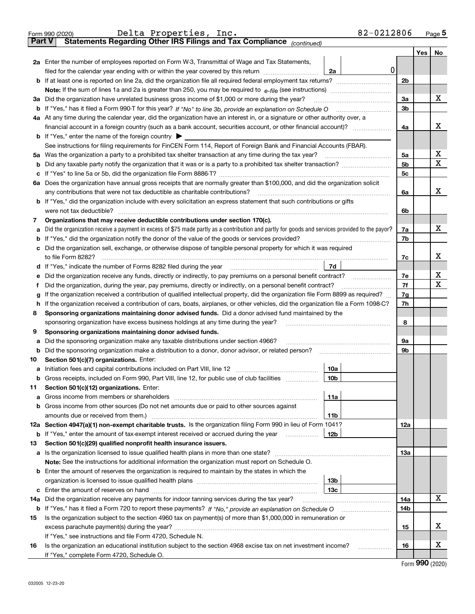|               | Delta Properties, Inc.<br>Form 990 (2020)                                                                                                                                                                                             | 82-0212806     |     | Page 5 |
|---------------|---------------------------------------------------------------------------------------------------------------------------------------------------------------------------------------------------------------------------------------|----------------|-----|--------|
| <b>Part V</b> | Statements Regarding Other IRS Filings and Tax Compliance (continued)                                                                                                                                                                 |                |     |        |
|               |                                                                                                                                                                                                                                       |                | Yes | No     |
|               | 2a Enter the number of employees reported on Form W-3, Transmittal of Wage and Tax Statements,                                                                                                                                        |                |     |        |
|               | filed for the calendar year ending with or within the year covered by this return<br>2a                                                                                                                                               | 0              |     |        |
|               |                                                                                                                                                                                                                                       | 2 <sub>b</sub> |     |        |
|               |                                                                                                                                                                                                                                       |                |     |        |
|               | 3a Did the organization have unrelated business gross income of \$1,000 or more during the year?                                                                                                                                      | 3a             |     | x      |
|               |                                                                                                                                                                                                                                       | 3 <sub>b</sub> |     |        |
|               | 4a At any time during the calendar year, did the organization have an interest in, or a signature or other authority over, a                                                                                                          |                |     |        |
|               |                                                                                                                                                                                                                                       | 4a             |     | x      |
|               | <b>b</b> If "Yes," enter the name of the foreign country $\blacktriangleright$                                                                                                                                                        |                |     |        |
|               | See instructions for filing requirements for FinCEN Form 114, Report of Foreign Bank and Financial Accounts (FBAR).                                                                                                                   |                |     |        |
| 5a            | Was the organization a party to a prohibited tax shelter transaction at any time during the tax year?                                                                                                                                 | 5a             |     | Х      |
| b             |                                                                                                                                                                                                                                       | 5 <sub>b</sub> |     | х      |
| с             |                                                                                                                                                                                                                                       | 5c             |     |        |
|               | 6a Does the organization have annual gross receipts that are normally greater than \$100,000, and did the organization solicit                                                                                                        |                |     |        |
|               |                                                                                                                                                                                                                                       | 6a             |     | x      |
|               | <b>b</b> If "Yes," did the organization include with every solicitation an express statement that such contributions or gifts                                                                                                         |                |     |        |
|               | were not tax deductible?                                                                                                                                                                                                              | 6b             |     |        |
| 7             | Organizations that may receive deductible contributions under section 170(c).                                                                                                                                                         |                |     |        |
| а             | Did the organization receive a payment in excess of \$75 made partly as a contribution and partly for goods and services provided to the payor?                                                                                       | 7a             |     | x      |
| b             | If "Yes," did the organization notify the donor of the value of the goods or services provided?                                                                                                                                       | 7b             |     |        |
| с             | Did the organization sell, exchange, or otherwise dispose of tangible personal property for which it was required                                                                                                                     |                |     |        |
|               |                                                                                                                                                                                                                                       | 7c             |     | x      |
| d             | 7d                                                                                                                                                                                                                                    |                |     |        |
| е             | Did the organization receive any funds, directly or indirectly, to pay premiums on a personal benefit contract?                                                                                                                       | 7е             |     | х      |
| f             | Did the organization, during the year, pay premiums, directly or indirectly, on a personal benefit contract?                                                                                                                          | 7f             |     | x      |
| g             | If the organization received a contribution of qualified intellectual property, did the organization file Form 8899 as required?                                                                                                      | 7g             |     |        |
| h             | If the organization received a contribution of cars, boats, airplanes, or other vehicles, did the organization file a Form 1098-C?                                                                                                    | 7h             |     |        |
| 8             | Sponsoring organizations maintaining donor advised funds. Did a donor advised fund maintained by the                                                                                                                                  |                |     |        |
|               | sponsoring organization have excess business holdings at any time during the year?                                                                                                                                                    | 8              |     |        |
| 9             | Sponsoring organizations maintaining donor advised funds.                                                                                                                                                                             |                |     |        |
| а             | Did the sponsoring organization make any taxable distributions under section 4966?                                                                                                                                                    | 9а             |     |        |
| b             |                                                                                                                                                                                                                                       | 9b             |     |        |
| 10            | Section 501(c)(7) organizations. Enter:                                                                                                                                                                                               |                |     |        |
|               | 10a<br>a Initiation fees and capital contributions included on Part VIII, line 12 [111] [11] [12] [11] [12] [11] [12] [11] [12] [11] [12] [11] [12] [11] [12] [11] [12] [11] [12] [11] [12] [11] [12] [11] [12] [11] [12] [11] [12] [ |                |     |        |
|               | 10 <sub>b</sub><br>Gross receipts, included on Form 990, Part VIII, line 12, for public use of club facilities                                                                                                                        |                |     |        |
| 11            | Section 501(c)(12) organizations. Enter:                                                                                                                                                                                              |                |     |        |
| а             | 11a                                                                                                                                                                                                                                   |                |     |        |
| b             | Gross income from other sources (Do not net amounts due or paid to other sources against                                                                                                                                              |                |     |        |
|               | 11b                                                                                                                                                                                                                                   |                |     |        |
|               | 12a Section 4947(a)(1) non-exempt charitable trusts. Is the organization filing Form 990 in lieu of Form 1041?                                                                                                                        | 12a            |     |        |
|               | 12b<br><b>b</b> If "Yes," enter the amount of tax-exempt interest received or accrued during the year                                                                                                                                 |                |     |        |
| 13            | Section 501(c)(29) qualified nonprofit health insurance issuers.                                                                                                                                                                      |                |     |        |
| а             | Is the organization licensed to issue qualified health plans in more than one state?                                                                                                                                                  | 13а            |     |        |
|               | Note: See the instructions for additional information the organization must report on Schedule O.                                                                                                                                     |                |     |        |
|               | <b>b</b> Enter the amount of reserves the organization is required to maintain by the states in which the                                                                                                                             |                |     |        |
|               | 13b                                                                                                                                                                                                                                   |                |     |        |
|               | 13с                                                                                                                                                                                                                                   |                |     |        |
| 14a           | Did the organization receive any payments for indoor tanning services during the tax year?                                                                                                                                            | 14a            |     | x      |
|               | <b>b</b> If "Yes," has it filed a Form 720 to report these payments? If "No," provide an explanation on Schedule O                                                                                                                    | 14b            |     |        |
| 15            | Is the organization subject to the section 4960 tax on payment(s) of more than \$1,000,000 in remuneration or                                                                                                                         |                |     |        |
|               |                                                                                                                                                                                                                                       | 15             |     | х      |
|               | If "Yes," see instructions and file Form 4720, Schedule N.                                                                                                                                                                            |                |     |        |
| 16            | Is the organization an educational institution subject to the section 4968 excise tax on net investment income?                                                                                                                       | 16             |     | х      |
|               | If "Yes," complete Form 4720, Schedule O.                                                                                                                                                                                             |                |     |        |
|               |                                                                                                                                                                                                                                       |                | ^^^ |        |

Form (2020) **990**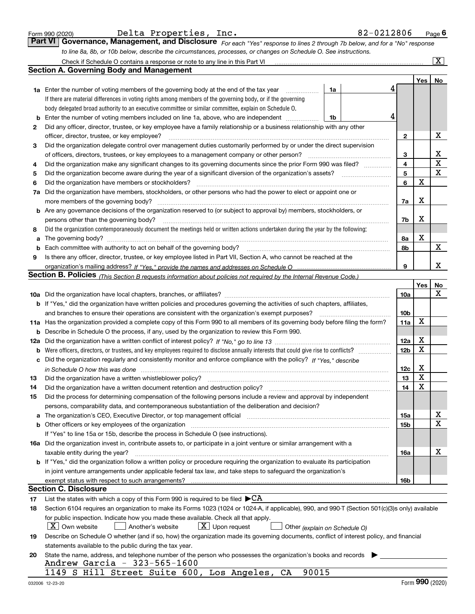|  | Form 990 (2020) |
|--|-----------------|
|  |                 |

| Delta Properties,<br>Inc |  |
|--------------------------|--|
|--------------------------|--|

*For each "Yes" response to lines 2 through 7b below, and for a "No" response to line 8a, 8b, or 10b below, describe the circumstances, processes, or changes on Schedule O. See instructions.* Form 990 (2020) Delta Properties, Inc. 82-0212806 <sub>Page</sub> 6<br>**Part VI Governance, Management, and Disclosure** For each "Yes" response to lines 2 through 7b below, and for a "No" response

|     | Check if Schedule O contains a response or note to any line in this Part VI                                                                                           |                 |     | X           |
|-----|-----------------------------------------------------------------------------------------------------------------------------------------------------------------------|-----------------|-----|-------------|
|     | Section A. Governing Body and Management                                                                                                                              |                 |     |             |
|     |                                                                                                                                                                       |                 | Yes | No          |
|     | 1a Enter the number of voting members of the governing body at the end of the tax year<br>1a                                                                          | 4               |     |             |
|     | If there are material differences in voting rights among members of the governing body, or if the governing                                                           |                 |     |             |
|     | body delegated broad authority to an executive committee or similar committee, explain on Schedule O.                                                                 |                 |     |             |
| b   | 4<br>Enter the number of voting members included on line 1a, above, who are independent<br>1b                                                                         |                 |     |             |
| 2   | Did any officer, director, trustee, or key employee have a family relationship or a business relationship with any other                                              |                 |     |             |
|     | officer, director, trustee, or key employee?                                                                                                                          | $\mathbf{2}$    |     | х           |
| 3   | Did the organization delegate control over management duties customarily performed by or under the direct supervision                                                 |                 |     |             |
|     | of officers, directors, trustees, or key employees to a management company or other person?                                                                           | 3               |     | х           |
| 4   | Did the organization make any significant changes to its governing documents since the prior Form 990 was filed?                                                      | 4               |     | $\mathbf X$ |
| 5   |                                                                                                                                                                       | 5               |     | $\mathbf X$ |
| 6   | Did the organization have members or stockholders?                                                                                                                    | 6               | X   |             |
| 7a  | Did the organization have members, stockholders, or other persons who had the power to elect or appoint one or                                                        |                 |     |             |
|     | more members of the governing body?                                                                                                                                   | 7a              | X   |             |
|     | <b>b</b> Are any governance decisions of the organization reserved to (or subject to approval by) members, stockholders, or                                           |                 |     |             |
|     | persons other than the governing body?                                                                                                                                | 7b              | X   |             |
| 8   | Did the organization contemporaneously document the meetings held or written actions undertaken during the year by the following:                                     |                 |     |             |
| a   | The governing body?                                                                                                                                                   | 8a              | X   |             |
| b   |                                                                                                                                                                       | 8b              |     | Χ           |
| 9   | Is there any officer, director, trustee, or key employee listed in Part VII, Section A, who cannot be reached at the                                                  |                 |     |             |
|     |                                                                                                                                                                       | 9               |     | x           |
|     | <b>Section B. Policies</b> (This Section B requests information about policies not required by the Internal Revenue Code.)                                            |                 |     |             |
|     |                                                                                                                                                                       |                 | Yes | No          |
|     |                                                                                                                                                                       | 10a             |     | x           |
|     | <b>b</b> If "Yes," did the organization have written policies and procedures governing the activities of such chapters, affiliates,                                   |                 |     |             |
|     | and branches to ensure their operations are consistent with the organization's exempt purposes?                                                                       | 10 <sub>b</sub> |     |             |
|     | 11a Has the organization provided a complete copy of this Form 990 to all members of its governing body before filing the form?                                       | 11a             | X   |             |
| b   | Describe in Schedule O the process, if any, used by the organization to review this Form 990.                                                                         |                 |     |             |
| 12a |                                                                                                                                                                       | 12a             | X   |             |
| b   |                                                                                                                                                                       | 12 <sub>b</sub> | X   |             |
| с   | Did the organization regularly and consistently monitor and enforce compliance with the policy? If "Yes," describe                                                    |                 |     |             |
|     | in Schedule O how this was done measured and contained a state of the state of the state of the state of the s                                                        | 12c             | х   |             |
| 13  | Did the organization have a written whistleblower policy?                                                                                                             | 13              | X   |             |
| 14  | Did the organization have a written document retention and destruction policy?                                                                                        | 14              | X   |             |
| 15  | Did the process for determining compensation of the following persons include a review and approval by independent                                                    |                 |     |             |
|     | persons, comparability data, and contemporaneous substantiation of the deliberation and decision?                                                                     |                 |     |             |
| a   | The organization's CEO, Executive Director, or top management official manufactured content of the organization's CEO, Executive Director, or top management official | 15a             |     | х           |
|     | <b>b</b> Other officers or key employees of the organization                                                                                                          | 15 <sub>b</sub> |     | Χ           |
|     | If "Yes" to line 15a or 15b, describe the process in Schedule O (see instructions).                                                                                   |                 |     |             |
|     | 16a Did the organization invest in, contribute assets to, or participate in a joint venture or similar arrangement with a                                             |                 |     |             |
|     | taxable entity during the year?                                                                                                                                       | 16a             |     | х           |
|     | b If "Yes," did the organization follow a written policy or procedure requiring the organization to evaluate its participation                                        |                 |     |             |
|     | in joint venture arrangements under applicable federal tax law, and take steps to safeguard the organization's                                                        |                 |     |             |
|     | exempt status with respect to such arrangements?                                                                                                                      | 16b             |     |             |
|     | Section C. Disclosure                                                                                                                                                 |                 |     |             |
| 17  | List the states with which a copy of this Form 990 is required to be filed $\blacktriangleright$ CA                                                                   |                 |     |             |
| 18  | Section 6104 requires an organization to make its Forms 1023 (1024 or 1024-A, if applicable), 990, and 990-T (Section 501(c)(3)s only) available                      |                 |     |             |
|     | for public inspection. Indicate how you made these available. Check all that apply.                                                                                   |                 |     |             |
|     | $X$ Own website<br>$\lfloor x \rfloor$ Upon request<br>Another's website<br>Other (explain on Schedule O)                                                             |                 |     |             |
| 19  | Describe on Schedule O whether (and if so, how) the organization made its governing documents, conflict of interest policy, and financial                             |                 |     |             |
|     | statements available to the public during the tax year.                                                                                                               |                 |     |             |
| 20  | State the name, address, and telephone number of the person who possesses the organization's books and records                                                        |                 |     |             |
|     | Andrew Garcia - 323-565-1600                                                                                                                                          |                 |     |             |
|     | 1149 S Hill Street Suite 600, Los Angeles, CA<br>90015                                                                                                                |                 |     |             |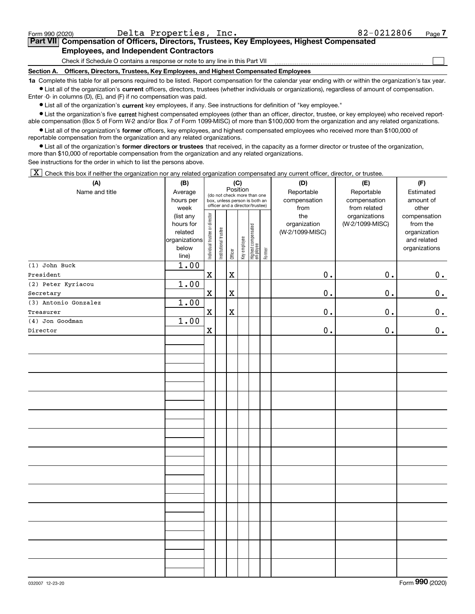| Form 990 (2020)                                                                                                                                           | Delta Properties, Inc.                                                                     | 82-0212806 | Page |  |  |  |
|-----------------------------------------------------------------------------------------------------------------------------------------------------------|--------------------------------------------------------------------------------------------|------------|------|--|--|--|
|                                                                                                                                                           | Part VII Compensation of Officers, Directors, Trustees, Key Employees, Highest Compensated |            |      |  |  |  |
|                                                                                                                                                           | <b>Employees, and Independent Contractors</b>                                              |            |      |  |  |  |
|                                                                                                                                                           | Check if Schedule O contains a response or note to any line in this Part VII               |            |      |  |  |  |
| Section A.                                                                                                                                                | Officers, Directors, Trustees, Key Employees, and Highest Compensated Employees            |            |      |  |  |  |
| to Complete this table for all persons required to be listed. Penert compensation for the calendar vear ending with or within the examization's tax vear. |                                                                                            |            |      |  |  |  |

**1a •** List all of the organization's current officers, directors, trustees (whether individuals or organizations), regardless of amount of compensation. all persons required to be listed. Report compensation for the calendar year ending with or within the organization's tax year.

Enter -0- in columns (D), (E), and (F) if no compensation was paid.

 $\bullet$  List all of the organization's  $\,$ current key employees, if any. See instructions for definition of "key employee."

**•** List the organization's five current highest compensated employees (other than an officer, director, trustee, or key employee) who received reportable compensation (Box 5 of Form W-2 and/or Box 7 of Form 1099-MISC) of more than \$100,000 from the organization and any related organizations.

**•** List all of the organization's former officers, key employees, and highest compensated employees who received more than \$100,000 of reportable compensation from the organization and any related organizations.

**former directors or trustees**  ¥ List all of the organization's that received, in the capacity as a former director or trustee of the organization, more than \$10,000 of reportable compensation from the organization and any related organizations.

See instructions for the order in which to list the persons above.

 $\boxed{\textbf{X}}$  Check this box if neither the organization nor any related organization compensated any current officer, director, or trustee.

| (A)                  | (B)               |                                |                                                                                                 |             | (C)          |                                   |        | (D)             | (E)                           | (F)                   |  |
|----------------------|-------------------|--------------------------------|-------------------------------------------------------------------------------------------------|-------------|--------------|-----------------------------------|--------|-----------------|-------------------------------|-----------------------|--|
| Name and title       | Average           |                                |                                                                                                 | Position    |              |                                   |        | Reportable      | Reportable                    | Estimated             |  |
|                      | hours per         |                                | (do not check more than one<br>box, unless person is both an<br>officer and a director/trustee) |             |              |                                   |        | compensation    | compensation                  | amount of             |  |
|                      | week<br>(list any |                                |                                                                                                 |             |              |                                   |        | from<br>the     | from related<br>organizations | other<br>compensation |  |
|                      | hours for         | Individual trustee or director |                                                                                                 |             |              |                                   |        | organization    | (W-2/1099-MISC)               | from the              |  |
|                      | related           |                                |                                                                                                 |             |              |                                   |        | (W-2/1099-MISC) |                               | organization          |  |
|                      | organizations     |                                |                                                                                                 |             |              |                                   |        |                 |                               | and related           |  |
|                      | below             |                                | nstitutional trustee                                                                            |             |              |                                   |        |                 |                               | organizations         |  |
|                      | line)             |                                |                                                                                                 | Officer     | Key employee | Highest compensated<br>  employee | Former |                 |                               |                       |  |
| (1) John Buck        | 1.00              |                                |                                                                                                 |             |              |                                   |        |                 |                               |                       |  |
| President            |                   | $\rm X$                        |                                                                                                 | $\mathbf X$ |              |                                   |        | 0.              | $\mathbf 0$ .                 | 0.                    |  |
| (2) Peter Kyriacou   | 1.00              |                                |                                                                                                 |             |              |                                   |        |                 |                               |                       |  |
| Secretary            |                   | $\mathbf x$                    |                                                                                                 | $\mathbf X$ |              |                                   |        | $\mathbf 0$ .   | $\mathbf 0$ .                 | $\mathbf 0$ .         |  |
| (3) Antonio Gonzalez | 1.00              |                                |                                                                                                 |             |              |                                   |        |                 |                               |                       |  |
| Treasurer            |                   | $\mathbf x$                    |                                                                                                 | $\mathbf X$ |              |                                   |        | 0.              | 0.                            | 0.                    |  |
| (4) Jon Goodman      | 1.00              |                                |                                                                                                 |             |              |                                   |        |                 |                               |                       |  |
| Director             |                   | $\mathbf X$                    |                                                                                                 |             |              |                                   |        | $\mathbf 0$ .   | 0.                            | $\pmb{0}$ .           |  |
|                      |                   |                                |                                                                                                 |             |              |                                   |        |                 |                               |                       |  |
|                      |                   |                                |                                                                                                 |             |              |                                   |        |                 |                               |                       |  |
|                      |                   |                                |                                                                                                 |             |              |                                   |        |                 |                               |                       |  |
|                      |                   |                                |                                                                                                 |             |              |                                   |        |                 |                               |                       |  |
|                      |                   |                                |                                                                                                 |             |              |                                   |        |                 |                               |                       |  |
|                      |                   |                                |                                                                                                 |             |              |                                   |        |                 |                               |                       |  |
|                      |                   |                                |                                                                                                 |             |              |                                   |        |                 |                               |                       |  |
|                      |                   |                                |                                                                                                 |             |              |                                   |        |                 |                               |                       |  |
|                      |                   |                                |                                                                                                 |             |              |                                   |        |                 |                               |                       |  |
|                      |                   |                                |                                                                                                 |             |              |                                   |        |                 |                               |                       |  |
|                      |                   |                                |                                                                                                 |             |              |                                   |        |                 |                               |                       |  |
|                      |                   |                                |                                                                                                 |             |              |                                   |        |                 |                               |                       |  |
|                      |                   |                                |                                                                                                 |             |              |                                   |        |                 |                               |                       |  |
|                      |                   |                                |                                                                                                 |             |              |                                   |        |                 |                               |                       |  |
|                      |                   |                                |                                                                                                 |             |              |                                   |        |                 |                               |                       |  |
|                      |                   |                                |                                                                                                 |             |              |                                   |        |                 |                               |                       |  |
|                      |                   |                                |                                                                                                 |             |              |                                   |        |                 |                               |                       |  |
|                      |                   |                                |                                                                                                 |             |              |                                   |        |                 |                               |                       |  |
|                      |                   |                                |                                                                                                 |             |              |                                   |        |                 |                               |                       |  |
|                      |                   |                                |                                                                                                 |             |              |                                   |        |                 |                               |                       |  |
|                      |                   |                                |                                                                                                 |             |              |                                   |        |                 |                               |                       |  |
|                      |                   |                                |                                                                                                 |             |              |                                   |        |                 |                               |                       |  |
|                      |                   |                                |                                                                                                 |             |              |                                   |        |                 |                               |                       |  |
|                      |                   |                                |                                                                                                 |             |              |                                   |        |                 |                               |                       |  |
|                      |                   |                                |                                                                                                 |             |              |                                   |        |                 |                               |                       |  |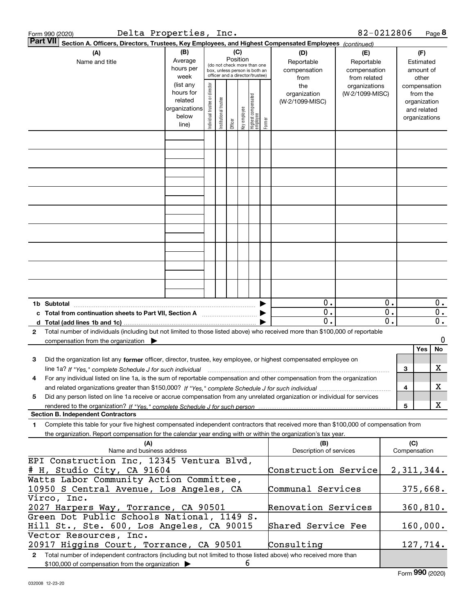| Delta Properties, Inc.<br>Form 990 (2020)                                                                                                                                   |                                                                      |                                |                       |                 |              |                                                                                                 |        |                                           | 82-0212806                                        |                                                 |     |                                                                          | Page 8                               |
|-----------------------------------------------------------------------------------------------------------------------------------------------------------------------------|----------------------------------------------------------------------|--------------------------------|-----------------------|-----------------|--------------|-------------------------------------------------------------------------------------------------|--------|-------------------------------------------|---------------------------------------------------|-------------------------------------------------|-----|--------------------------------------------------------------------------|--------------------------------------|
| <b>Part VII</b><br>Section A. Officers, Directors, Trustees, Key Employees, and Highest Compensated Employees (continued)                                                   |                                                                      |                                |                       |                 |              |                                                                                                 |        |                                           |                                                   |                                                 |     |                                                                          |                                      |
| (A)<br>Name and title                                                                                                                                                       | (B)<br>Average<br>hours per<br>week                                  |                                |                       | (C)<br>Position |              | (do not check more than one<br>box, unless person is both an<br>officer and a director/trustee) |        | (D)<br>Reportable<br>compensation<br>from | (E)<br>Reportable<br>compensation<br>from related |                                                 |     | (F)<br>Estimated<br>amount of<br>other                                   |                                      |
|                                                                                                                                                                             | (list any<br>hours for<br>related<br>organizations<br>below<br>line) | Individual trustee or director | Institutional trustee | Officer         | key employee | Highest compensated<br>employee                                                                 | Former | the<br>organization<br>(W-2/1099-MISC)    | organizations<br>(W-2/1099-MISC)                  |                                                 |     | compensation<br>from the<br>organization<br>and related<br>organizations |                                      |
|                                                                                                                                                                             |                                                                      |                                |                       |                 |              |                                                                                                 |        |                                           |                                                   |                                                 |     |                                                                          |                                      |
|                                                                                                                                                                             |                                                                      |                                |                       |                 |              |                                                                                                 |        |                                           |                                                   |                                                 |     |                                                                          |                                      |
|                                                                                                                                                                             |                                                                      |                                |                       |                 |              |                                                                                                 |        |                                           |                                                   |                                                 |     |                                                                          |                                      |
|                                                                                                                                                                             |                                                                      |                                |                       |                 |              |                                                                                                 |        |                                           |                                                   |                                                 |     |                                                                          |                                      |
|                                                                                                                                                                             |                                                                      |                                |                       |                 |              |                                                                                                 |        |                                           |                                                   |                                                 |     |                                                                          |                                      |
|                                                                                                                                                                             |                                                                      |                                |                       |                 |              |                                                                                                 |        |                                           |                                                   |                                                 |     |                                                                          |                                      |
|                                                                                                                                                                             |                                                                      |                                |                       |                 |              |                                                                                                 |        |                                           |                                                   |                                                 |     |                                                                          |                                      |
|                                                                                                                                                                             |                                                                      |                                |                       |                 |              |                                                                                                 |        |                                           |                                                   |                                                 |     |                                                                          |                                      |
|                                                                                                                                                                             |                                                                      |                                |                       |                 |              |                                                                                                 |        |                                           |                                                   |                                                 |     |                                                                          |                                      |
| 1b Subtotal                                                                                                                                                                 |                                                                      |                                |                       |                 |              |                                                                                                 |        | $0$ .                                     |                                                   | $0$ .                                           |     |                                                                          | $0$ .                                |
| c Total from continuation sheets to Part VII, Section A <b>manual</b> contains the Total from continuum                                                                     |                                                                      |                                |                       |                 |              |                                                                                                 |        | 0.<br>0.                                  |                                                   | $\overline{0}$ .<br>$\overline{\mathfrak{o}}$ . |     |                                                                          | $\overline{0}$ .<br>$\overline{0}$ . |
| Total number of individuals (including but not limited to those listed above) who received more than \$100,000 of reportable<br>2                                           |                                                                      |                                |                       |                 |              |                                                                                                 |        |                                           |                                                   |                                                 |     |                                                                          |                                      |
| compensation from the organization $\blacktriangleright$                                                                                                                    |                                                                      |                                |                       |                 |              |                                                                                                 |        |                                           |                                                   |                                                 |     | Yes                                                                      | 0<br>No                              |
| Did the organization list any former officer, director, trustee, key employee, or highest compensated employee on<br>з                                                      |                                                                      |                                |                       |                 |              |                                                                                                 |        |                                           |                                                   |                                                 |     |                                                                          |                                      |
| line 1a? If "Yes," complete Schedule J for such individual manufactured contained and the Yes," complete Schedule J for such individual                                     |                                                                      |                                |                       |                 |              |                                                                                                 |        |                                           |                                                   |                                                 | 3   |                                                                          | х                                    |
| For any individual listed on line 1a, is the sum of reportable compensation and other compensation from the organization<br>4                                               |                                                                      |                                |                       |                 |              |                                                                                                 |        |                                           |                                                   |                                                 | 4   |                                                                          | Х                                    |
| Did any person listed on line 1a receive or accrue compensation from any unrelated organization or individual for services<br>5                                             |                                                                      |                                |                       |                 |              |                                                                                                 |        |                                           |                                                   |                                                 |     |                                                                          |                                      |
| <b>Section B. Independent Contractors</b>                                                                                                                                   |                                                                      |                                |                       |                 |              |                                                                                                 |        |                                           |                                                   |                                                 | 5   |                                                                          | х                                    |
| Complete this table for your five highest compensated independent contractors that received more than \$100,000 of compensation from<br>1.                                  |                                                                      |                                |                       |                 |              |                                                                                                 |        |                                           |                                                   |                                                 |     |                                                                          |                                      |
| the organization. Report compensation for the calendar year ending with or within the organization's tax year.<br>(A)                                                       |                                                                      |                                |                       |                 |              |                                                                                                 |        | (B)                                       |                                                   |                                                 | (C) |                                                                          |                                      |
| Name and business address                                                                                                                                                   |                                                                      |                                |                       |                 |              |                                                                                                 |        | Description of services                   |                                                   |                                                 |     | Compensation                                                             |                                      |
| EPI Construction Inc, 12345 Ventura Blvd,<br># H, Studio City, CA 91604                                                                                                     |                                                                      |                                |                       |                 |              |                                                                                                 |        | Construction Service                      |                                                   |                                                 |     |                                                                          | 2,311,344.                           |
| Watts Labor Community Action Committee,<br>10950 S Central Avenue, Los Angeles, CA                                                                                          |                                                                      |                                |                       |                 |              |                                                                                                 |        | Communal Services                         |                                                   |                                                 |     |                                                                          | 375,668.                             |
| Virco, Inc.                                                                                                                                                                 |                                                                      |                                |                       |                 |              |                                                                                                 |        |                                           |                                                   |                                                 |     |                                                                          |                                      |
| 2027 Harpers Way, Torrance, CA 90501                                                                                                                                        |                                                                      |                                |                       |                 |              |                                                                                                 |        | Renovation Services                       |                                                   |                                                 |     |                                                                          | 360, 810.                            |
| Green Dot Public Schools National, 1149 S.<br>Hill St., Ste. 600, Los Angeles, CA 90015                                                                                     |                                                                      |                                |                       |                 |              |                                                                                                 |        | Shared Service Fee                        |                                                   |                                                 |     |                                                                          | 160,000.                             |
| Vector Resources, Inc.                                                                                                                                                      |                                                                      |                                |                       |                 |              |                                                                                                 |        |                                           |                                                   |                                                 |     |                                                                          |                                      |
| 20917 Higgins Court, Torrance, CA 90501<br>Total number of independent contractors (including but not limited to those listed above) who received more than<br>$\mathbf{2}$ |                                                                      |                                |                       |                 |              |                                                                                                 |        | Consulting                                |                                                   |                                                 |     |                                                                          | 127,714.                             |
| \$100,000 of compensation from the organization                                                                                                                             |                                                                      |                                |                       |                 | 6            |                                                                                                 |        |                                           |                                                   |                                                 |     |                                                                          |                                      |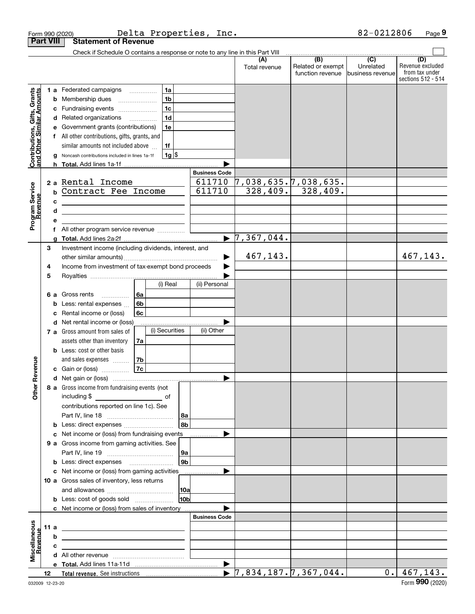|                                                           |                  |        | Form 990 (2020)                                                                                                      |    |                |                 | Delta Properties, Inc. |                                             |                                              | 82-0212806                                        | Page 9                                                          |
|-----------------------------------------------------------|------------------|--------|----------------------------------------------------------------------------------------------------------------------|----|----------------|-----------------|------------------------|---------------------------------------------|----------------------------------------------|---------------------------------------------------|-----------------------------------------------------------------|
|                                                           | <b>Part VIII</b> |        | <b>Statement of Revenue</b>                                                                                          |    |                |                 |                        |                                             |                                              |                                                   |                                                                 |
|                                                           |                  |        | Check if Schedule O contains a response or note to any line in this Part VIII                                        |    |                |                 |                        |                                             |                                              |                                                   |                                                                 |
|                                                           |                  |        |                                                                                                                      |    |                |                 |                        | (A)<br>Total revenue                        | (B)<br>Related or exempt<br>function revenue | $\overline{(C)}$<br>Unrelated<br>business revenue | (D)<br>Revenue excluded<br>from tax under<br>sections 512 - 514 |
|                                                           |                  |        | 1 a Federated campaigns                                                                                              |    | 1a             |                 |                        |                                             |                                              |                                                   |                                                                 |
|                                                           |                  | b      | Membership dues<br>$\ldots \ldots \ldots \ldots \ldots$                                                              |    | 1 <sub>b</sub> |                 |                        |                                             |                                              |                                                   |                                                                 |
|                                                           |                  | c      | Fundraising events                                                                                                   |    | 1 <sub>c</sub> |                 |                        |                                             |                                              |                                                   |                                                                 |
|                                                           |                  | d      | Related organizations                                                                                                |    | 1 <sub>d</sub> |                 |                        |                                             |                                              |                                                   |                                                                 |
|                                                           |                  | е      | Government grants (contributions)                                                                                    |    | 1e             |                 |                        |                                             |                                              |                                                   |                                                                 |
|                                                           |                  |        | f All other contributions, gifts, grants, and                                                                        |    |                |                 |                        |                                             |                                              |                                                   |                                                                 |
| Contributions, Gifts, Grants<br>and Other Similar Amounts |                  |        | similar amounts not included above                                                                                   |    | 1f             |                 |                        |                                             |                                              |                                                   |                                                                 |
|                                                           |                  | g      | Noncash contributions included in lines 1a-1f                                                                        |    |                | $1g$ \$         |                        |                                             |                                              |                                                   |                                                                 |
|                                                           |                  | h.     |                                                                                                                      |    |                |                 |                        |                                             |                                              |                                                   |                                                                 |
|                                                           |                  |        |                                                                                                                      |    |                |                 | <b>Business Code</b>   |                                             |                                              |                                                   |                                                                 |
| Program Service<br>Revenue                                |                  |        | 2 a Rental Income                                                                                                    |    |                |                 | 611710<br>611710       | $\overline{7,038,635.7,038,635.}$           | $328,409.$ 328,409.                          |                                                   |                                                                 |
|                                                           |                  | b      | Contract Fee Income                                                                                                  |    |                |                 |                        |                                             |                                              |                                                   |                                                                 |
|                                                           |                  | с<br>d | <u> 1989 - Johann Barbara, martin amerikan basar dan berasal dalam basa dalam basar dalam basar dalam basar dala</u> |    |                |                 |                        |                                             |                                              |                                                   |                                                                 |
|                                                           |                  | е      | <u> 1989 - Johann Stein, mars an deutscher Stein und der Stein und der Stein und der Stein und der Stein und der</u> |    |                |                 |                        |                                             |                                              |                                                   |                                                                 |
|                                                           |                  | f      | All other program service revenue                                                                                    |    |                |                 |                        |                                             |                                              |                                                   |                                                                 |
|                                                           |                  | a      |                                                                                                                      |    |                |                 | $\blacktriangleright$  | 7,367,044.                                  |                                              |                                                   |                                                                 |
|                                                           | 3                |        | Investment income (including dividends, interest, and                                                                |    |                |                 |                        |                                             |                                              |                                                   |                                                                 |
|                                                           |                  |        |                                                                                                                      |    |                |                 |                        | 467,143.                                    |                                              |                                                   | 467,143.                                                        |
|                                                           | 4                |        | Income from investment of tax-exempt bond proceeds                                                                   |    |                |                 |                        |                                             |                                              |                                                   |                                                                 |
|                                                           | 5                |        |                                                                                                                      |    |                |                 |                        |                                             |                                              |                                                   |                                                                 |
|                                                           |                  |        |                                                                                                                      |    | (i) Real       |                 | (ii) Personal          |                                             |                                              |                                                   |                                                                 |
|                                                           | 6а               |        | Gross rents<br>.                                                                                                     | 6a |                |                 |                        |                                             |                                              |                                                   |                                                                 |
|                                                           |                  | b      | Less: rental expenses                                                                                                | 6b |                |                 |                        |                                             |                                              |                                                   |                                                                 |
|                                                           |                  | с      | Rental income or (loss)                                                                                              | 6c |                |                 |                        |                                             |                                              |                                                   |                                                                 |
|                                                           |                  | d      | Net rental income or (loss)                                                                                          |    | (i) Securities |                 |                        |                                             |                                              |                                                   |                                                                 |
|                                                           |                  |        | 7 a Gross amount from sales of                                                                                       |    |                |                 | (ii) Other             |                                             |                                              |                                                   |                                                                 |
|                                                           |                  |        | assets other than inventory<br><b>b</b> Less: cost or other basis                                                    | 7a |                |                 |                        |                                             |                                              |                                                   |                                                                 |
|                                                           |                  |        | and sales expenses                                                                                                   | 7b |                |                 |                        |                                             |                                              |                                                   |                                                                 |
| evenue                                                    |                  |        | c Gain or (loss)                                                                                                     | 7c |                |                 |                        |                                             |                                              |                                                   |                                                                 |
|                                                           |                  |        |                                                                                                                      |    |                |                 |                        |                                             |                                              |                                                   |                                                                 |
| Other R                                                   |                  |        | 8 a Gross income from fundraising events (not                                                                        |    |                |                 |                        |                                             |                                              |                                                   |                                                                 |
|                                                           |                  |        | including \$<br><u>_______________________</u> of                                                                    |    |                |                 |                        |                                             |                                              |                                                   |                                                                 |
|                                                           |                  |        | contributions reported on line 1c). See                                                                              |    |                |                 |                        |                                             |                                              |                                                   |                                                                 |
|                                                           |                  |        |                                                                                                                      |    |                | 8a              |                        |                                             |                                              |                                                   |                                                                 |
|                                                           |                  |        |                                                                                                                      |    |                | 8b              |                        |                                             |                                              |                                                   |                                                                 |
|                                                           |                  | с      | Net income or (loss) from fundraising events                                                                         |    |                |                 |                        |                                             |                                              |                                                   |                                                                 |
|                                                           |                  |        | 9 a Gross income from gaming activities. See                                                                         |    |                |                 |                        |                                             |                                              |                                                   |                                                                 |
|                                                           |                  |        |                                                                                                                      |    |                | 9a              |                        |                                             |                                              |                                                   |                                                                 |
|                                                           |                  |        | <b>b</b> Less: direct expenses <b>manually</b>                                                                       |    |                | 9 <sub>b</sub>  |                        |                                             |                                              |                                                   |                                                                 |
|                                                           |                  |        | c Net income or (loss) from gaming activities<br>10 a Gross sales of inventory, less returns                         |    |                |                 | .                      |                                             |                                              |                                                   |                                                                 |
|                                                           |                  |        |                                                                                                                      |    |                | 10a             |                        |                                             |                                              |                                                   |                                                                 |
|                                                           |                  |        | <b>b</b> Less: cost of goods sold                                                                                    |    |                | 10 <sub>b</sub> |                        |                                             |                                              |                                                   |                                                                 |
|                                                           |                  |        | c Net income or (loss) from sales of inventory                                                                       |    |                |                 |                        |                                             |                                              |                                                   |                                                                 |
|                                                           |                  |        |                                                                                                                      |    |                |                 | <b>Business Code</b>   |                                             |                                              |                                                   |                                                                 |
|                                                           | 11 a             |        | <u> 1989 - Johann John Stein, markin fizzar eta idazlea (</u>                                                        |    |                |                 |                        |                                             |                                              |                                                   |                                                                 |
|                                                           |                  | b      | the contract of the contract of the contract of the contract of the contract of                                      |    |                |                 |                        |                                             |                                              |                                                   |                                                                 |
|                                                           |                  | с      | the control of the control of the control of the control of the control of                                           |    |                |                 |                        |                                             |                                              |                                                   |                                                                 |
| Miscellaneous<br>Revenue                                  |                  |        |                                                                                                                      |    |                |                 |                        |                                             |                                              |                                                   |                                                                 |
|                                                           |                  |        |                                                                                                                      |    |                |                 |                        |                                             |                                              |                                                   |                                                                 |
|                                                           | 12               |        |                                                                                                                      |    |                |                 |                        | $\blacktriangleright$ 7,834,187. 7,367,044. |                                              | 0.1                                               | 467,143.                                                        |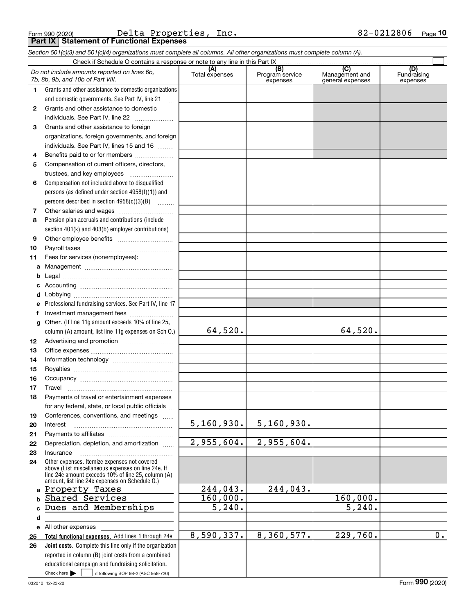|  | Form 990 (2020) |
|--|-----------------|
|  |                 |

Form 990 (2020) Page **Part IX Statement of Functional Expenses** Delta Properties, Inc. 82-0212806

*Section 501(c)(3) and 501(c)(4) organizations must complete all columns. All other organizations must complete column (A).*

|              | Do not include amounts reported on lines 6b,<br>7b, 8b, 9b, and 10b of Part VIII.                                             | (A)<br>Total expenses            | (B)<br>Program service<br>expenses | (C)<br>Management and<br>general expenses | (D)<br>Fundraising<br>expenses |
|--------------|-------------------------------------------------------------------------------------------------------------------------------|----------------------------------|------------------------------------|-------------------------------------------|--------------------------------|
| 1.           | Grants and other assistance to domestic organizations                                                                         |                                  |                                    |                                           |                                |
|              | and domestic governments. See Part IV, line 21                                                                                |                                  |                                    |                                           |                                |
| $\mathbf{2}$ | Grants and other assistance to domestic                                                                                       |                                  |                                    |                                           |                                |
|              | individuals. See Part IV, line 22                                                                                             |                                  |                                    |                                           |                                |
| 3            | Grants and other assistance to foreign                                                                                        |                                  |                                    |                                           |                                |
|              | organizations, foreign governments, and foreign                                                                               |                                  |                                    |                                           |                                |
|              | individuals. See Part IV, lines 15 and 16                                                                                     |                                  |                                    |                                           |                                |
| 4            | Benefits paid to or for members                                                                                               |                                  |                                    |                                           |                                |
| 5            | Compensation of current officers, directors,                                                                                  |                                  |                                    |                                           |                                |
|              | trustees, and key employees                                                                                                   |                                  |                                    |                                           |                                |
| 6            | Compensation not included above to disqualified                                                                               |                                  |                                    |                                           |                                |
|              | persons (as defined under section $4958(f)(1)$ ) and                                                                          |                                  |                                    |                                           |                                |
|              | persons described in section 4958(c)(3)(B)                                                                                    |                                  |                                    |                                           |                                |
| 7            |                                                                                                                               |                                  |                                    |                                           |                                |
| 8            | Pension plan accruals and contributions (include                                                                              |                                  |                                    |                                           |                                |
|              | section 401(k) and 403(b) employer contributions)                                                                             |                                  |                                    |                                           |                                |
| 9            |                                                                                                                               |                                  |                                    |                                           |                                |
| 10           |                                                                                                                               |                                  |                                    |                                           |                                |
| 11           | Fees for services (nonemployees):                                                                                             |                                  |                                    |                                           |                                |
| a            |                                                                                                                               |                                  |                                    |                                           |                                |
| b            |                                                                                                                               |                                  |                                    |                                           |                                |
|              |                                                                                                                               |                                  |                                    |                                           |                                |
| d            |                                                                                                                               |                                  |                                    |                                           |                                |
|              | Professional fundraising services. See Part IV, line 17                                                                       |                                  |                                    |                                           |                                |
|              | Investment management fees                                                                                                    |                                  |                                    |                                           |                                |
| g            | Other. (If line 11g amount exceeds 10% of line 25,                                                                            |                                  |                                    |                                           |                                |
|              | column (A) amount, list line 11g expenses on Sch 0.)                                                                          | 64,520.                          |                                    | 64,520.                                   |                                |
| 12           |                                                                                                                               |                                  |                                    |                                           |                                |
| 13           |                                                                                                                               |                                  |                                    |                                           |                                |
| 14           |                                                                                                                               |                                  |                                    |                                           |                                |
| 15           |                                                                                                                               |                                  |                                    |                                           |                                |
| 16           |                                                                                                                               |                                  |                                    |                                           |                                |
| 17           | Travel                                                                                                                        |                                  |                                    |                                           |                                |
| 18           | Payments of travel or entertainment expenses                                                                                  |                                  |                                    |                                           |                                |
|              | for any federal, state, or local public officials                                                                             |                                  |                                    |                                           |                                |
| 19           | Conferences, conventions, and meetings                                                                                        |                                  |                                    |                                           |                                |
| 20           | Interest                                                                                                                      | 5, 160, 930.                     | 5, 160, 930.                       |                                           |                                |
| 21           |                                                                                                                               |                                  |                                    |                                           |                                |
| 22           | Depreciation, depletion, and amortization                                                                                     | $\overline{2,955,604}$ .         | 2,955,604.                         |                                           |                                |
| 23           | Insurance                                                                                                                     |                                  |                                    |                                           |                                |
| 24           | Other expenses. Itemize expenses not covered<br>above (List miscellaneous expenses on line 24e. If                            |                                  |                                    |                                           |                                |
|              | line 24e amount exceeds 10% of line 25, column (A)                                                                            |                                  |                                    |                                           |                                |
|              | amount, list line 24e expenses on Schedule O.)                                                                                |                                  |                                    |                                           |                                |
|              | a Property Taxes                                                                                                              | 244,043.                         | 244,043.                           |                                           |                                |
| $\mathbf b$  | Shared Services<br>Dues and Memberships                                                                                       | 160,000.<br>$\overline{5,240}$ . |                                    | 160,000.<br>$\overline{5,240}$ .          |                                |
|              |                                                                                                                               |                                  |                                    |                                           |                                |
| d            |                                                                                                                               |                                  |                                    |                                           |                                |
|              | e All other expenses                                                                                                          | 8,590,337.                       | 8,360,577.                         | 229,760.                                  | 0.                             |
| 25           | Total functional expenses. Add lines 1 through 24e                                                                            |                                  |                                    |                                           |                                |
| 26           | <b>Joint costs.</b> Complete this line only if the organization                                                               |                                  |                                    |                                           |                                |
|              | reported in column (B) joint costs from a combined                                                                            |                                  |                                    |                                           |                                |
|              | educational campaign and fundraising solicitation.<br>Check here $\blacktriangleright$<br>if following SOP 98-2 (ASC 958-720) |                                  |                                    |                                           |                                |
|              |                                                                                                                               |                                  |                                    |                                           |                                |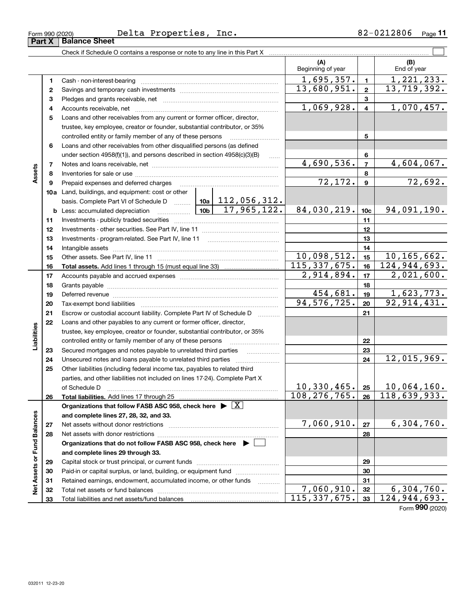| Form 990 (2020) | Delta | Properties, | $\texttt{inc}.$ | 0.000<br>.2806<br>u 4 | Page |
|-----------------|-------|-------------|-----------------|-----------------------|------|
| $\sim$<br>$ -$  | --    |             |                 |                       |      |

|                             |                                                                                                                             | Check if Schedule O contains a response or note to any line in this Part X         |             |                     |                          |                |                                                    |
|-----------------------------|-----------------------------------------------------------------------------------------------------------------------------|------------------------------------------------------------------------------------|-------------|---------------------|--------------------------|----------------|----------------------------------------------------|
|                             |                                                                                                                             |                                                                                    |             |                     | (A)<br>Beginning of year |                | (B)<br>End of year                                 |
|                             | 1                                                                                                                           |                                                                                    |             |                     | 1,695,357.               | $\blacksquare$ | 1,221,233.                                         |
|                             | 2                                                                                                                           |                                                                                    | 13,680,951. | $\mathbf{2}$        | 13,719,392.              |                |                                                    |
|                             | з                                                                                                                           |                                                                                    |             |                     |                          | 3              |                                                    |
|                             | 4                                                                                                                           |                                                                                    |             |                     | 1,069,928.               | $\overline{4}$ | 1,070,457.                                         |
|                             | 5                                                                                                                           | Loans and other receivables from any current or former officer, director,          |             |                     |                          |                |                                                    |
|                             |                                                                                                                             | trustee, key employee, creator or founder, substantial contributor, or 35%         |             |                     |                          |                |                                                    |
|                             |                                                                                                                             | controlled entity or family member of any of these persons                         |             |                     |                          | 5              |                                                    |
|                             | 6                                                                                                                           | Loans and other receivables from other disqualified persons (as defined            |             |                     |                          |                |                                                    |
|                             |                                                                                                                             | under section $4958(f)(1)$ , and persons described in section $4958(c)(3)(B)$      |             | 1.1.1.1             |                          | 6              |                                                    |
|                             | 7                                                                                                                           |                                                                                    |             |                     | 4,690,536.               | $\overline{7}$ | 4,604,067.                                         |
| Assets                      | 8                                                                                                                           |                                                                                    |             |                     |                          | 8              |                                                    |
|                             | 9                                                                                                                           | Prepaid expenses and deferred charges                                              |             |                     | 72, 172.                 | $\mathbf{9}$   | 72,692.                                            |
|                             |                                                                                                                             | 10a Land, buildings, and equipment: cost or other                                  |             |                     |                          |                |                                                    |
|                             |                                                                                                                             | basis. Complete Part VI of Schedule D    10a   112, 056, 312.                      |             | 17,965,122.         |                          |                |                                                    |
|                             |                                                                                                                             | <u>  10b</u> 10b<br><b>b</b> Less: accumulated depreciation                        | 84,030,219. | 10 <sub>c</sub>     | 94,091,190.              |                |                                                    |
|                             | 11                                                                                                                          |                                                                                    |             | 11                  |                          |                |                                                    |
|                             | 12                                                                                                                          |                                                                                    |             | 12                  |                          |                |                                                    |
|                             | 13                                                                                                                          |                                                                                    |             | 13                  |                          |                |                                                    |
|                             | 14                                                                                                                          |                                                                                    |             | 14                  |                          |                |                                                    |
|                             | 15                                                                                                                          |                                                                                    |             |                     | 10,098,512.              | 15             | 10, 165, 662.                                      |
|                             | 16                                                                                                                          |                                                                                    |             |                     | 115,337,675.             | 16             | 124, 944, 693.                                     |
|                             | 17                                                                                                                          |                                                                                    |             |                     | 2,914,894.               | 17             | 2,021,600.                                         |
|                             | 18                                                                                                                          |                                                                                    |             | 18                  |                          |                |                                                    |
|                             | 19                                                                                                                          |                                                                                    |             |                     | 454,681.                 | 19             | 1,623,773.                                         |
|                             | 20                                                                                                                          |                                                                                    |             |                     | 94, 576, 725.            | 20             | 92, 914, 431.                                      |
|                             | 21                                                                                                                          | Escrow or custodial account liability. Complete Part IV of Schedule D              |             |                     |                          | 21             |                                                    |
|                             | 22                                                                                                                          | Loans and other payables to any current or former officer, director,               |             |                     |                          |                |                                                    |
| Liabilities                 |                                                                                                                             | trustee, key employee, creator or founder, substantial contributor, or 35%         |             |                     |                          |                |                                                    |
|                             |                                                                                                                             | controlled entity or family member of any of these persons                         |             |                     |                          | 22             |                                                    |
|                             | 23                                                                                                                          | Secured mortgages and notes payable to unrelated third parties                     |             |                     |                          | 23             |                                                    |
|                             | 24                                                                                                                          | Unsecured notes and loans payable to unrelated third parties                       |             | 24                  | 12,015,969.              |                |                                                    |
|                             | 25                                                                                                                          | Other liabilities (including federal income tax, payables to related third         |             |                     |                          |                |                                                    |
|                             |                                                                                                                             | parties, and other liabilities not included on lines 17-24). Complete Part X       |             |                     |                          |                |                                                    |
|                             |                                                                                                                             | of Schedule D                                                                      |             |                     | $10, 330, 465$ . 25      |                | $10,064,160$ .<br>$108, 276, 765.$ 26 118,639,933. |
|                             | 26                                                                                                                          | Total liabilities. Add lines 17 through 25                                         |             |                     |                          |                |                                                    |
|                             |                                                                                                                             | Organizations that follow FASB ASC 958, check here $\blacktriangleright \boxed{X}$ |             |                     |                          |                |                                                    |
|                             |                                                                                                                             | and complete lines 27, 28, 32, and 33.                                             |             |                     | 7,060,910.               |                | 6,304,760.                                         |
|                             | 27                                                                                                                          | Net assets without donor restrictions                                              |             |                     |                          | 27             |                                                    |
|                             | Net assets with donor restrictions<br>28<br>Organizations that do not follow FASB ASC 958, check here $\blacktriangleright$ |                                                                                    |             |                     |                          | 28             |                                                    |
|                             |                                                                                                                             |                                                                                    |             |                     |                          |                |                                                    |
| Net Assets or Fund Balances |                                                                                                                             | and complete lines 29 through 33.                                                  |             |                     |                          |                |                                                    |
|                             | 29                                                                                                                          | Paid-in or capital surplus, or land, building, or equipment fund                   |             |                     |                          | 29<br>30       |                                                    |
|                             | 30<br>31                                                                                                                    | Retained earnings, endowment, accumulated income, or other funds                   |             |                     |                          | 31             |                                                    |
|                             | 32                                                                                                                          | Total net assets or fund balances                                                  |             | 1.1.1.1.1.1.1.1.1.1 | 7,060,910.               | 32             | 6,304,760.                                         |
|                             | 33                                                                                                                          |                                                                                    |             |                     | 115,337,675.             | 33             | 124,944,693.                                       |
|                             |                                                                                                                             |                                                                                    |             |                     |                          |                |                                                    |

Form (2020) **990**

## **Part X Balance Sheet**

| Form 990 (2020) |  |
|-----------------|--|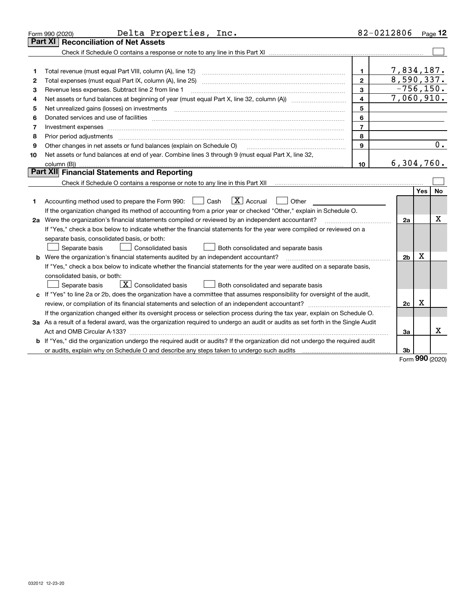|                                                                                                    | Delta Properties, Inc.<br>Form 990 (2020)                                                                                                                                               |                  | 82-0212806                 |            | Page $12$ |  |  |
|----------------------------------------------------------------------------------------------------|-----------------------------------------------------------------------------------------------------------------------------------------------------------------------------------------|------------------|----------------------------|------------|-----------|--|--|
|                                                                                                    | <b>Reconciliation of Net Assets</b><br>Part XI                                                                                                                                          |                  |                            |            |           |  |  |
|                                                                                                    |                                                                                                                                                                                         |                  |                            |            |           |  |  |
|                                                                                                    |                                                                                                                                                                                         |                  |                            |            |           |  |  |
| 1                                                                                                  |                                                                                                                                                                                         | 1                | 7,834,187.                 |            |           |  |  |
| 2                                                                                                  |                                                                                                                                                                                         | $\mathbf{2}$     | 8,590,337.<br>$-756, 150.$ |            |           |  |  |
| 3                                                                                                  | 3<br>Revenue less expenses. Subtract line 2 from line 1                                                                                                                                 |                  |                            |            |           |  |  |
| 4                                                                                                  | 7,060,910.<br>4                                                                                                                                                                         |                  |                            |            |           |  |  |
| 5                                                                                                  |                                                                                                                                                                                         | 5                |                            |            |           |  |  |
| 6                                                                                                  |                                                                                                                                                                                         | 6                |                            |            |           |  |  |
| 7                                                                                                  | Investment expenses www.communication.com/www.communication.com/www.communication.com/www.communication.com                                                                             | $\overline{7}$   |                            |            |           |  |  |
| 8                                                                                                  | Prior period adjustments                                                                                                                                                                | 8                |                            |            |           |  |  |
| 9                                                                                                  | Other changes in net assets or fund balances (explain on Schedule O)                                                                                                                    | 9                |                            |            | 0.        |  |  |
| 10                                                                                                 | Net assets or fund balances at end of year. Combine lines 3 through 9 (must equal Part X, line 32,                                                                                      |                  |                            |            |           |  |  |
|                                                                                                    |                                                                                                                                                                                         | 10 <sub>10</sub> | 6,304,760.                 |            |           |  |  |
|                                                                                                    | <b>Part XII</b> Financial Statements and Reporting                                                                                                                                      |                  |                            |            |           |  |  |
|                                                                                                    | Check if Schedule O contains a response or note to any line in this Part XII [11] [11] [11] [11] [11] [11] Check if Schedule O contains a response or note to any line in this Part XII |                  |                            |            |           |  |  |
|                                                                                                    |                                                                                                                                                                                         |                  |                            | <b>Yes</b> | <b>No</b> |  |  |
| 1                                                                                                  | $\boxed{\textbf{X}}$ Accrual<br>Accounting method used to prepare the Form 990: <u>[</u> Cash<br>Other<br>$\Box$                                                                        |                  |                            |            |           |  |  |
|                                                                                                    | If the organization changed its method of accounting from a prior year or checked "Other," explain in Schedule O.                                                                       |                  |                            |            |           |  |  |
| 2a Were the organization's financial statements compiled or reviewed by an independent accountant? |                                                                                                                                                                                         |                  |                            |            | Х         |  |  |
|                                                                                                    | If "Yes," check a box below to indicate whether the financial statements for the year were compiled or reviewed on a                                                                    |                  |                            |            |           |  |  |
|                                                                                                    | separate basis, consolidated basis, or both:                                                                                                                                            |                  |                            |            |           |  |  |
|                                                                                                    | Separate basis<br>Consolidated basis<br>Both consolidated and separate basis                                                                                                            |                  |                            |            |           |  |  |
|                                                                                                    | <b>b</b> Were the organization's financial statements audited by an independent accountant?                                                                                             |                  | 2b                         | X          |           |  |  |
|                                                                                                    | If "Yes," check a box below to indicate whether the financial statements for the year were audited on a separate basis,                                                                 |                  |                            |            |           |  |  |
|                                                                                                    | consolidated basis, or both:                                                                                                                                                            |                  |                            |            |           |  |  |
|                                                                                                    | $\boxed{\textbf{X}}$ Consolidated basis<br>Both consolidated and separate basis<br>Separate basis                                                                                       |                  |                            |            |           |  |  |
|                                                                                                    | c If "Yes" to line 2a or 2b, does the organization have a committee that assumes responsibility for oversight of the audit,                                                             |                  |                            |            |           |  |  |
|                                                                                                    |                                                                                                                                                                                         |                  | 2c                         | х          |           |  |  |
|                                                                                                    | If the organization changed either its oversight process or selection process during the tax year, explain on Schedule O.                                                               |                  |                            |            |           |  |  |
|                                                                                                    | 3a As a result of a federal award, was the organization required to undergo an audit or audits as set forth in the Single Audit                                                         |                  |                            |            |           |  |  |
|                                                                                                    |                                                                                                                                                                                         |                  | За                         |            | x         |  |  |
|                                                                                                    | <b>b</b> If "Yes," did the organization undergo the required audit or audits? If the organization did not undergo the required audit                                                    |                  |                            |            |           |  |  |
|                                                                                                    |                                                                                                                                                                                         |                  | 3b                         |            |           |  |  |

Form (2020) **990**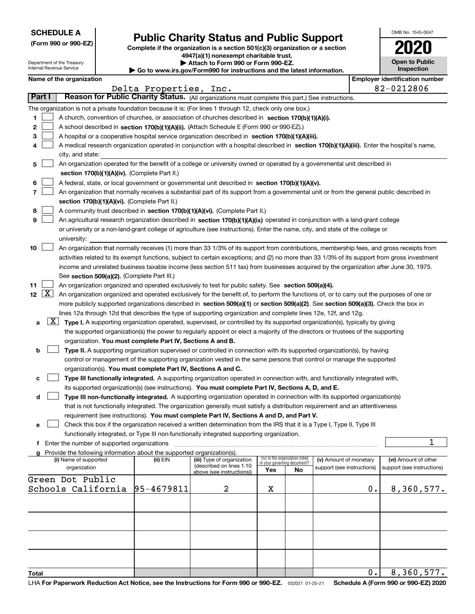|  | <b>SCHEDULE A</b> |
|--|-------------------|
|--|-------------------|

Department of the Treasury Internal Revenue Service

|  |  |  | (Form 990 or 990-EZ) |
|--|--|--|----------------------|
|--|--|--|----------------------|

## **Public Charity Status and Public Support**

**Complete if the organization is a section 501(c)(3) organization or a section 4947(a)(1) nonexempt charitable trust. | Attach to Form 990 or Form 990-EZ.** 

| ▶ Go to www.irs.gov/Form990 for instructions and the latest information. |  |  |  |  |
|--------------------------------------------------------------------------|--|--|--|--|

| OMB No. 1545-0047                   |
|-------------------------------------|
|                                     |
| <b>Open to Public</b><br>Inspection |

| Name of the organization |  |
|--------------------------|--|
|--------------------------|--|

|                                               | Name of the organization                                                                                                                                                                                                                                                                 |                   |                                                        |                             |                                 |                            |    | <b>Employer identification number</b> |
|-----------------------------------------------|------------------------------------------------------------------------------------------------------------------------------------------------------------------------------------------------------------------------------------------------------------------------------------------|-------------------|--------------------------------------------------------|-----------------------------|---------------------------------|----------------------------|----|---------------------------------------|
|                                               |                                                                                                                                                                                                                                                                                          | Delta Properties, | Inc.                                                   |                             |                                 |                            |    | 82-0212806                            |
| Part I                                        | Reason for Public Charity Status. (All organizations must complete this part.) See instructions.                                                                                                                                                                                         |                   |                                                        |                             |                                 |                            |    |                                       |
|                                               | The organization is not a private foundation because it is: (For lines 1 through 12, check only one box.)                                                                                                                                                                                |                   |                                                        |                             |                                 |                            |    |                                       |
| 1                                             | A church, convention of churches, or association of churches described in section 170(b)(1)(A)(i).                                                                                                                                                                                       |                   |                                                        |                             |                                 |                            |    |                                       |
| 2                                             | A school described in section 170(b)(1)(A)(ii). (Attach Schedule E (Form 990 or 990-EZ).)                                                                                                                                                                                                |                   |                                                        |                             |                                 |                            |    |                                       |
| з                                             | A hospital or a cooperative hospital service organization described in section $170(b)(1)(A)(iii)$ .                                                                                                                                                                                     |                   |                                                        |                             |                                 |                            |    |                                       |
| 4                                             | A medical research organization operated in conjunction with a hospital described in section 170(b)(1)(A)(iii). Enter the hospital's name,                                                                                                                                               |                   |                                                        |                             |                                 |                            |    |                                       |
|                                               | city, and state:                                                                                                                                                                                                                                                                         |                   |                                                        |                             |                                 |                            |    |                                       |
| 5                                             | An organization operated for the benefit of a college or university owned or operated by a governmental unit described in                                                                                                                                                                |                   |                                                        |                             |                                 |                            |    |                                       |
|                                               | section 170(b)(1)(A)(iv). (Complete Part II.)                                                                                                                                                                                                                                            |                   |                                                        |                             |                                 |                            |    |                                       |
| 6                                             | A federal, state, or local government or governmental unit described in section 170(b)(1)(A)(v).                                                                                                                                                                                         |                   |                                                        |                             |                                 |                            |    |                                       |
| 7                                             | An organization that normally receives a substantial part of its support from a governmental unit or from the general public described in                                                                                                                                                |                   |                                                        |                             |                                 |                            |    |                                       |
|                                               | section 170(b)(1)(A)(vi). (Complete Part II.)                                                                                                                                                                                                                                            |                   |                                                        |                             |                                 |                            |    |                                       |
| 8                                             | A community trust described in section 170(b)(1)(A)(vi). (Complete Part II.)                                                                                                                                                                                                             |                   |                                                        |                             |                                 |                            |    |                                       |
| 9                                             | An agricultural research organization described in section 170(b)(1)(A)(ix) operated in conjunction with a land-grant college                                                                                                                                                            |                   |                                                        |                             |                                 |                            |    |                                       |
|                                               | or university or a non-land-grant college of agriculture (see instructions). Enter the name, city, and state of the college or                                                                                                                                                           |                   |                                                        |                             |                                 |                            |    |                                       |
| 10                                            | university:                                                                                                                                                                                                                                                                              |                   |                                                        |                             |                                 |                            |    |                                       |
|                                               | An organization that normally receives (1) more than 33 1/3% of its support from contributions, membership fees, and gross receipts from<br>activities related to its exempt functions, subject to certain exceptions; and (2) no more than 33 1/3% of its support from gross investment |                   |                                                        |                             |                                 |                            |    |                                       |
|                                               | income and unrelated business taxable income (less section 511 tax) from businesses acquired by the organization after June 30, 1975.                                                                                                                                                    |                   |                                                        |                             |                                 |                            |    |                                       |
|                                               | See section 509(a)(2). (Complete Part III.)                                                                                                                                                                                                                                              |                   |                                                        |                             |                                 |                            |    |                                       |
| 11                                            | An organization organized and operated exclusively to test for public safety. See section 509(a)(4).                                                                                                                                                                                     |                   |                                                        |                             |                                 |                            |    |                                       |
| 12 $\lfloor$ X $\rfloor$                      | An organization organized and operated exclusively for the benefit of, to perform the functions of, or to carry out the purposes of one or                                                                                                                                               |                   |                                                        |                             |                                 |                            |    |                                       |
|                                               | more publicly supported organizations described in section 509(a)(1) or section 509(a)(2). See section 509(a)(3). Check the box in                                                                                                                                                       |                   |                                                        |                             |                                 |                            |    |                                       |
|                                               | lines 12a through 12d that describes the type of supporting organization and complete lines 12e, 12f, and 12g.                                                                                                                                                                           |                   |                                                        |                             |                                 |                            |    |                                       |
| $\lfloor x \rfloor$<br>а                      | Type I. A supporting organization operated, supervised, or controlled by its supported organization(s), typically by giving                                                                                                                                                              |                   |                                                        |                             |                                 |                            |    |                                       |
|                                               | the supported organization(s) the power to regularly appoint or elect a majority of the directors or trustees of the supporting                                                                                                                                                          |                   |                                                        |                             |                                 |                            |    |                                       |
|                                               | organization. You must complete Part IV, Sections A and B.                                                                                                                                                                                                                               |                   |                                                        |                             |                                 |                            |    |                                       |
| b                                             | Type II. A supporting organization supervised or controlled in connection with its supported organization(s), by having                                                                                                                                                                  |                   |                                                        |                             |                                 |                            |    |                                       |
|                                               | control or management of the supporting organization vested in the same persons that control or manage the supported                                                                                                                                                                     |                   |                                                        |                             |                                 |                            |    |                                       |
|                                               | organization(s). You must complete Part IV, Sections A and C.                                                                                                                                                                                                                            |                   |                                                        |                             |                                 |                            |    |                                       |
| с                                             | Type III functionally integrated. A supporting organization operated in connection with, and functionally integrated with,                                                                                                                                                               |                   |                                                        |                             |                                 |                            |    |                                       |
|                                               | its supported organization(s) (see instructions). You must complete Part IV, Sections A, D, and E.                                                                                                                                                                                       |                   |                                                        |                             |                                 |                            |    |                                       |
| d                                             | Type III non-functionally integrated. A supporting organization operated in connection with its supported organization(s)                                                                                                                                                                |                   |                                                        |                             |                                 |                            |    |                                       |
|                                               | that is not functionally integrated. The organization generally must satisfy a distribution requirement and an attentiveness                                                                                                                                                             |                   |                                                        |                             |                                 |                            |    |                                       |
|                                               | requirement (see instructions). You must complete Part IV, Sections A and D, and Part V.                                                                                                                                                                                                 |                   |                                                        |                             |                                 |                            |    |                                       |
|                                               | Check this box if the organization received a written determination from the IRS that it is a Type I, Type II, Type III                                                                                                                                                                  |                   |                                                        |                             |                                 |                            |    |                                       |
|                                               | functionally integrated, or Type III non-functionally integrated supporting organization.                                                                                                                                                                                                |                   |                                                        |                             |                                 |                            |    |                                       |
| f Enter the number of supported organizations |                                                                                                                                                                                                                                                                                          |                   |                                                        |                             |                                 |                            |    | 1                                     |
|                                               | g Provide the following information about the supported organization(s).                                                                                                                                                                                                                 |                   |                                                        |                             |                                 |                            |    |                                       |
|                                               | (i) Name of supported                                                                                                                                                                                                                                                                    | (ii) EIN          | (iii) Type of organization<br>(described on lines 1-10 | in your governing document? | (iv) Is the organization listed | (v) Amount of monetary     |    | (vi) Amount of other                  |
|                                               | organization                                                                                                                                                                                                                                                                             |                   | above (see instructions))                              | Yes                         | No                              | support (see instructions) |    | support (see instructions)            |
|                                               | Green Dot Public                                                                                                                                                                                                                                                                         |                   |                                                        |                             |                                 |                            |    |                                       |
|                                               | Schools California                                                                                                                                                                                                                                                                       | 95-4679811        | 2                                                      | х                           |                                 |                            | 0. | 8,360,577.                            |
|                                               |                                                                                                                                                                                                                                                                                          |                   |                                                        |                             |                                 |                            |    |                                       |
|                                               |                                                                                                                                                                                                                                                                                          |                   |                                                        |                             |                                 |                            |    |                                       |
|                                               |                                                                                                                                                                                                                                                                                          |                   |                                                        |                             |                                 |                            |    |                                       |
|                                               |                                                                                                                                                                                                                                                                                          |                   |                                                        |                             |                                 |                            |    |                                       |
|                                               |                                                                                                                                                                                                                                                                                          |                   |                                                        |                             |                                 |                            |    |                                       |
|                                               |                                                                                                                                                                                                                                                                                          |                   |                                                        |                             |                                 |                            |    |                                       |
|                                               |                                                                                                                                                                                                                                                                                          |                   |                                                        |                             |                                 |                            |    |                                       |
|                                               |                                                                                                                                                                                                                                                                                          |                   |                                                        |                             |                                 |                            | 0. | 8,360,577.                            |
| Total                                         |                                                                                                                                                                                                                                                                                          |                   |                                                        |                             |                                 |                            |    |                                       |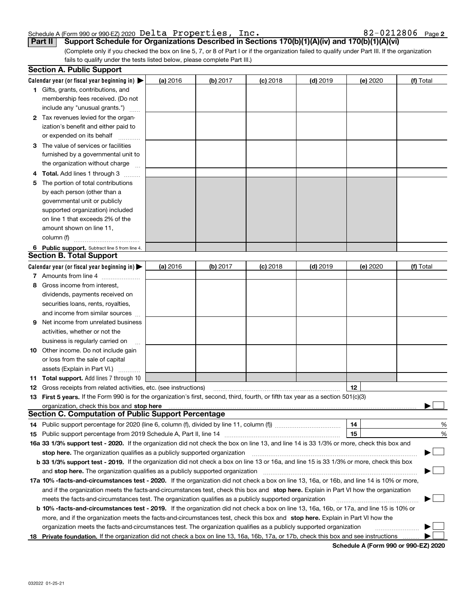#### Schedule A (Form 990 or 990-EZ) 2020 Delta Properties, Inc. 82-0212806 Page Delta Properties, Inc. 82-0212806

| 82-0212806 Page2 |  |  |
|------------------|--|--|
|------------------|--|--|

(Complete only if you checked the box on line 5, 7, or 8 of Part I or if the organization failed to qualify under Part III. If the organization fails to qualify under the tests listed below, please complete Part III.) **Part II Support Schedule for Organizations Described in Sections 170(b)(1)(A)(iv) and 170(b)(1)(A)(vi)**

|    | <b>Section A. Public Support</b>                                                                                                                                                                                               |          |            |            |            |          |           |
|----|--------------------------------------------------------------------------------------------------------------------------------------------------------------------------------------------------------------------------------|----------|------------|------------|------------|----------|-----------|
|    | Calendar year (or fiscal year beginning in) $\blacktriangleright$                                                                                                                                                              | (a) 2016 | $(b)$ 2017 | $(c)$ 2018 | $(d)$ 2019 | (e) 2020 | (f) Total |
|    | <b>1</b> Gifts, grants, contributions, and                                                                                                                                                                                     |          |            |            |            |          |           |
|    | membership fees received. (Do not                                                                                                                                                                                              |          |            |            |            |          |           |
|    | include any "unusual grants.")                                                                                                                                                                                                 |          |            |            |            |          |           |
|    | 2 Tax revenues levied for the organ-                                                                                                                                                                                           |          |            |            |            |          |           |
|    | ization's benefit and either paid to                                                                                                                                                                                           |          |            |            |            |          |           |
|    | or expended on its behalf                                                                                                                                                                                                      |          |            |            |            |          |           |
|    | 3 The value of services or facilities                                                                                                                                                                                          |          |            |            |            |          |           |
|    | furnished by a governmental unit to                                                                                                                                                                                            |          |            |            |            |          |           |
|    | the organization without charge                                                                                                                                                                                                |          |            |            |            |          |           |
|    | 4 Total. Add lines 1 through 3                                                                                                                                                                                                 |          |            |            |            |          |           |
| 5. | The portion of total contributions                                                                                                                                                                                             |          |            |            |            |          |           |
|    | by each person (other than a                                                                                                                                                                                                   |          |            |            |            |          |           |
|    | governmental unit or publicly                                                                                                                                                                                                  |          |            |            |            |          |           |
|    | supported organization) included                                                                                                                                                                                               |          |            |            |            |          |           |
|    | on line 1 that exceeds 2% of the                                                                                                                                                                                               |          |            |            |            |          |           |
|    | amount shown on line 11,                                                                                                                                                                                                       |          |            |            |            |          |           |
|    | column (f)                                                                                                                                                                                                                     |          |            |            |            |          |           |
|    | 6 Public support. Subtract line 5 from line 4.                                                                                                                                                                                 |          |            |            |            |          |           |
|    | <b>Section B. Total Support</b>                                                                                                                                                                                                |          |            |            |            |          |           |
|    | Calendar year (or fiscal year beginning in)                                                                                                                                                                                    | (a) 2016 | $(b)$ 2017 | $(c)$ 2018 | $(d)$ 2019 | (e) 2020 | (f) Total |
|    | 7 Amounts from line 4                                                                                                                                                                                                          |          |            |            |            |          |           |
| 8. | Gross income from interest,                                                                                                                                                                                                    |          |            |            |            |          |           |
|    | dividends, payments received on                                                                                                                                                                                                |          |            |            |            |          |           |
|    | securities loans, rents, royalties,                                                                                                                                                                                            |          |            |            |            |          |           |
|    | and income from similar sources                                                                                                                                                                                                |          |            |            |            |          |           |
| 9  | Net income from unrelated business                                                                                                                                                                                             |          |            |            |            |          |           |
|    | activities, whether or not the                                                                                                                                                                                                 |          |            |            |            |          |           |
|    | business is regularly carried on                                                                                                                                                                                               |          |            |            |            |          |           |
|    | <b>10</b> Other income. Do not include gain                                                                                                                                                                                    |          |            |            |            |          |           |
|    | or loss from the sale of capital                                                                                                                                                                                               |          |            |            |            |          |           |
|    | assets (Explain in Part VI.)                                                                                                                                                                                                   |          |            |            |            |          |           |
|    | <b>11 Total support.</b> Add lines 7 through 10                                                                                                                                                                                |          |            |            |            |          |           |
|    | <b>12</b> Gross receipts from related activities, etc. (see instructions)                                                                                                                                                      |          |            |            |            | 12       |           |
|    | 13 First 5 years. If the Form 990 is for the organization's first, second, third, fourth, or fifth tax year as a section 501(c)(3)                                                                                             |          |            |            |            |          |           |
|    | organization, check this box and stop here manufactured and the content of the state of the content of the content of the content of the content of the content of the content of the content of the content of the content of |          |            |            |            |          |           |
|    | <b>Section C. Computation of Public Support Percentage</b>                                                                                                                                                                     |          |            |            |            |          |           |
|    | 14 Public support percentage for 2020 (line 6, column (f), divided by line 11, column (f) <i>manumumumumum</i>                                                                                                                 |          |            |            |            | 14       | %         |
|    |                                                                                                                                                                                                                                |          |            |            |            | 15       | %         |
|    | 16a 33 1/3% support test - 2020. If the organization did not check the box on line 13, and line 14 is 33 1/3% or more, check this box and                                                                                      |          |            |            |            |          |           |
|    | stop here. The organization qualifies as a publicly supported organization                                                                                                                                                     |          |            |            |            |          | ▔▁」       |
|    | b 33 1/3% support test - 2019. If the organization did not check a box on line 13 or 16a, and line 15 is 33 1/3% or more, check this box                                                                                       |          |            |            |            |          |           |
|    | and stop here. The organization qualifies as a publicly supported organization                                                                                                                                                 |          |            |            |            |          |           |
|    | 17a 10% -facts-and-circumstances test - 2020. If the organization did not check a box on line 13, 16a, or 16b, and line 14 is 10% or more,                                                                                     |          |            |            |            |          |           |
|    | and if the organization meets the facts-and-circumstances test, check this box and stop here. Explain in Part VI how the organization                                                                                          |          |            |            |            |          |           |
|    | meets the facts-and-circumstances test. The organization qualifies as a publicly supported organization                                                                                                                        |          |            |            |            |          |           |
|    | <b>b 10% -facts-and-circumstances test - 2019.</b> If the organization did not check a box on line 13, 16a, 16b, or 17a, and line 15 is 10% or                                                                                 |          |            |            |            |          |           |
|    | more, and if the organization meets the facts-and-circumstances test, check this box and stop here. Explain in Part VI how the                                                                                                 |          |            |            |            |          |           |
|    | organization meets the facts-and-circumstances test. The organization qualifies as a publicly supported organization                                                                                                           |          |            |            |            |          |           |
| 18 | Private foundation. If the organization did not check a box on line 13, 16a, 16b, 17a, or 17b, check this box and see instructions                                                                                             |          |            |            |            |          |           |

**Schedule A (Form 990 or 990-EZ) 2020**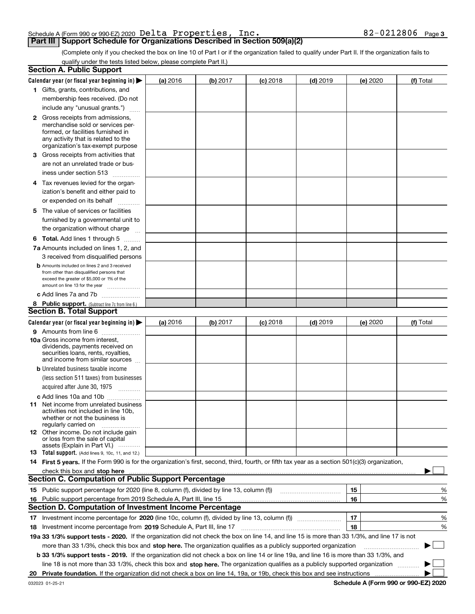|  |  | Schedule A (Form 990 or 990-EZ) 2020 $\,\mathrm{Delta}\,$ <code>Properties</code> , | Inc. | 82-0212806 | Page 3 |
|--|--|-------------------------------------------------------------------------------------|------|------------|--------|
|  |  |                                                                                     |      |            |        |

(Complete only if you checked the box on line 10 of Part I or if the organization failed to qualify under Part II. If the organization fails to qualify under the tests listed below, please complete Part II.)

| Calendar year (or fiscal year beginning in) $\blacktriangleright$<br>(b) 2017<br>$(d)$ 2019<br>(a) 2016<br>$(c)$ 2018<br>(e) 2020<br>1 Gifts, grants, contributions, and<br>membership fees received. (Do not<br>include any "unusual grants.")<br><b>2</b> Gross receipts from admissions,<br>merchandise sold or services per-<br>formed, or facilities furnished in<br>any activity that is related to the<br>organization's tax-exempt purpose<br>3 Gross receipts from activities that<br>are not an unrelated trade or bus-<br>iness under section 513<br>4 Tax revenues levied for the organ-<br>ization's benefit and either paid to<br>or expended on its behalf<br>.<br>5 The value of services or facilities<br>furnished by a governmental unit to<br>the organization without charge<br><b>6 Total.</b> Add lines 1 through 5<br>7a Amounts included on lines 1, 2, and<br>3 received from disqualified persons<br><b>b</b> Amounts included on lines 2 and 3 received<br>from other than disqualified persons that<br>exceed the greater of \$5,000 or 1% of the<br>amount on line 13 for the year<br>c Add lines 7a and 7b<br>8 Public support. (Subtract line 7c from line 6.)<br><b>Section B. Total Support</b><br>Calendar year (or fiscal year beginning in) $\blacktriangleright$<br>(b) 2017<br>$(d)$ 2019<br>(a) 2016<br>$(c)$ 2018<br>(e) 2020<br>9 Amounts from line 6<br><b>10a</b> Gross income from interest,<br>dividends, payments received on<br>securities loans, rents, royalties,<br>and income from similar sources<br><b>b</b> Unrelated business taxable income<br>(less section 511 taxes) from businesses<br>acquired after June 30, 1975<br>c Add lines 10a and 10b<br>11 Net income from unrelated business<br>activities not included in line 10b,<br>whether or not the business is<br>regularly carried on<br><b>12</b> Other income. Do not include gain<br>or loss from the sale of capital<br>assets (Explain in Part VI.)<br>13 Total support. (Add lines 9, 10c, 11, and 12.)<br>14 First 5 years. If the Form 990 is for the organization's first, second, third, fourth, or fifth tax year as a section 501(c)(3) organization,<br>check this box and stop here measurements and contain the state of the state of the state of the state of the state of the state of the state of the state of the state of the state of the state of the state of the state of<br><b>Section C. Computation of Public Support Percentage</b><br>15<br>16<br>Public support percentage from 2019 Schedule A, Part III, line 15<br>16<br><b>Section D. Computation of Investment Income Percentage</b><br>17<br>17 Investment income percentage for 2020 (line 10c, column (f), divided by line 13, column (f))<br>18<br>18 Investment income percentage from 2019 Schedule A, Part III, line 17<br>19a 33 1/3% support tests - 2020. If the organization did not check the box on line 14, and line 15 is more than 33 1/3%, and line 17 is not<br>more than 33 1/3%, check this box and stop here. The organization qualifies as a publicly supported organization<br>b 33 1/3% support tests - 2019. If the organization did not check a box on line 14 or line 19a, and line 16 is more than 33 1/3%, and<br>line 18 is not more than 33 1/3%, check this box and stop here. The organization qualifies as a publicly supported organization | <b>Section A. Public Support</b> |  |  |  |           |        |
|--------------------------------------------------------------------------------------------------------------------------------------------------------------------------------------------------------------------------------------------------------------------------------------------------------------------------------------------------------------------------------------------------------------------------------------------------------------------------------------------------------------------------------------------------------------------------------------------------------------------------------------------------------------------------------------------------------------------------------------------------------------------------------------------------------------------------------------------------------------------------------------------------------------------------------------------------------------------------------------------------------------------------------------------------------------------------------------------------------------------------------------------------------------------------------------------------------------------------------------------------------------------------------------------------------------------------------------------------------------------------------------------------------------------------------------------------------------------------------------------------------------------------------------------------------------------------------------------------------------------------------------------------------------------------------------------------------------------------------------------------------------------------------------------------------------------------------------------------------------------------------------------------------------------------------------------------------------------------------------------------------------------------------------------------------------------------------------------------------------------------------------------------------------------------------------------------------------------------------------------------------------------------------------------------------------------------------------------------------------------------------------------------------------------------------------------------------------------------------------------------------------------------------------------------------------------------------------------------------------------------------------------------------------------------------------------------------------------------------------------------------------------------------------------------------------------------------------------------------------------------------------------------------------------------------------------------------------------------------------------------------------------------------------------------------------------------------------------------------------------------------------------------------------------------------------------------------------------------------------------------------------------------------------------------------------------------------------------------------------------------------------|----------------------------------|--|--|--|-----------|--------|
|                                                                                                                                                                                                                                                                                                                                                                                                                                                                                                                                                                                                                                                                                                                                                                                                                                                                                                                                                                                                                                                                                                                                                                                                                                                                                                                                                                                                                                                                                                                                                                                                                                                                                                                                                                                                                                                                                                                                                                                                                                                                                                                                                                                                                                                                                                                                                                                                                                                                                                                                                                                                                                                                                                                                                                                                                                                                                                                                                                                                                                                                                                                                                                                                                                                                                                                                                                                      |                                  |  |  |  | (f) Total |        |
|                                                                                                                                                                                                                                                                                                                                                                                                                                                                                                                                                                                                                                                                                                                                                                                                                                                                                                                                                                                                                                                                                                                                                                                                                                                                                                                                                                                                                                                                                                                                                                                                                                                                                                                                                                                                                                                                                                                                                                                                                                                                                                                                                                                                                                                                                                                                                                                                                                                                                                                                                                                                                                                                                                                                                                                                                                                                                                                                                                                                                                                                                                                                                                                                                                                                                                                                                                                      |                                  |  |  |  |           |        |
|                                                                                                                                                                                                                                                                                                                                                                                                                                                                                                                                                                                                                                                                                                                                                                                                                                                                                                                                                                                                                                                                                                                                                                                                                                                                                                                                                                                                                                                                                                                                                                                                                                                                                                                                                                                                                                                                                                                                                                                                                                                                                                                                                                                                                                                                                                                                                                                                                                                                                                                                                                                                                                                                                                                                                                                                                                                                                                                                                                                                                                                                                                                                                                                                                                                                                                                                                                                      |                                  |  |  |  |           |        |
|                                                                                                                                                                                                                                                                                                                                                                                                                                                                                                                                                                                                                                                                                                                                                                                                                                                                                                                                                                                                                                                                                                                                                                                                                                                                                                                                                                                                                                                                                                                                                                                                                                                                                                                                                                                                                                                                                                                                                                                                                                                                                                                                                                                                                                                                                                                                                                                                                                                                                                                                                                                                                                                                                                                                                                                                                                                                                                                                                                                                                                                                                                                                                                                                                                                                                                                                                                                      |                                  |  |  |  |           |        |
|                                                                                                                                                                                                                                                                                                                                                                                                                                                                                                                                                                                                                                                                                                                                                                                                                                                                                                                                                                                                                                                                                                                                                                                                                                                                                                                                                                                                                                                                                                                                                                                                                                                                                                                                                                                                                                                                                                                                                                                                                                                                                                                                                                                                                                                                                                                                                                                                                                                                                                                                                                                                                                                                                                                                                                                                                                                                                                                                                                                                                                                                                                                                                                                                                                                                                                                                                                                      |                                  |  |  |  |           |        |
|                                                                                                                                                                                                                                                                                                                                                                                                                                                                                                                                                                                                                                                                                                                                                                                                                                                                                                                                                                                                                                                                                                                                                                                                                                                                                                                                                                                                                                                                                                                                                                                                                                                                                                                                                                                                                                                                                                                                                                                                                                                                                                                                                                                                                                                                                                                                                                                                                                                                                                                                                                                                                                                                                                                                                                                                                                                                                                                                                                                                                                                                                                                                                                                                                                                                                                                                                                                      |                                  |  |  |  |           |        |
|                                                                                                                                                                                                                                                                                                                                                                                                                                                                                                                                                                                                                                                                                                                                                                                                                                                                                                                                                                                                                                                                                                                                                                                                                                                                                                                                                                                                                                                                                                                                                                                                                                                                                                                                                                                                                                                                                                                                                                                                                                                                                                                                                                                                                                                                                                                                                                                                                                                                                                                                                                                                                                                                                                                                                                                                                                                                                                                                                                                                                                                                                                                                                                                                                                                                                                                                                                                      |                                  |  |  |  |           |        |
|                                                                                                                                                                                                                                                                                                                                                                                                                                                                                                                                                                                                                                                                                                                                                                                                                                                                                                                                                                                                                                                                                                                                                                                                                                                                                                                                                                                                                                                                                                                                                                                                                                                                                                                                                                                                                                                                                                                                                                                                                                                                                                                                                                                                                                                                                                                                                                                                                                                                                                                                                                                                                                                                                                                                                                                                                                                                                                                                                                                                                                                                                                                                                                                                                                                                                                                                                                                      |                                  |  |  |  |           |        |
|                                                                                                                                                                                                                                                                                                                                                                                                                                                                                                                                                                                                                                                                                                                                                                                                                                                                                                                                                                                                                                                                                                                                                                                                                                                                                                                                                                                                                                                                                                                                                                                                                                                                                                                                                                                                                                                                                                                                                                                                                                                                                                                                                                                                                                                                                                                                                                                                                                                                                                                                                                                                                                                                                                                                                                                                                                                                                                                                                                                                                                                                                                                                                                                                                                                                                                                                                                                      |                                  |  |  |  |           |        |
|                                                                                                                                                                                                                                                                                                                                                                                                                                                                                                                                                                                                                                                                                                                                                                                                                                                                                                                                                                                                                                                                                                                                                                                                                                                                                                                                                                                                                                                                                                                                                                                                                                                                                                                                                                                                                                                                                                                                                                                                                                                                                                                                                                                                                                                                                                                                                                                                                                                                                                                                                                                                                                                                                                                                                                                                                                                                                                                                                                                                                                                                                                                                                                                                                                                                                                                                                                                      |                                  |  |  |  |           |        |
|                                                                                                                                                                                                                                                                                                                                                                                                                                                                                                                                                                                                                                                                                                                                                                                                                                                                                                                                                                                                                                                                                                                                                                                                                                                                                                                                                                                                                                                                                                                                                                                                                                                                                                                                                                                                                                                                                                                                                                                                                                                                                                                                                                                                                                                                                                                                                                                                                                                                                                                                                                                                                                                                                                                                                                                                                                                                                                                                                                                                                                                                                                                                                                                                                                                                                                                                                                                      |                                  |  |  |  |           |        |
|                                                                                                                                                                                                                                                                                                                                                                                                                                                                                                                                                                                                                                                                                                                                                                                                                                                                                                                                                                                                                                                                                                                                                                                                                                                                                                                                                                                                                                                                                                                                                                                                                                                                                                                                                                                                                                                                                                                                                                                                                                                                                                                                                                                                                                                                                                                                                                                                                                                                                                                                                                                                                                                                                                                                                                                                                                                                                                                                                                                                                                                                                                                                                                                                                                                                                                                                                                                      |                                  |  |  |  |           |        |
|                                                                                                                                                                                                                                                                                                                                                                                                                                                                                                                                                                                                                                                                                                                                                                                                                                                                                                                                                                                                                                                                                                                                                                                                                                                                                                                                                                                                                                                                                                                                                                                                                                                                                                                                                                                                                                                                                                                                                                                                                                                                                                                                                                                                                                                                                                                                                                                                                                                                                                                                                                                                                                                                                                                                                                                                                                                                                                                                                                                                                                                                                                                                                                                                                                                                                                                                                                                      |                                  |  |  |  |           |        |
|                                                                                                                                                                                                                                                                                                                                                                                                                                                                                                                                                                                                                                                                                                                                                                                                                                                                                                                                                                                                                                                                                                                                                                                                                                                                                                                                                                                                                                                                                                                                                                                                                                                                                                                                                                                                                                                                                                                                                                                                                                                                                                                                                                                                                                                                                                                                                                                                                                                                                                                                                                                                                                                                                                                                                                                                                                                                                                                                                                                                                                                                                                                                                                                                                                                                                                                                                                                      |                                  |  |  |  |           |        |
|                                                                                                                                                                                                                                                                                                                                                                                                                                                                                                                                                                                                                                                                                                                                                                                                                                                                                                                                                                                                                                                                                                                                                                                                                                                                                                                                                                                                                                                                                                                                                                                                                                                                                                                                                                                                                                                                                                                                                                                                                                                                                                                                                                                                                                                                                                                                                                                                                                                                                                                                                                                                                                                                                                                                                                                                                                                                                                                                                                                                                                                                                                                                                                                                                                                                                                                                                                                      |                                  |  |  |  |           |        |
|                                                                                                                                                                                                                                                                                                                                                                                                                                                                                                                                                                                                                                                                                                                                                                                                                                                                                                                                                                                                                                                                                                                                                                                                                                                                                                                                                                                                                                                                                                                                                                                                                                                                                                                                                                                                                                                                                                                                                                                                                                                                                                                                                                                                                                                                                                                                                                                                                                                                                                                                                                                                                                                                                                                                                                                                                                                                                                                                                                                                                                                                                                                                                                                                                                                                                                                                                                                      |                                  |  |  |  |           |        |
|                                                                                                                                                                                                                                                                                                                                                                                                                                                                                                                                                                                                                                                                                                                                                                                                                                                                                                                                                                                                                                                                                                                                                                                                                                                                                                                                                                                                                                                                                                                                                                                                                                                                                                                                                                                                                                                                                                                                                                                                                                                                                                                                                                                                                                                                                                                                                                                                                                                                                                                                                                                                                                                                                                                                                                                                                                                                                                                                                                                                                                                                                                                                                                                                                                                                                                                                                                                      |                                  |  |  |  |           |        |
|                                                                                                                                                                                                                                                                                                                                                                                                                                                                                                                                                                                                                                                                                                                                                                                                                                                                                                                                                                                                                                                                                                                                                                                                                                                                                                                                                                                                                                                                                                                                                                                                                                                                                                                                                                                                                                                                                                                                                                                                                                                                                                                                                                                                                                                                                                                                                                                                                                                                                                                                                                                                                                                                                                                                                                                                                                                                                                                                                                                                                                                                                                                                                                                                                                                                                                                                                                                      |                                  |  |  |  |           |        |
|                                                                                                                                                                                                                                                                                                                                                                                                                                                                                                                                                                                                                                                                                                                                                                                                                                                                                                                                                                                                                                                                                                                                                                                                                                                                                                                                                                                                                                                                                                                                                                                                                                                                                                                                                                                                                                                                                                                                                                                                                                                                                                                                                                                                                                                                                                                                                                                                                                                                                                                                                                                                                                                                                                                                                                                                                                                                                                                                                                                                                                                                                                                                                                                                                                                                                                                                                                                      |                                  |  |  |  |           |        |
|                                                                                                                                                                                                                                                                                                                                                                                                                                                                                                                                                                                                                                                                                                                                                                                                                                                                                                                                                                                                                                                                                                                                                                                                                                                                                                                                                                                                                                                                                                                                                                                                                                                                                                                                                                                                                                                                                                                                                                                                                                                                                                                                                                                                                                                                                                                                                                                                                                                                                                                                                                                                                                                                                                                                                                                                                                                                                                                                                                                                                                                                                                                                                                                                                                                                                                                                                                                      |                                  |  |  |  |           |        |
|                                                                                                                                                                                                                                                                                                                                                                                                                                                                                                                                                                                                                                                                                                                                                                                                                                                                                                                                                                                                                                                                                                                                                                                                                                                                                                                                                                                                                                                                                                                                                                                                                                                                                                                                                                                                                                                                                                                                                                                                                                                                                                                                                                                                                                                                                                                                                                                                                                                                                                                                                                                                                                                                                                                                                                                                                                                                                                                                                                                                                                                                                                                                                                                                                                                                                                                                                                                      |                                  |  |  |  |           |        |
|                                                                                                                                                                                                                                                                                                                                                                                                                                                                                                                                                                                                                                                                                                                                                                                                                                                                                                                                                                                                                                                                                                                                                                                                                                                                                                                                                                                                                                                                                                                                                                                                                                                                                                                                                                                                                                                                                                                                                                                                                                                                                                                                                                                                                                                                                                                                                                                                                                                                                                                                                                                                                                                                                                                                                                                                                                                                                                                                                                                                                                                                                                                                                                                                                                                                                                                                                                                      |                                  |  |  |  |           |        |
|                                                                                                                                                                                                                                                                                                                                                                                                                                                                                                                                                                                                                                                                                                                                                                                                                                                                                                                                                                                                                                                                                                                                                                                                                                                                                                                                                                                                                                                                                                                                                                                                                                                                                                                                                                                                                                                                                                                                                                                                                                                                                                                                                                                                                                                                                                                                                                                                                                                                                                                                                                                                                                                                                                                                                                                                                                                                                                                                                                                                                                                                                                                                                                                                                                                                                                                                                                                      |                                  |  |  |  |           |        |
|                                                                                                                                                                                                                                                                                                                                                                                                                                                                                                                                                                                                                                                                                                                                                                                                                                                                                                                                                                                                                                                                                                                                                                                                                                                                                                                                                                                                                                                                                                                                                                                                                                                                                                                                                                                                                                                                                                                                                                                                                                                                                                                                                                                                                                                                                                                                                                                                                                                                                                                                                                                                                                                                                                                                                                                                                                                                                                                                                                                                                                                                                                                                                                                                                                                                                                                                                                                      |                                  |  |  |  |           |        |
|                                                                                                                                                                                                                                                                                                                                                                                                                                                                                                                                                                                                                                                                                                                                                                                                                                                                                                                                                                                                                                                                                                                                                                                                                                                                                                                                                                                                                                                                                                                                                                                                                                                                                                                                                                                                                                                                                                                                                                                                                                                                                                                                                                                                                                                                                                                                                                                                                                                                                                                                                                                                                                                                                                                                                                                                                                                                                                                                                                                                                                                                                                                                                                                                                                                                                                                                                                                      |                                  |  |  |  |           |        |
|                                                                                                                                                                                                                                                                                                                                                                                                                                                                                                                                                                                                                                                                                                                                                                                                                                                                                                                                                                                                                                                                                                                                                                                                                                                                                                                                                                                                                                                                                                                                                                                                                                                                                                                                                                                                                                                                                                                                                                                                                                                                                                                                                                                                                                                                                                                                                                                                                                                                                                                                                                                                                                                                                                                                                                                                                                                                                                                                                                                                                                                                                                                                                                                                                                                                                                                                                                                      |                                  |  |  |  |           |        |
|                                                                                                                                                                                                                                                                                                                                                                                                                                                                                                                                                                                                                                                                                                                                                                                                                                                                                                                                                                                                                                                                                                                                                                                                                                                                                                                                                                                                                                                                                                                                                                                                                                                                                                                                                                                                                                                                                                                                                                                                                                                                                                                                                                                                                                                                                                                                                                                                                                                                                                                                                                                                                                                                                                                                                                                                                                                                                                                                                                                                                                                                                                                                                                                                                                                                                                                                                                                      |                                  |  |  |  |           |        |
|                                                                                                                                                                                                                                                                                                                                                                                                                                                                                                                                                                                                                                                                                                                                                                                                                                                                                                                                                                                                                                                                                                                                                                                                                                                                                                                                                                                                                                                                                                                                                                                                                                                                                                                                                                                                                                                                                                                                                                                                                                                                                                                                                                                                                                                                                                                                                                                                                                                                                                                                                                                                                                                                                                                                                                                                                                                                                                                                                                                                                                                                                                                                                                                                                                                                                                                                                                                      |                                  |  |  |  | (f) Total |        |
|                                                                                                                                                                                                                                                                                                                                                                                                                                                                                                                                                                                                                                                                                                                                                                                                                                                                                                                                                                                                                                                                                                                                                                                                                                                                                                                                                                                                                                                                                                                                                                                                                                                                                                                                                                                                                                                                                                                                                                                                                                                                                                                                                                                                                                                                                                                                                                                                                                                                                                                                                                                                                                                                                                                                                                                                                                                                                                                                                                                                                                                                                                                                                                                                                                                                                                                                                                                      |                                  |  |  |  |           |        |
|                                                                                                                                                                                                                                                                                                                                                                                                                                                                                                                                                                                                                                                                                                                                                                                                                                                                                                                                                                                                                                                                                                                                                                                                                                                                                                                                                                                                                                                                                                                                                                                                                                                                                                                                                                                                                                                                                                                                                                                                                                                                                                                                                                                                                                                                                                                                                                                                                                                                                                                                                                                                                                                                                                                                                                                                                                                                                                                                                                                                                                                                                                                                                                                                                                                                                                                                                                                      |                                  |  |  |  |           |        |
|                                                                                                                                                                                                                                                                                                                                                                                                                                                                                                                                                                                                                                                                                                                                                                                                                                                                                                                                                                                                                                                                                                                                                                                                                                                                                                                                                                                                                                                                                                                                                                                                                                                                                                                                                                                                                                                                                                                                                                                                                                                                                                                                                                                                                                                                                                                                                                                                                                                                                                                                                                                                                                                                                                                                                                                                                                                                                                                                                                                                                                                                                                                                                                                                                                                                                                                                                                                      |                                  |  |  |  |           |        |
|                                                                                                                                                                                                                                                                                                                                                                                                                                                                                                                                                                                                                                                                                                                                                                                                                                                                                                                                                                                                                                                                                                                                                                                                                                                                                                                                                                                                                                                                                                                                                                                                                                                                                                                                                                                                                                                                                                                                                                                                                                                                                                                                                                                                                                                                                                                                                                                                                                                                                                                                                                                                                                                                                                                                                                                                                                                                                                                                                                                                                                                                                                                                                                                                                                                                                                                                                                                      |                                  |  |  |  |           |        |
|                                                                                                                                                                                                                                                                                                                                                                                                                                                                                                                                                                                                                                                                                                                                                                                                                                                                                                                                                                                                                                                                                                                                                                                                                                                                                                                                                                                                                                                                                                                                                                                                                                                                                                                                                                                                                                                                                                                                                                                                                                                                                                                                                                                                                                                                                                                                                                                                                                                                                                                                                                                                                                                                                                                                                                                                                                                                                                                                                                                                                                                                                                                                                                                                                                                                                                                                                                                      |                                  |  |  |  |           |        |
|                                                                                                                                                                                                                                                                                                                                                                                                                                                                                                                                                                                                                                                                                                                                                                                                                                                                                                                                                                                                                                                                                                                                                                                                                                                                                                                                                                                                                                                                                                                                                                                                                                                                                                                                                                                                                                                                                                                                                                                                                                                                                                                                                                                                                                                                                                                                                                                                                                                                                                                                                                                                                                                                                                                                                                                                                                                                                                                                                                                                                                                                                                                                                                                                                                                                                                                                                                                      |                                  |  |  |  |           |        |
|                                                                                                                                                                                                                                                                                                                                                                                                                                                                                                                                                                                                                                                                                                                                                                                                                                                                                                                                                                                                                                                                                                                                                                                                                                                                                                                                                                                                                                                                                                                                                                                                                                                                                                                                                                                                                                                                                                                                                                                                                                                                                                                                                                                                                                                                                                                                                                                                                                                                                                                                                                                                                                                                                                                                                                                                                                                                                                                                                                                                                                                                                                                                                                                                                                                                                                                                                                                      |                                  |  |  |  |           |        |
|                                                                                                                                                                                                                                                                                                                                                                                                                                                                                                                                                                                                                                                                                                                                                                                                                                                                                                                                                                                                                                                                                                                                                                                                                                                                                                                                                                                                                                                                                                                                                                                                                                                                                                                                                                                                                                                                                                                                                                                                                                                                                                                                                                                                                                                                                                                                                                                                                                                                                                                                                                                                                                                                                                                                                                                                                                                                                                                                                                                                                                                                                                                                                                                                                                                                                                                                                                                      |                                  |  |  |  |           |        |
|                                                                                                                                                                                                                                                                                                                                                                                                                                                                                                                                                                                                                                                                                                                                                                                                                                                                                                                                                                                                                                                                                                                                                                                                                                                                                                                                                                                                                                                                                                                                                                                                                                                                                                                                                                                                                                                                                                                                                                                                                                                                                                                                                                                                                                                                                                                                                                                                                                                                                                                                                                                                                                                                                                                                                                                                                                                                                                                                                                                                                                                                                                                                                                                                                                                                                                                                                                                      |                                  |  |  |  |           |        |
|                                                                                                                                                                                                                                                                                                                                                                                                                                                                                                                                                                                                                                                                                                                                                                                                                                                                                                                                                                                                                                                                                                                                                                                                                                                                                                                                                                                                                                                                                                                                                                                                                                                                                                                                                                                                                                                                                                                                                                                                                                                                                                                                                                                                                                                                                                                                                                                                                                                                                                                                                                                                                                                                                                                                                                                                                                                                                                                                                                                                                                                                                                                                                                                                                                                                                                                                                                                      |                                  |  |  |  |           |        |
|                                                                                                                                                                                                                                                                                                                                                                                                                                                                                                                                                                                                                                                                                                                                                                                                                                                                                                                                                                                                                                                                                                                                                                                                                                                                                                                                                                                                                                                                                                                                                                                                                                                                                                                                                                                                                                                                                                                                                                                                                                                                                                                                                                                                                                                                                                                                                                                                                                                                                                                                                                                                                                                                                                                                                                                                                                                                                                                                                                                                                                                                                                                                                                                                                                                                                                                                                                                      |                                  |  |  |  |           |        |
|                                                                                                                                                                                                                                                                                                                                                                                                                                                                                                                                                                                                                                                                                                                                                                                                                                                                                                                                                                                                                                                                                                                                                                                                                                                                                                                                                                                                                                                                                                                                                                                                                                                                                                                                                                                                                                                                                                                                                                                                                                                                                                                                                                                                                                                                                                                                                                                                                                                                                                                                                                                                                                                                                                                                                                                                                                                                                                                                                                                                                                                                                                                                                                                                                                                                                                                                                                                      |                                  |  |  |  |           |        |
|                                                                                                                                                                                                                                                                                                                                                                                                                                                                                                                                                                                                                                                                                                                                                                                                                                                                                                                                                                                                                                                                                                                                                                                                                                                                                                                                                                                                                                                                                                                                                                                                                                                                                                                                                                                                                                                                                                                                                                                                                                                                                                                                                                                                                                                                                                                                                                                                                                                                                                                                                                                                                                                                                                                                                                                                                                                                                                                                                                                                                                                                                                                                                                                                                                                                                                                                                                                      |                                  |  |  |  |           |        |
|                                                                                                                                                                                                                                                                                                                                                                                                                                                                                                                                                                                                                                                                                                                                                                                                                                                                                                                                                                                                                                                                                                                                                                                                                                                                                                                                                                                                                                                                                                                                                                                                                                                                                                                                                                                                                                                                                                                                                                                                                                                                                                                                                                                                                                                                                                                                                                                                                                                                                                                                                                                                                                                                                                                                                                                                                                                                                                                                                                                                                                                                                                                                                                                                                                                                                                                                                                                      |                                  |  |  |  |           |        |
|                                                                                                                                                                                                                                                                                                                                                                                                                                                                                                                                                                                                                                                                                                                                                                                                                                                                                                                                                                                                                                                                                                                                                                                                                                                                                                                                                                                                                                                                                                                                                                                                                                                                                                                                                                                                                                                                                                                                                                                                                                                                                                                                                                                                                                                                                                                                                                                                                                                                                                                                                                                                                                                                                                                                                                                                                                                                                                                                                                                                                                                                                                                                                                                                                                                                                                                                                                                      |                                  |  |  |  |           |        |
|                                                                                                                                                                                                                                                                                                                                                                                                                                                                                                                                                                                                                                                                                                                                                                                                                                                                                                                                                                                                                                                                                                                                                                                                                                                                                                                                                                                                                                                                                                                                                                                                                                                                                                                                                                                                                                                                                                                                                                                                                                                                                                                                                                                                                                                                                                                                                                                                                                                                                                                                                                                                                                                                                                                                                                                                                                                                                                                                                                                                                                                                                                                                                                                                                                                                                                                                                                                      |                                  |  |  |  |           |        |
|                                                                                                                                                                                                                                                                                                                                                                                                                                                                                                                                                                                                                                                                                                                                                                                                                                                                                                                                                                                                                                                                                                                                                                                                                                                                                                                                                                                                                                                                                                                                                                                                                                                                                                                                                                                                                                                                                                                                                                                                                                                                                                                                                                                                                                                                                                                                                                                                                                                                                                                                                                                                                                                                                                                                                                                                                                                                                                                                                                                                                                                                                                                                                                                                                                                                                                                                                                                      |                                  |  |  |  |           |        |
|                                                                                                                                                                                                                                                                                                                                                                                                                                                                                                                                                                                                                                                                                                                                                                                                                                                                                                                                                                                                                                                                                                                                                                                                                                                                                                                                                                                                                                                                                                                                                                                                                                                                                                                                                                                                                                                                                                                                                                                                                                                                                                                                                                                                                                                                                                                                                                                                                                                                                                                                                                                                                                                                                                                                                                                                                                                                                                                                                                                                                                                                                                                                                                                                                                                                                                                                                                                      |                                  |  |  |  |           |        |
|                                                                                                                                                                                                                                                                                                                                                                                                                                                                                                                                                                                                                                                                                                                                                                                                                                                                                                                                                                                                                                                                                                                                                                                                                                                                                                                                                                                                                                                                                                                                                                                                                                                                                                                                                                                                                                                                                                                                                                                                                                                                                                                                                                                                                                                                                                                                                                                                                                                                                                                                                                                                                                                                                                                                                                                                                                                                                                                                                                                                                                                                                                                                                                                                                                                                                                                                                                                      |                                  |  |  |  |           | %      |
|                                                                                                                                                                                                                                                                                                                                                                                                                                                                                                                                                                                                                                                                                                                                                                                                                                                                                                                                                                                                                                                                                                                                                                                                                                                                                                                                                                                                                                                                                                                                                                                                                                                                                                                                                                                                                                                                                                                                                                                                                                                                                                                                                                                                                                                                                                                                                                                                                                                                                                                                                                                                                                                                                                                                                                                                                                                                                                                                                                                                                                                                                                                                                                                                                                                                                                                                                                                      |                                  |  |  |  |           | %      |
|                                                                                                                                                                                                                                                                                                                                                                                                                                                                                                                                                                                                                                                                                                                                                                                                                                                                                                                                                                                                                                                                                                                                                                                                                                                                                                                                                                                                                                                                                                                                                                                                                                                                                                                                                                                                                                                                                                                                                                                                                                                                                                                                                                                                                                                                                                                                                                                                                                                                                                                                                                                                                                                                                                                                                                                                                                                                                                                                                                                                                                                                                                                                                                                                                                                                                                                                                                                      |                                  |  |  |  |           |        |
|                                                                                                                                                                                                                                                                                                                                                                                                                                                                                                                                                                                                                                                                                                                                                                                                                                                                                                                                                                                                                                                                                                                                                                                                                                                                                                                                                                                                                                                                                                                                                                                                                                                                                                                                                                                                                                                                                                                                                                                                                                                                                                                                                                                                                                                                                                                                                                                                                                                                                                                                                                                                                                                                                                                                                                                                                                                                                                                                                                                                                                                                                                                                                                                                                                                                                                                                                                                      |                                  |  |  |  |           | %      |
|                                                                                                                                                                                                                                                                                                                                                                                                                                                                                                                                                                                                                                                                                                                                                                                                                                                                                                                                                                                                                                                                                                                                                                                                                                                                                                                                                                                                                                                                                                                                                                                                                                                                                                                                                                                                                                                                                                                                                                                                                                                                                                                                                                                                                                                                                                                                                                                                                                                                                                                                                                                                                                                                                                                                                                                                                                                                                                                                                                                                                                                                                                                                                                                                                                                                                                                                                                                      |                                  |  |  |  |           | %      |
|                                                                                                                                                                                                                                                                                                                                                                                                                                                                                                                                                                                                                                                                                                                                                                                                                                                                                                                                                                                                                                                                                                                                                                                                                                                                                                                                                                                                                                                                                                                                                                                                                                                                                                                                                                                                                                                                                                                                                                                                                                                                                                                                                                                                                                                                                                                                                                                                                                                                                                                                                                                                                                                                                                                                                                                                                                                                                                                                                                                                                                                                                                                                                                                                                                                                                                                                                                                      |                                  |  |  |  |           |        |
|                                                                                                                                                                                                                                                                                                                                                                                                                                                                                                                                                                                                                                                                                                                                                                                                                                                                                                                                                                                                                                                                                                                                                                                                                                                                                                                                                                                                                                                                                                                                                                                                                                                                                                                                                                                                                                                                                                                                                                                                                                                                                                                                                                                                                                                                                                                                                                                                                                                                                                                                                                                                                                                                                                                                                                                                                                                                                                                                                                                                                                                                                                                                                                                                                                                                                                                                                                                      |                                  |  |  |  | ▶         | $\sim$ |
|                                                                                                                                                                                                                                                                                                                                                                                                                                                                                                                                                                                                                                                                                                                                                                                                                                                                                                                                                                                                                                                                                                                                                                                                                                                                                                                                                                                                                                                                                                                                                                                                                                                                                                                                                                                                                                                                                                                                                                                                                                                                                                                                                                                                                                                                                                                                                                                                                                                                                                                                                                                                                                                                                                                                                                                                                                                                                                                                                                                                                                                                                                                                                                                                                                                                                                                                                                                      |                                  |  |  |  |           |        |
|                                                                                                                                                                                                                                                                                                                                                                                                                                                                                                                                                                                                                                                                                                                                                                                                                                                                                                                                                                                                                                                                                                                                                                                                                                                                                                                                                                                                                                                                                                                                                                                                                                                                                                                                                                                                                                                                                                                                                                                                                                                                                                                                                                                                                                                                                                                                                                                                                                                                                                                                                                                                                                                                                                                                                                                                                                                                                                                                                                                                                                                                                                                                                                                                                                                                                                                                                                                      |                                  |  |  |  |           |        |
|                                                                                                                                                                                                                                                                                                                                                                                                                                                                                                                                                                                                                                                                                                                                                                                                                                                                                                                                                                                                                                                                                                                                                                                                                                                                                                                                                                                                                                                                                                                                                                                                                                                                                                                                                                                                                                                                                                                                                                                                                                                                                                                                                                                                                                                                                                                                                                                                                                                                                                                                                                                                                                                                                                                                                                                                                                                                                                                                                                                                                                                                                                                                                                                                                                                                                                                                                                                      |                                  |  |  |  |           |        |

**Schedule A (Form 990 or 990-EZ) 2020**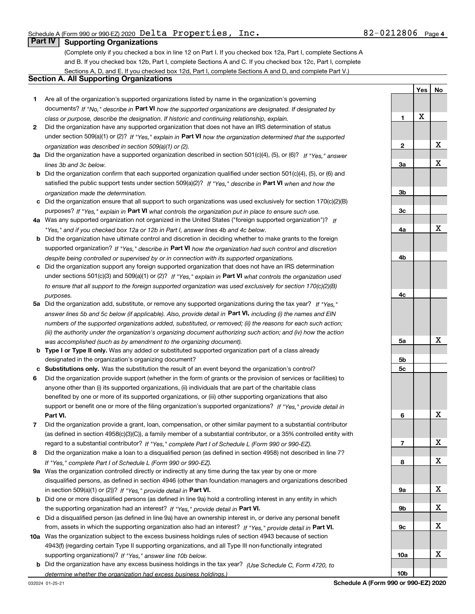**Yes**

**No**

#### **Part IV Supporting Organizations**

(Complete only if you checked a box in line 12 on Part I. If you checked box 12a, Part I, complete Sections A and B. If you checked box 12b, Part I, complete Sections A and C. If you checked box 12c, Part I, complete Sections A, D, and E. If you checked box 12d, Part I, complete Sections A and D, and complete Part V.)

#### **Section A. All Supporting Organizations**

- **1** Are all of the organization's supported organizations listed by name in the organization's governing documents? If "No," describe in **Part VI** how the supported organizations are designated. If designated by *class or purpose, describe the designation. If historic and continuing relationship, explain.*
- **2**under section 509(a)(1) or (2)? If "Yes," explain in Part VI how the organization determined that the supported *organization was described in section 509(a)(1) or (2).* Did the organization have any supported organization that does not have an IRS determination of status
- **3a** Did the organization have a supported organization described in section 501(c)(4), (5), or (6)? If "Yes," answer *lines 3b and 3c below.*
- **b** Did the organization confirm that each supported organization qualified under section 501(c)(4), (5), or (6) and satisfied the public support tests under section 509(a)(2)? If "Yes," describe in **Part VI** when and how the *organization made the determination.*
- **c**Did the organization ensure that all support to such organizations was used exclusively for section 170(c)(2)(B) purposes? If "Yes," explain in **Part VI** what controls the organization put in place to ensure such use.
- **4a***If* Was any supported organization not organized in the United States ("foreign supported organization")? *"Yes," and if you checked box 12a or 12b in Part I, answer lines 4b and 4c below.*
- **b** Did the organization have ultimate control and discretion in deciding whether to make grants to the foreign supported organization? If "Yes," describe in **Part VI** how the organization had such control and discretion *despite being controlled or supervised by or in connection with its supported organizations.*
- **c** Did the organization support any foreign supported organization that does not have an IRS determination under sections 501(c)(3) and 509(a)(1) or (2)? If "Yes," explain in **Part VI** what controls the organization used *to ensure that all support to the foreign supported organization was used exclusively for section 170(c)(2)(B) purposes.*
- **5a***If "Yes,"* Did the organization add, substitute, or remove any supported organizations during the tax year? answer lines 5b and 5c below (if applicable). Also, provide detail in **Part VI,** including (i) the names and EIN *numbers of the supported organizations added, substituted, or removed; (ii) the reasons for each such action; (iii) the authority under the organization's organizing document authorizing such action; and (iv) how the action was accomplished (such as by amendment to the organizing document).*
- **b** Type I or Type II only. Was any added or substituted supported organization part of a class already designated in the organization's organizing document?
- **cSubstitutions only.**  Was the substitution the result of an event beyond the organization's control?
- **6** Did the organization provide support (whether in the form of grants or the provision of services or facilities) to **Part VI.** *If "Yes," provide detail in* support or benefit one or more of the filing organization's supported organizations? anyone other than (i) its supported organizations, (ii) individuals that are part of the charitable class benefited by one or more of its supported organizations, or (iii) other supporting organizations that also
- **7***If "Yes," complete Part I of Schedule L (Form 990 or 990-EZ).* regard to a substantial contributor? Did the organization provide a grant, loan, compensation, or other similar payment to a substantial contributor (as defined in section 4958(c)(3)(C)), a family member of a substantial contributor, or a 35% controlled entity with
- **8** Did the organization make a loan to a disqualified person (as defined in section 4958) not described in line 7? *If "Yes," complete Part I of Schedule L (Form 990 or 990-EZ).*
- **9a** Was the organization controlled directly or indirectly at any time during the tax year by one or more in section 509(a)(1) or (2))? If "Yes," *provide detail in* <code>Part VI.</code> disqualified persons, as defined in section 4946 (other than foundation managers and organizations described
- **b**the supporting organization had an interest? If "Yes," provide detail in P**art VI**. Did one or more disqualified persons (as defined in line 9a) hold a controlling interest in any entity in which
- **c**Did a disqualified person (as defined in line 9a) have an ownership interest in, or derive any personal benefit from, assets in which the supporting organization also had an interest? If "Yes," provide detail in P**art VI.**
- **10a** Was the organization subject to the excess business holdings rules of section 4943 because of section supporting organizations)? If "Yes," answer line 10b below. 4943(f) (regarding certain Type II supporting organizations, and all Type III non-functionally integrated
- **b** Did the organization have any excess business holdings in the tax year? (Use Schedule C, Form 4720, to *determine whether the organization had excess business holdings.)*

| $\frac{\mathbf{x}}{\mathbf{y}}$ |
|---------------------------------|
| $\overline{\mathbf{X}}$         |
|                                 |
|                                 |
|                                 |
|                                 |
| $\overline{X}$                  |
|                                 |
|                                 |
|                                 |
|                                 |
|                                 |
| X                               |
|                                 |
|                                 |
|                                 |
|                                 |
| X                               |
|                                 |
| $\underline{x}$                 |
| X                               |
|                                 |
| X                               |
|                                 |
| X                               |
| X                               |
|                                 |
| X                               |
|                                 |
| X                               |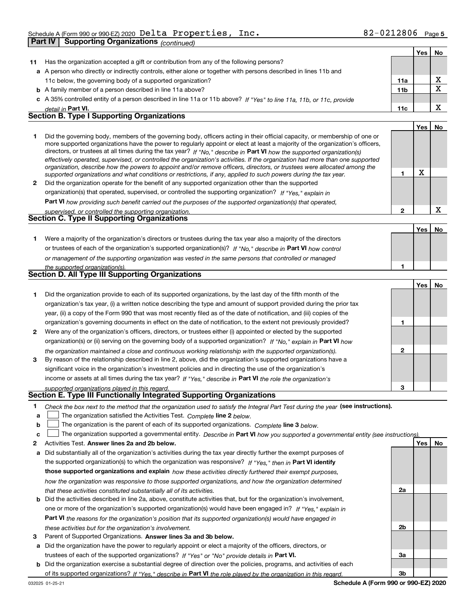|    | Part IV            | Supporting Organizations (continued)                                                                                                                                                                                                                                                                                                                                                                                                                                                                                                                                                                                                                 |                 |            |                         |
|----|--------------------|------------------------------------------------------------------------------------------------------------------------------------------------------------------------------------------------------------------------------------------------------------------------------------------------------------------------------------------------------------------------------------------------------------------------------------------------------------------------------------------------------------------------------------------------------------------------------------------------------------------------------------------------------|-----------------|------------|-------------------------|
|    |                    |                                                                                                                                                                                                                                                                                                                                                                                                                                                                                                                                                                                                                                                      |                 | <b>Yes</b> | No                      |
| 11 |                    | Has the organization accepted a gift or contribution from any of the following persons?                                                                                                                                                                                                                                                                                                                                                                                                                                                                                                                                                              |                 |            |                         |
|    |                    | a A person who directly or indirectly controls, either alone or together with persons described in lines 11b and                                                                                                                                                                                                                                                                                                                                                                                                                                                                                                                                     |                 |            |                         |
|    |                    | 11c below, the governing body of a supported organization?                                                                                                                                                                                                                                                                                                                                                                                                                                                                                                                                                                                           | 11a             |            | X                       |
|    |                    | <b>b</b> A family member of a person described in line 11a above?                                                                                                                                                                                                                                                                                                                                                                                                                                                                                                                                                                                    | 11 <sub>b</sub> |            | $\overline{\mathbf{x}}$ |
|    |                    | c A 35% controlled entity of a person described in line 11a or 11b above? If "Yes" to line 11a, 11b, or 11c, provide                                                                                                                                                                                                                                                                                                                                                                                                                                                                                                                                 |                 |            |                         |
|    | detail in Part VI. |                                                                                                                                                                                                                                                                                                                                                                                                                                                                                                                                                                                                                                                      | 11c             |            | X                       |
|    |                    | Section B. Type I Supporting Organizations                                                                                                                                                                                                                                                                                                                                                                                                                                                                                                                                                                                                           |                 |            |                         |
|    |                    |                                                                                                                                                                                                                                                                                                                                                                                                                                                                                                                                                                                                                                                      |                 | Yes        | No                      |
| 1  |                    | Did the governing body, members of the governing body, officers acting in their official capacity, or membership of one or<br>more supported organizations have the power to regularly appoint or elect at least a majority of the organization's officers,<br>directors, or trustees at all times during the tax year? If "No," describe in Part VI how the supported organization(s)<br>effectively operated, supervised, or controlled the organization's activities. If the organization had more than one supported<br>organization, describe how the powers to appoint and/or remove officers, directors, or trustees were allocated among the |                 |            |                         |
|    |                    | supported organizations and what conditions or restrictions, if any, applied to such powers during the tax year.                                                                                                                                                                                                                                                                                                                                                                                                                                                                                                                                     | 1               | X          |                         |
| 2  |                    | Did the organization operate for the benefit of any supported organization other than the supported                                                                                                                                                                                                                                                                                                                                                                                                                                                                                                                                                  |                 |            |                         |
|    |                    | organization(s) that operated, supervised, or controlled the supporting organization? If "Yes," explain in                                                                                                                                                                                                                                                                                                                                                                                                                                                                                                                                           |                 |            |                         |
|    |                    | Part VI how providing such benefit carried out the purposes of the supported organization(s) that operated,                                                                                                                                                                                                                                                                                                                                                                                                                                                                                                                                          |                 |            |                         |
|    |                    | supervised, or controlled the supporting organization.                                                                                                                                                                                                                                                                                                                                                                                                                                                                                                                                                                                               | $\mathbf{2}$    |            | X                       |
|    |                    | Section C. Type II Supporting Organizations                                                                                                                                                                                                                                                                                                                                                                                                                                                                                                                                                                                                          |                 |            |                         |
|    |                    |                                                                                                                                                                                                                                                                                                                                                                                                                                                                                                                                                                                                                                                      |                 | Yes        | No                      |
| 1  |                    | Were a majority of the organization's directors or trustees during the tax year also a majority of the directors                                                                                                                                                                                                                                                                                                                                                                                                                                                                                                                                     |                 |            |                         |
|    |                    | or trustees of each of the organization's supported organization(s)? If "No," describe in Part VI how control                                                                                                                                                                                                                                                                                                                                                                                                                                                                                                                                        |                 |            |                         |
|    |                    | or management of the supporting organization was vested in the same persons that controlled or managed                                                                                                                                                                                                                                                                                                                                                                                                                                                                                                                                               |                 |            |                         |
|    |                    | the supported organization(s).                                                                                                                                                                                                                                                                                                                                                                                                                                                                                                                                                                                                                       | 1               |            |                         |
|    |                    | <b>Section D. All Type III Supporting Organizations</b>                                                                                                                                                                                                                                                                                                                                                                                                                                                                                                                                                                                              |                 |            |                         |
|    |                    |                                                                                                                                                                                                                                                                                                                                                                                                                                                                                                                                                                                                                                                      |                 | Yes        | No                      |
| 1  |                    | Did the organization provide to each of its supported organizations, by the last day of the fifth month of the                                                                                                                                                                                                                                                                                                                                                                                                                                                                                                                                       |                 |            |                         |
|    |                    | organization's tax year, (i) a written notice describing the type and amount of support provided during the prior tax                                                                                                                                                                                                                                                                                                                                                                                                                                                                                                                                |                 |            |                         |
|    |                    | year, (ii) a copy of the Form 990 that was most recently filed as of the date of notification, and (iii) copies of the                                                                                                                                                                                                                                                                                                                                                                                                                                                                                                                               |                 |            |                         |
|    |                    | organization's governing documents in effect on the date of notification, to the extent not previously provided?                                                                                                                                                                                                                                                                                                                                                                                                                                                                                                                                     | 1               |            |                         |
| 2  |                    | Were any of the organization's officers, directors, or trustees either (i) appointed or elected by the supported                                                                                                                                                                                                                                                                                                                                                                                                                                                                                                                                     |                 |            |                         |
|    |                    | organization(s) or (ii) serving on the governing body of a supported organization? If "No," explain in Part VI how                                                                                                                                                                                                                                                                                                                                                                                                                                                                                                                                   |                 |            |                         |
|    |                    | the organization maintained a close and continuous working relationship with the supported organization(s).                                                                                                                                                                                                                                                                                                                                                                                                                                                                                                                                          | 2               |            |                         |

**3**income or assets at all times during the tax year? If "Yes," describe in **Part VI** the role the organization's By reason of the relationship described in line 2, above, did the organization's supported organizations have a significant voice in the organization's investment policies and in directing the use of the organization's

#### *supported organizations played in this regard.* **Section E. Type III Functionally Integrated Supporting Organizations**

- **1**Check the box next to the method that the organization used to satisfy the Integral Part Test during the year (see instructions).
- **alinupy** The organization satisfied the Activities Test. Complete line 2 below.
- **b**The organization is the parent of each of its supported organizations. *Complete* line 3 *below.*  $\mathcal{L}^{\text{max}}$

|  |  | c <u>L</u> The organization supported a governmental entity. Describe in Part VI how you supported a governmental entity (see instructions) |  |  |  |  |
|--|--|---------------------------------------------------------------------------------------------------------------------------------------------|--|--|--|--|
|--|--|---------------------------------------------------------------------------------------------------------------------------------------------|--|--|--|--|

- **2Answer lines 2a and 2b below. Yes No** Activities Test.
- **a** Did substantially all of the organization's activities during the tax year directly further the exempt purposes of the supported organization(s) to which the organization was responsive? If "Yes," then in **Part VI identify those supported organizations and explain**  *how these activities directly furthered their exempt purposes, how the organization was responsive to those supported organizations, and how the organization determined that these activities constituted substantially all of its activities.*
- **b** Did the activities described in line 2a, above, constitute activities that, but for the organization's involvement, **Part VI**  *the reasons for the organization's position that its supported organization(s) would have engaged in* one or more of the organization's supported organization(s) would have been engaged in? If "Yes," e*xplain in these activities but for the organization's involvement.*
- **3** Parent of Supported Organizations. Answer lines 3a and 3b below.

**a** Did the organization have the power to regularly appoint or elect a majority of the officers, directors, or trustees of each of the supported organizations? If "Yes" or "No" provide details in **Part VI.** 

**b** Did the organization exercise a substantial degree of direction over the policies, programs, and activities of each of its supported organizations? If "Yes," describe in Part VI the role played by the organization in this regard.

**3**

**2a**

**2b**

**3a**

**3b**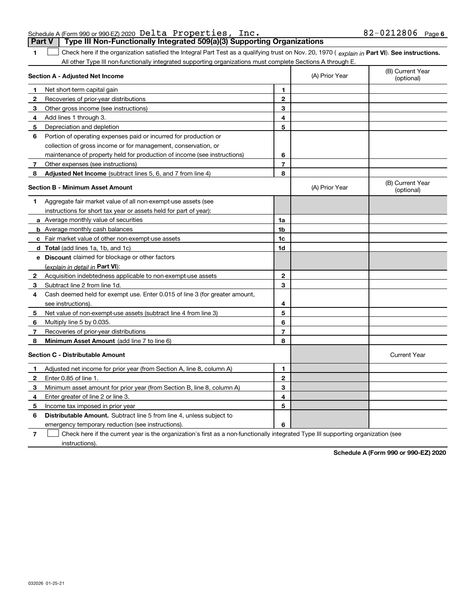|  | <b>Part V</b>   Type III Non-Functionally Integrated 509(a)(3) Supporting Organizations |  |
|--|-----------------------------------------------------------------------------------------|--|
|  |                                                                                         |  |

**1**1 Check here if the organization satisfied the Integral Part Test as a qualifying trust on Nov. 20, 1970 (explain in Part VI). See instructions. All other Type III non-functionally integrated supporting organizations must complete Sections A through E.

|              | Section A - Adjusted Net Income                                             |                | (A) Prior Year | (B) Current Year<br>(optional) |
|--------------|-----------------------------------------------------------------------------|----------------|----------------|--------------------------------|
| 1.           | Net short-term capital gain                                                 | 1              |                |                                |
| 2            | Recoveries of prior-year distributions                                      | $\overline{2}$ |                |                                |
| 3            | Other gross income (see instructions)                                       | 3              |                |                                |
| 4            | Add lines 1 through 3.                                                      | 4              |                |                                |
| 5            | Depreciation and depletion                                                  | 5              |                |                                |
| 6            | Portion of operating expenses paid or incurred for production or            |                |                |                                |
|              | collection of gross income or for management, conservation, or              |                |                |                                |
|              | maintenance of property held for production of income (see instructions)    | 6              |                |                                |
| 7            | Other expenses (see instructions)                                           | $\overline{7}$ |                |                                |
| 8            | Adjusted Net Income (subtract lines 5, 6, and 7 from line 4)                | 8              |                |                                |
|              | <b>Section B - Minimum Asset Amount</b>                                     |                | (A) Prior Year | (B) Current Year<br>(optional) |
| 1.           | Aggregate fair market value of all non-exempt-use assets (see               |                |                |                                |
|              | instructions for short tax year or assets held for part of year):           |                |                |                                |
|              | a Average monthly value of securities                                       | 1a             |                |                                |
|              | <b>b</b> Average monthly cash balances                                      | 1b             |                |                                |
|              | <b>c</b> Fair market value of other non-exempt-use assets                   | 1c             |                |                                |
|              | d Total (add lines 1a, 1b, and 1c)                                          | 1d             |                |                                |
|              | e Discount claimed for blockage or other factors                            |                |                |                                |
|              | (explain in detail in Part VI):                                             |                |                |                                |
| 2            | Acquisition indebtedness applicable to non-exempt-use assets                | $\mathbf{2}$   |                |                                |
| 3            | Subtract line 2 from line 1d.                                               | 3              |                |                                |
| 4            | Cash deemed held for exempt use. Enter 0.015 of line 3 (for greater amount, |                |                |                                |
|              | see instructions).                                                          | 4              |                |                                |
| 5            | Net value of non-exempt-use assets (subtract line 4 from line 3)            | 5              |                |                                |
| 6            | Multiply line 5 by 0.035.                                                   | 6              |                |                                |
| 7            | Recoveries of prior-year distributions                                      | 7              |                |                                |
| 8            | Minimum Asset Amount (add line 7 to line 6)                                 | 8              |                |                                |
|              | <b>Section C - Distributable Amount</b>                                     |                |                | <b>Current Year</b>            |
| 1            | Adjusted net income for prior year (from Section A, line 8, column A)       | 1              |                |                                |
| $\mathbf{2}$ | Enter 0.85 of line 1.                                                       | $\overline{2}$ |                |                                |
| З            | Minimum asset amount for prior year (from Section B, line 8, column A)      | 3              |                |                                |
| 4            | Enter greater of line 2 or line 3.                                          | 4              |                |                                |
| 5            | Income tax imposed in prior year                                            | 5              |                |                                |
| 6            | <b>Distributable Amount.</b> Subtract line 5 from line 4, unless subject to |                |                |                                |
|              | emergency temporary reduction (see instructions).                           | 6              |                |                                |
|              |                                                                             |                |                |                                |

**7**Check here if the current year is the organization's first as a non-functionally integrated Type III supporting organization (see instructions).

**Schedule A (Form 990 or 990-EZ) 2020**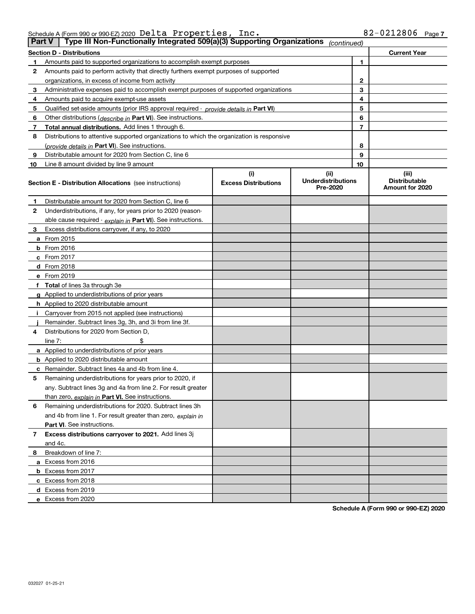| Schedule A (Form 990 or 990-EZ) 2020 $\,$ <code>Delta Properties</code> , |  | Inc. | $82 - 0212806$ Page 7 |  |
|---------------------------------------------------------------------------|--|------|-----------------------|--|
|                                                                           |  |      |                       |  |

| <b>Part V</b> | Type III Non-Functionally Integrated 509(a)(3) Supporting Organizations                    |                             | (continued)                           |                |                                         |
|---------------|--------------------------------------------------------------------------------------------|-----------------------------|---------------------------------------|----------------|-----------------------------------------|
|               | <b>Section D - Distributions</b>                                                           |                             |                                       |                | <b>Current Year</b>                     |
| 1             | Amounts paid to supported organizations to accomplish exempt purposes                      |                             |                                       | 1              |                                         |
| 2             | Amounts paid to perform activity that directly furthers exempt purposes of supported       |                             |                                       |                |                                         |
|               | organizations, in excess of income from activity                                           |                             |                                       | 2              |                                         |
| 3             | Administrative expenses paid to accomplish exempt purposes of supported organizations      |                             |                                       | 3              |                                         |
| 4             | Amounts paid to acquire exempt-use assets                                                  |                             |                                       | 4              |                                         |
| 5             | Qualified set-aside amounts (prior IRS approval required - provide details in Part VI)     |                             |                                       | 5              |                                         |
| 6             | Other distributions ( <i>describe in</i> Part VI). See instructions.                       |                             |                                       | 6              |                                         |
| 7             | Total annual distributions. Add lines 1 through 6.                                         |                             |                                       | $\overline{7}$ |                                         |
| 8             | Distributions to attentive supported organizations to which the organization is responsive |                             |                                       |                |                                         |
|               | (provide details in Part VI). See instructions.                                            |                             |                                       | 8              |                                         |
| 9             | Distributable amount for 2020 from Section C, line 6                                       |                             |                                       | 9              |                                         |
| 10            | Line 8 amount divided by line 9 amount                                                     |                             |                                       | 10             |                                         |
|               |                                                                                            | (i)                         | (ii)                                  |                | (iii)                                   |
|               | <b>Section E - Distribution Allocations</b> (see instructions)                             | <b>Excess Distributions</b> | <b>Underdistributions</b><br>Pre-2020 |                | <b>Distributable</b><br>Amount for 2020 |
| 1             | Distributable amount for 2020 from Section C, line 6                                       |                             |                                       |                |                                         |
| 2             | Underdistributions, if any, for years prior to 2020 (reason-                               |                             |                                       |                |                                         |
|               | able cause required - explain in Part VI). See instructions.                               |                             |                                       |                |                                         |
| 3             | Excess distributions carryover, if any, to 2020                                            |                             |                                       |                |                                         |
|               | <b>a</b> From 2015                                                                         |                             |                                       |                |                                         |
|               | <b>b</b> From 2016                                                                         |                             |                                       |                |                                         |
|               | c From 2017                                                                                |                             |                                       |                |                                         |
|               | <b>d</b> From 2018                                                                         |                             |                                       |                |                                         |
|               | e From 2019                                                                                |                             |                                       |                |                                         |
|               | f Total of lines 3a through 3e                                                             |                             |                                       |                |                                         |
|               | g Applied to underdistributions of prior years                                             |                             |                                       |                |                                         |
|               | <b>h</b> Applied to 2020 distributable amount                                              |                             |                                       |                |                                         |
|               | Carryover from 2015 not applied (see instructions)                                         |                             |                                       |                |                                         |
|               | Remainder. Subtract lines 3g, 3h, and 3i from line 3f.                                     |                             |                                       |                |                                         |
| 4             | Distributions for 2020 from Section D,                                                     |                             |                                       |                |                                         |
|               | line $7:$                                                                                  |                             |                                       |                |                                         |
|               | a Applied to underdistributions of prior years                                             |                             |                                       |                |                                         |
|               | <b>b</b> Applied to 2020 distributable amount                                              |                             |                                       |                |                                         |
|               | c Remainder. Subtract lines 4a and 4b from line 4.                                         |                             |                                       |                |                                         |
| 5             | Remaining underdistributions for years prior to 2020, if                                   |                             |                                       |                |                                         |
|               | any. Subtract lines 3g and 4a from line 2. For result greater                              |                             |                                       |                |                                         |
|               | than zero, explain in Part VI. See instructions.                                           |                             |                                       |                |                                         |
| 6             | Remaining underdistributions for 2020. Subtract lines 3h                                   |                             |                                       |                |                                         |
|               | and 4b from line 1. For result greater than zero, explain in                               |                             |                                       |                |                                         |
|               | Part VI. See instructions.                                                                 |                             |                                       |                |                                         |
| 7             | Excess distributions carryover to 2021. Add lines 3j                                       |                             |                                       |                |                                         |
|               | and 4c.                                                                                    |                             |                                       |                |                                         |
| 8             | Breakdown of line 7:                                                                       |                             |                                       |                |                                         |
|               | a Excess from 2016                                                                         |                             |                                       |                |                                         |
|               | <b>b</b> Excess from 2017                                                                  |                             |                                       |                |                                         |
|               | c Excess from 2018                                                                         |                             |                                       |                |                                         |
|               | d Excess from 2019                                                                         |                             |                                       |                |                                         |
|               | e Excess from 2020                                                                         |                             |                                       |                |                                         |
|               |                                                                                            |                             |                                       |                |                                         |

**Schedule A (Form 990 or 990-EZ) 2020**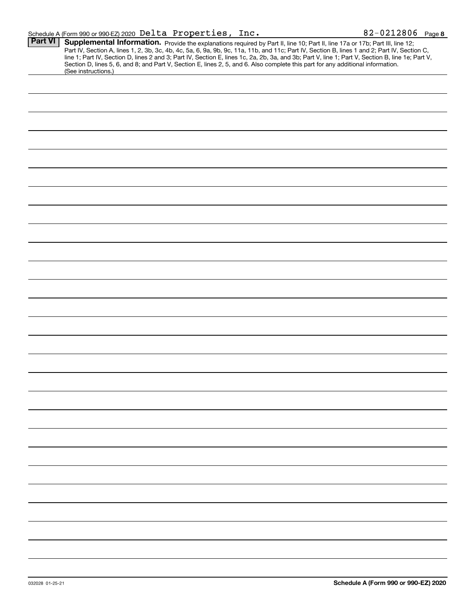| <b>Part VI</b> |                                                                                                                                                                                                                                                                                                                                                                                                                                   |
|----------------|-----------------------------------------------------------------------------------------------------------------------------------------------------------------------------------------------------------------------------------------------------------------------------------------------------------------------------------------------------------------------------------------------------------------------------------|
|                | Supplemental Information. Provide the explanations required by Part II, line 10; Part II, line 17a or 17b; Part III, line 12;<br>Part IV, Section A, lines 1, 2, 3b, 3c, 4b, 4c, 5a, 6, 9a, 9b, 9c, 11a, 11b, and 11c; Part IV, Section B, lines 1 and 2; Part IV, Section C,<br>line 1; Part IV, Section D, lines 2 and 3; Part IV, Section E, lines 1c, 2a, 2b, 3a, and 3b; Part V, line 1; Part V, Section B, line 1e; Part V, |
|                | Section D, lines 5, 6, and 8; and Part V, Section E, lines 2, 5, and 6. Also complete this part for any additional information.<br>(See instructions.)                                                                                                                                                                                                                                                                            |
|                |                                                                                                                                                                                                                                                                                                                                                                                                                                   |
|                |                                                                                                                                                                                                                                                                                                                                                                                                                                   |
|                |                                                                                                                                                                                                                                                                                                                                                                                                                                   |
|                |                                                                                                                                                                                                                                                                                                                                                                                                                                   |
|                |                                                                                                                                                                                                                                                                                                                                                                                                                                   |
|                |                                                                                                                                                                                                                                                                                                                                                                                                                                   |
|                |                                                                                                                                                                                                                                                                                                                                                                                                                                   |
|                |                                                                                                                                                                                                                                                                                                                                                                                                                                   |
|                |                                                                                                                                                                                                                                                                                                                                                                                                                                   |
|                |                                                                                                                                                                                                                                                                                                                                                                                                                                   |
|                |                                                                                                                                                                                                                                                                                                                                                                                                                                   |
|                |                                                                                                                                                                                                                                                                                                                                                                                                                                   |
|                |                                                                                                                                                                                                                                                                                                                                                                                                                                   |
|                |                                                                                                                                                                                                                                                                                                                                                                                                                                   |
|                |                                                                                                                                                                                                                                                                                                                                                                                                                                   |
|                |                                                                                                                                                                                                                                                                                                                                                                                                                                   |
|                |                                                                                                                                                                                                                                                                                                                                                                                                                                   |
|                |                                                                                                                                                                                                                                                                                                                                                                                                                                   |
|                |                                                                                                                                                                                                                                                                                                                                                                                                                                   |
|                |                                                                                                                                                                                                                                                                                                                                                                                                                                   |
|                |                                                                                                                                                                                                                                                                                                                                                                                                                                   |
|                |                                                                                                                                                                                                                                                                                                                                                                                                                                   |
|                |                                                                                                                                                                                                                                                                                                                                                                                                                                   |
|                |                                                                                                                                                                                                                                                                                                                                                                                                                                   |
|                |                                                                                                                                                                                                                                                                                                                                                                                                                                   |
|                |                                                                                                                                                                                                                                                                                                                                                                                                                                   |
|                |                                                                                                                                                                                                                                                                                                                                                                                                                                   |
|                |                                                                                                                                                                                                                                                                                                                                                                                                                                   |
|                |                                                                                                                                                                                                                                                                                                                                                                                                                                   |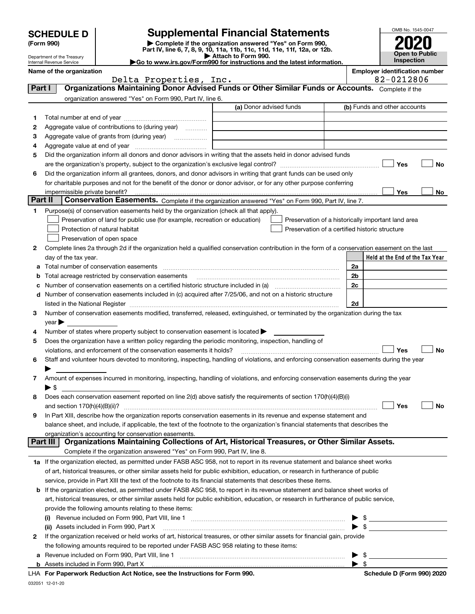|         | <b>SCHEDULE D</b>                                      |                                                                                                                                                                                                                               | <b>Supplemental Financial Statements</b>                                                        |                         | OMB No. 1545-0047                                   |    |
|---------|--------------------------------------------------------|-------------------------------------------------------------------------------------------------------------------------------------------------------------------------------------------------------------------------------|-------------------------------------------------------------------------------------------------|-------------------------|-----------------------------------------------------|----|
|         | (Form 990)                                             |                                                                                                                                                                                                                               | Complete if the organization answered "Yes" on Form 990,                                        |                         |                                                     |    |
|         |                                                        |                                                                                                                                                                                                                               | Part IV, line 6, 7, 8, 9, 10, 11a, 11b, 11c, 11d, 11e, 11f, 12a, or 12b.<br>Attach to Form 990. |                         | <b>Open to Public</b>                               |    |
|         | Department of the Treasury<br>Internal Revenue Service |                                                                                                                                                                                                                               | Go to www.irs.gov/Form990 for instructions and the latest information.                          |                         | Inspection                                          |    |
|         | Name of the organization                               | Delta Properties, Inc.                                                                                                                                                                                                        |                                                                                                 |                         | <b>Employer identification number</b><br>82-0212806 |    |
| Part I  |                                                        | Organizations Maintaining Donor Advised Funds or Other Similar Funds or Accounts. Complete if the                                                                                                                             |                                                                                                 |                         |                                                     |    |
|         |                                                        | organization answered "Yes" on Form 990, Part IV, line 6.                                                                                                                                                                     |                                                                                                 |                         |                                                     |    |
|         |                                                        |                                                                                                                                                                                                                               | (a) Donor advised funds                                                                         |                         | (b) Funds and other accounts                        |    |
| 1.      |                                                        |                                                                                                                                                                                                                               |                                                                                                 |                         |                                                     |    |
| 2       |                                                        | Aggregate value of contributions to (during year)                                                                                                                                                                             |                                                                                                 |                         |                                                     |    |
| З       |                                                        | Aggregate value of grants from (during year)                                                                                                                                                                                  |                                                                                                 |                         |                                                     |    |
| 4       |                                                        |                                                                                                                                                                                                                               |                                                                                                 |                         |                                                     |    |
| 5       |                                                        | Did the organization inform all donors and donor advisors in writing that the assets held in donor advised funds                                                                                                              |                                                                                                 |                         |                                                     |    |
|         |                                                        |                                                                                                                                                                                                                               |                                                                                                 |                         | Yes                                                 | No |
| 6       |                                                        | Did the organization inform all grantees, donors, and donor advisors in writing that grant funds can be used only                                                                                                             |                                                                                                 |                         |                                                     |    |
|         |                                                        | for charitable purposes and not for the benefit of the donor or donor advisor, or for any other purpose conferring                                                                                                            |                                                                                                 |                         |                                                     |    |
| Part II | impermissible private benefit?                         |                                                                                                                                                                                                                               |                                                                                                 |                         | Yes                                                 | No |
|         |                                                        | Conservation Easements. Complete if the organization answered "Yes" on Form 990, Part IV, line 7.                                                                                                                             |                                                                                                 |                         |                                                     |    |
| 1.      |                                                        | Purpose(s) of conservation easements held by the organization (check all that apply).<br>Preservation of land for public use (for example, recreation or education)                                                           |                                                                                                 |                         | Preservation of a historically important land area  |    |
|         |                                                        | Protection of natural habitat                                                                                                                                                                                                 |                                                                                                 |                         | Preservation of a certified historic structure      |    |
|         |                                                        | Preservation of open space                                                                                                                                                                                                    |                                                                                                 |                         |                                                     |    |
| 2       |                                                        | Complete lines 2a through 2d if the organization held a qualified conservation contribution in the form of a conservation easement on the last                                                                                |                                                                                                 |                         |                                                     |    |
|         | day of the tax year.                                   |                                                                                                                                                                                                                               |                                                                                                 |                         | Held at the End of the Tax Year                     |    |
| a       |                                                        | Total number of conservation easements                                                                                                                                                                                        |                                                                                                 | 2a                      |                                                     |    |
| b       |                                                        | Total acreage restricted by conservation easements                                                                                                                                                                            |                                                                                                 | 2b                      |                                                     |    |
| с       |                                                        | Number of conservation easements on a certified historic structure included in (a) manufacture included in (a)                                                                                                                |                                                                                                 | 2 <sub>c</sub>          |                                                     |    |
| d       |                                                        | Number of conservation easements included in (c) acquired after 7/25/06, and not on a historic structure                                                                                                                      |                                                                                                 |                         |                                                     |    |
|         |                                                        | listed in the National Register [11, 1200] [12] The National Register [11, 1200] [12] The National Register [11, 1200] [12] The National Register [11, 1200] [12] The National Register [11, 1200] [12] The National Register |                                                                                                 | 2d                      |                                                     |    |
| 3       |                                                        | Number of conservation easements modified, transferred, released, extinguished, or terminated by the organization during the tax                                                                                              |                                                                                                 |                         |                                                     |    |
|         | $\vee$ ear                                             |                                                                                                                                                                                                                               |                                                                                                 |                         |                                                     |    |
| 4       |                                                        | Number of states where property subject to conservation easement is located $\blacktriangleright$                                                                                                                             |                                                                                                 |                         |                                                     |    |
| 5       |                                                        | Does the organization have a written policy regarding the periodic monitoring, inspection, handling of                                                                                                                        |                                                                                                 |                         |                                                     |    |
|         |                                                        | violations, and enforcement of the conservation easements it holds?                                                                                                                                                           |                                                                                                 |                         | Yes                                                 | No |
| 6       |                                                        | Staff and volunteer hours devoted to monitoring, inspecting, handling of violations, and enforcing conservation easements during the year                                                                                     |                                                                                                 |                         |                                                     |    |
|         |                                                        |                                                                                                                                                                                                                               |                                                                                                 |                         |                                                     |    |
| 7       |                                                        | Amount of expenses incurred in monitoring, inspecting, handling of violations, and enforcing conservation easements during the year                                                                                           |                                                                                                 |                         |                                                     |    |
|         | $\blacktriangleright$ \$                               |                                                                                                                                                                                                                               |                                                                                                 |                         |                                                     |    |
| 8       |                                                        | Does each conservation easement reported on line 2(d) above satisfy the requirements of section 170(h)(4)(B)(i)                                                                                                               |                                                                                                 |                         |                                                     |    |
| 9       |                                                        | In Part XIII, describe how the organization reports conservation easements in its revenue and expense statement and                                                                                                           |                                                                                                 |                         | Yes                                                 | No |
|         |                                                        | balance sheet, and include, if applicable, the text of the footnote to the organization's financial statements that describes the                                                                                             |                                                                                                 |                         |                                                     |    |
|         |                                                        | organization's accounting for conservation easements.                                                                                                                                                                         |                                                                                                 |                         |                                                     |    |
|         | Part III                                               | Organizations Maintaining Collections of Art, Historical Treasures, or Other Similar Assets.                                                                                                                                  |                                                                                                 |                         |                                                     |    |
|         |                                                        | Complete if the organization answered "Yes" on Form 990, Part IV, line 8.                                                                                                                                                     |                                                                                                 |                         |                                                     |    |
|         |                                                        | 1a If the organization elected, as permitted under FASB ASC 958, not to report in its revenue statement and balance sheet works                                                                                               |                                                                                                 |                         |                                                     |    |
|         |                                                        | of art, historical treasures, or other similar assets held for public exhibition, education, or research in furtherance of public                                                                                             |                                                                                                 |                         |                                                     |    |
|         |                                                        | service, provide in Part XIII the text of the footnote to its financial statements that describes these items.                                                                                                                |                                                                                                 |                         |                                                     |    |
|         |                                                        | <b>b</b> If the organization elected, as permitted under FASB ASC 958, to report in its revenue statement and balance sheet works of                                                                                          |                                                                                                 |                         |                                                     |    |
|         |                                                        | art, historical treasures, or other similar assets held for public exhibition, education, or research in furtherance of public service,                                                                                       |                                                                                                 |                         |                                                     |    |
|         |                                                        | provide the following amounts relating to these items:                                                                                                                                                                        |                                                                                                 |                         |                                                     |    |
|         | $\sf^{(1)}$                                            |                                                                                                                                                                                                                               |                                                                                                 |                         |                                                     |    |
|         |                                                        | (ii) Assets included in Form 990, Part X [11] [12] Assets included in Form 990, Part X                                                                                                                                        |                                                                                                 | $\blacktriangleright$ s |                                                     |    |
| 2       |                                                        | If the organization received or held works of art, historical treasures, or other similar assets for financial gain, provide                                                                                                  |                                                                                                 |                         |                                                     |    |
|         |                                                        | the following amounts required to be reported under FASB ASC 958 relating to these items:                                                                                                                                     |                                                                                                 |                         |                                                     |    |
| а       |                                                        |                                                                                                                                                                                                                               |                                                                                                 | - \$                    |                                                     |    |

| Assets included in Form 990. Part X                                        |  |                            |
|----------------------------------------------------------------------------|--|----------------------------|
| LHA For Paperwork Reduction Act Notice, see the Instructions for Form 990. |  | Schedule D (Form 990) 2020 |

032051 12-01-20

 $\blacktriangleright$  \$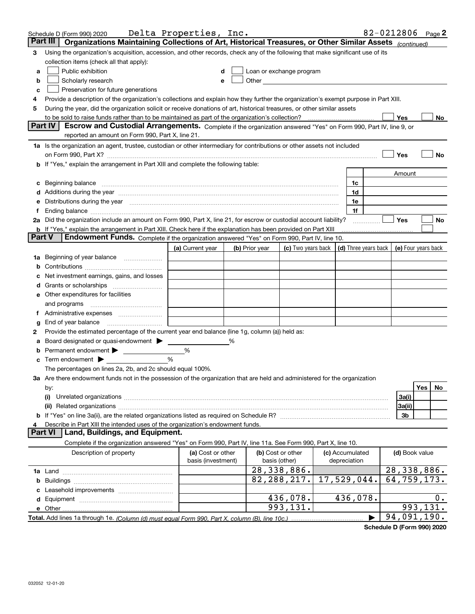|               |                                                                                                                                                                                                                                | 82-0212806 Page 2<br>Delta Properties, Inc.<br>Schedule D (Form 990) 2020<br>Organizations Maintaining Collections of Art, Historical Treasures, or Other Similar Assets (continued)<br>Part III |   |                |                                                                                                                                                                                                                                |                 |  |                |                                            |
|---------------|--------------------------------------------------------------------------------------------------------------------------------------------------------------------------------------------------------------------------------|--------------------------------------------------------------------------------------------------------------------------------------------------------------------------------------------------|---|----------------|--------------------------------------------------------------------------------------------------------------------------------------------------------------------------------------------------------------------------------|-----------------|--|----------------|--------------------------------------------|
|               |                                                                                                                                                                                                                                |                                                                                                                                                                                                  |   |                |                                                                                                                                                                                                                                |                 |  |                |                                            |
| З             | Using the organization's acquisition, accession, and other records, check any of the following that make significant use of its                                                                                                |                                                                                                                                                                                                  |   |                |                                                                                                                                                                                                                                |                 |  |                |                                            |
|               | collection items (check all that apply):                                                                                                                                                                                       |                                                                                                                                                                                                  |   |                |                                                                                                                                                                                                                                |                 |  |                |                                            |
| a             | Public exhibition                                                                                                                                                                                                              |                                                                                                                                                                                                  |   |                | Loan or exchange program                                                                                                                                                                                                       |                 |  |                |                                            |
| b             | Scholarly research                                                                                                                                                                                                             | е                                                                                                                                                                                                |   |                | Other the contract of the contract of the contract of the contract of the contract of the contract of the contract of the contract of the contract of the contract of the contract of the contract of the contract of the cont |                 |  |                |                                            |
| c             | Preservation for future generations                                                                                                                                                                                            |                                                                                                                                                                                                  |   |                |                                                                                                                                                                                                                                |                 |  |                |                                            |
|               | Provide a description of the organization's collections and explain how they further the organization's exempt purpose in Part XIII.                                                                                           |                                                                                                                                                                                                  |   |                |                                                                                                                                                                                                                                |                 |  |                |                                            |
| 5             | During the year, did the organization solicit or receive donations of art, historical treasures, or other similar assets                                                                                                       |                                                                                                                                                                                                  |   |                |                                                                                                                                                                                                                                |                 |  |                |                                            |
|               | to be sold to raise funds rather than to be maintained as part of the organization's collection?                                                                                                                               |                                                                                                                                                                                                  |   |                |                                                                                                                                                                                                                                |                 |  | Yes            | No                                         |
|               | Part IV<br>Escrow and Custodial Arrangements. Complete if the organization answered "Yes" on Form 990, Part IV, line 9, or                                                                                                     |                                                                                                                                                                                                  |   |                |                                                                                                                                                                                                                                |                 |  |                |                                            |
|               | reported an amount on Form 990, Part X, line 21.                                                                                                                                                                               |                                                                                                                                                                                                  |   |                |                                                                                                                                                                                                                                |                 |  |                |                                            |
|               | 1a Is the organization an agent, trustee, custodian or other intermediary for contributions or other assets not included                                                                                                       |                                                                                                                                                                                                  |   |                |                                                                                                                                                                                                                                |                 |  |                |                                            |
|               | on Form 990, Part X? [11] matter contracts and contracts and contracts are contracted as a form 990, Part X?                                                                                                                   |                                                                                                                                                                                                  |   |                |                                                                                                                                                                                                                                |                 |  | Yes            | No                                         |
|               | b If "Yes," explain the arrangement in Part XIII and complete the following table:                                                                                                                                             |                                                                                                                                                                                                  |   |                |                                                                                                                                                                                                                                |                 |  |                |                                            |
|               |                                                                                                                                                                                                                                |                                                                                                                                                                                                  |   |                |                                                                                                                                                                                                                                |                 |  | Amount         |                                            |
| c             |                                                                                                                                                                                                                                |                                                                                                                                                                                                  |   |                |                                                                                                                                                                                                                                | 1c              |  |                |                                            |
|               | Additions during the year manufactured and an account of the year manufactured and account of the year manufactured and account of the year manufactured and account of the year manufactured and account of the year manufact |                                                                                                                                                                                                  |   |                |                                                                                                                                                                                                                                | 1d              |  |                |                                            |
|               | Distributions during the year manufactured and continuum and contract the year manufactured and contract the year                                                                                                              |                                                                                                                                                                                                  |   |                |                                                                                                                                                                                                                                | 1e              |  |                |                                            |
|               |                                                                                                                                                                                                                                |                                                                                                                                                                                                  |   |                |                                                                                                                                                                                                                                | 1f              |  |                |                                            |
|               | 2a Did the organization include an amount on Form 990, Part X, line 21, for escrow or custodial account liability?                                                                                                             |                                                                                                                                                                                                  |   |                |                                                                                                                                                                                                                                |                 |  | Yes            | No                                         |
| <b>Part V</b> | b If "Yes," explain the arrangement in Part XIII. Check here if the explanation has been provided on Part XIII<br>Endowment Funds. Complete if the organization answered "Yes" on Form 990, Part IV, line 10.                  |                                                                                                                                                                                                  |   |                |                                                                                                                                                                                                                                |                 |  |                |                                            |
|               |                                                                                                                                                                                                                                |                                                                                                                                                                                                  |   |                |                                                                                                                                                                                                                                |                 |  |                |                                            |
|               |                                                                                                                                                                                                                                | (a) Current year                                                                                                                                                                                 |   | (b) Prior year | (c) Two years back                                                                                                                                                                                                             |                 |  |                | (d) Three years back   (e) Four years back |
| 1a            | Beginning of year balance                                                                                                                                                                                                      |                                                                                                                                                                                                  |   |                |                                                                                                                                                                                                                                |                 |  |                |                                            |
|               |                                                                                                                                                                                                                                |                                                                                                                                                                                                  |   |                |                                                                                                                                                                                                                                |                 |  |                |                                            |
|               | Net investment earnings, gains, and losses                                                                                                                                                                                     |                                                                                                                                                                                                  |   |                |                                                                                                                                                                                                                                |                 |  |                |                                            |
|               |                                                                                                                                                                                                                                |                                                                                                                                                                                                  |   |                |                                                                                                                                                                                                                                |                 |  |                |                                            |
|               | e Other expenditures for facilities                                                                                                                                                                                            |                                                                                                                                                                                                  |   |                |                                                                                                                                                                                                                                |                 |  |                |                                            |
|               | and programs                                                                                                                                                                                                                   |                                                                                                                                                                                                  |   |                |                                                                                                                                                                                                                                |                 |  |                |                                            |
|               | End of year balance                                                                                                                                                                                                            |                                                                                                                                                                                                  |   |                |                                                                                                                                                                                                                                |                 |  |                |                                            |
| 2             | Provide the estimated percentage of the current year end balance (line 1g, column (a)) held as:                                                                                                                                |                                                                                                                                                                                                  |   |                |                                                                                                                                                                                                                                |                 |  |                |                                            |
|               | Board designated or quasi-endowment                                                                                                                                                                                            |                                                                                                                                                                                                  | % |                |                                                                                                                                                                                                                                |                 |  |                |                                            |
|               | Permanent endowment                                                                                                                                                                                                            | %                                                                                                                                                                                                |   |                |                                                                                                                                                                                                                                |                 |  |                |                                            |
|               | Term endowment $\blacktriangleright$                                                                                                                                                                                           | %                                                                                                                                                                                                |   |                |                                                                                                                                                                                                                                |                 |  |                |                                            |
|               | The percentages on lines 2a, 2b, and 2c should equal 100%.                                                                                                                                                                     |                                                                                                                                                                                                  |   |                |                                                                                                                                                                                                                                |                 |  |                |                                            |
|               | 3a Are there endowment funds not in the possession of the organization that are held and administered for the organization                                                                                                     |                                                                                                                                                                                                  |   |                |                                                                                                                                                                                                                                |                 |  |                |                                            |
|               | by:                                                                                                                                                                                                                            |                                                                                                                                                                                                  |   |                |                                                                                                                                                                                                                                |                 |  |                | Yes<br>No                                  |
|               | (i)                                                                                                                                                                                                                            |                                                                                                                                                                                                  |   |                |                                                                                                                                                                                                                                |                 |  | 3a(i)          |                                            |
|               |                                                                                                                                                                                                                                |                                                                                                                                                                                                  |   |                |                                                                                                                                                                                                                                |                 |  | 3a(ii)         |                                            |
|               |                                                                                                                                                                                                                                |                                                                                                                                                                                                  |   |                |                                                                                                                                                                                                                                |                 |  | 3b             |                                            |
|               | Describe in Part XIII the intended uses of the organization's endowment funds.                                                                                                                                                 |                                                                                                                                                                                                  |   |                |                                                                                                                                                                                                                                |                 |  |                |                                            |
|               | Land, Buildings, and Equipment.<br><b>Part VI</b>                                                                                                                                                                              |                                                                                                                                                                                                  |   |                |                                                                                                                                                                                                                                |                 |  |                |                                            |
|               | Complete if the organization answered "Yes" on Form 990, Part IV, line 11a. See Form 990, Part X, line 10.                                                                                                                     |                                                                                                                                                                                                  |   |                |                                                                                                                                                                                                                                |                 |  |                |                                            |
|               | Description of property                                                                                                                                                                                                        | (a) Cost or other                                                                                                                                                                                |   |                | (b) Cost or other                                                                                                                                                                                                              | (c) Accumulated |  | (d) Book value |                                            |
|               |                                                                                                                                                                                                                                | basis (investment)                                                                                                                                                                               |   |                | basis (other)                                                                                                                                                                                                                  | depreciation    |  |                |                                            |
|               |                                                                                                                                                                                                                                |                                                                                                                                                                                                  |   |                | 28,338,886.                                                                                                                                                                                                                    |                 |  |                | $\overline{28}$ , 338, 886.                |
|               |                                                                                                                                                                                                                                |                                                                                                                                                                                                  |   |                | 82, 288, 217.                                                                                                                                                                                                                  | 17,529,044.     |  |                | 64,759,173.                                |
|               |                                                                                                                                                                                                                                |                                                                                                                                                                                                  |   |                |                                                                                                                                                                                                                                |                 |  |                |                                            |
|               |                                                                                                                                                                                                                                |                                                                                                                                                                                                  |   |                | 436,078.                                                                                                                                                                                                                       | 436,078.        |  |                | 0.                                         |
|               |                                                                                                                                                                                                                                |                                                                                                                                                                                                  |   |                | 993,131.                                                                                                                                                                                                                       |                 |  |                | 993,131.                                   |
|               |                                                                                                                                                                                                                                |                                                                                                                                                                                                  |   |                |                                                                                                                                                                                                                                |                 |  |                | 94,091,190.                                |

**Schedule D (Form 990) 2020**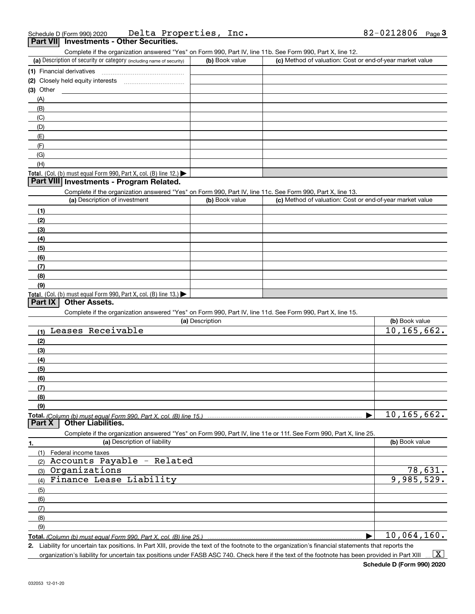| Schedule D (Form 990) 2020                      | Delta Properties, Inc. | $82 - 0212806$ Page |  |
|-------------------------------------------------|------------------------|---------------------|--|
| <b>Part VII</b> Investments - Other Securities. |                        |                     |  |

Complete if the organization answered "Yes" on Form 990, Part IV, line 11b. See Form 990, Part X, line 12.

| (a) Description of security or category (including name of security)                          | (b) Book value | (c) Method of valuation: Cost or end-of-year market value |
|-----------------------------------------------------------------------------------------------|----------------|-----------------------------------------------------------|
| (1) Financial derivatives                                                                     |                |                                                           |
| (2) Closely held equity interests<br>                                                         |                |                                                           |
| $(3)$ Other                                                                                   |                |                                                           |
| (A)                                                                                           |                |                                                           |
| (B)                                                                                           |                |                                                           |
| (C)                                                                                           |                |                                                           |
| (D)                                                                                           |                |                                                           |
| (E)                                                                                           |                |                                                           |
| (F)                                                                                           |                |                                                           |
| (G)                                                                                           |                |                                                           |
| (H)                                                                                           |                |                                                           |
| <b>Total.</b> (Col. (b) must equal Form 990, Part X, col. (B) line 12.) $\blacktriangleright$ |                |                                                           |

## **Part VIII Investments - Program Related.**

Complete if the organization answered "Yes" on Form 990, Part IV, line 11c. See Form 990, Part X, line 13.

| (a) Description of investment                                       | (b) Book value | (c) Method of valuation: Cost or end-of-year market value |
|---------------------------------------------------------------------|----------------|-----------------------------------------------------------|
| (1)                                                                 |                |                                                           |
| (2)                                                                 |                |                                                           |
| $\frac{1}{2}$                                                       |                |                                                           |
| (4)                                                                 |                |                                                           |
| $\frac{1}{2}$                                                       |                |                                                           |
| (6)                                                                 |                |                                                           |
| $\sqrt{(7)}$                                                        |                |                                                           |
| (8)                                                                 |                |                                                           |
| (9)                                                                 |                |                                                           |
| Total. (Col. (b) must equal Form 990, Part X, col. (B) line $13.$ ) |                |                                                           |

#### **Part IX Other Assets.**

Complete if the organization answered "Yes" on Form 990, Part IV, line 11d. See Form 990, Part X, line 15.

| (a) Description                                                                                                   | (b) Book value              |
|-------------------------------------------------------------------------------------------------------------------|-----------------------------|
| Leases Receivable<br>(1)                                                                                          | $\overline{10}$ , 165, 662. |
| (2)                                                                                                               |                             |
| (3)                                                                                                               |                             |
| (4)                                                                                                               |                             |
| (5)                                                                                                               |                             |
| (6)                                                                                                               |                             |
| (7)                                                                                                               |                             |
| (8)                                                                                                               |                             |
| (9)                                                                                                               |                             |
|                                                                                                                   | 10, 165, 662.               |
| <b>Other Liabilities.</b><br><b>Part X</b>                                                                        |                             |
| Complete if the organization answered "Yes" on Form 990, Part IV, line 11e or 11f. See Form 990, Part X, line 25. |                             |
| (a) Description of liability<br>1.                                                                                | (b) Book value              |
| Federal income taxes<br>(1)                                                                                       |                             |
| Accounts Payable - Related<br>(2)                                                                                 |                             |
| Organizations<br>(3)                                                                                              | 78,631.                     |
| Finance Lease Liability<br>(4)                                                                                    | 9,985,529.                  |
| (5)                                                                                                               |                             |
| (6)                                                                                                               |                             |
| (7)                                                                                                               |                             |
| (8)                                                                                                               |                             |
| (9)                                                                                                               |                             |
|                                                                                                                   | 10,064,160.                 |

**2.** Liability for uncertain tax positions. In Part XIII, provide the text of the footnote to the organization's financial statements that reports the organization's liability for uncertain tax positions under FASB ASC 740. Check here if the text of the footnote has been provided in Part XIII  $\vert$  X  $\vert$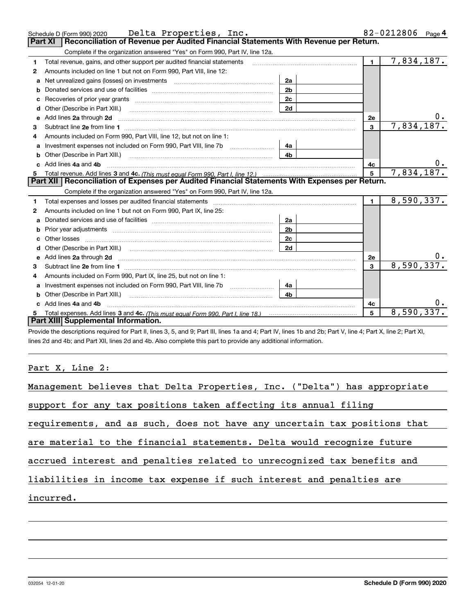|    | Schedule D (Form 990) 2020 Delta Properties, $Inc.$                                                                                                                                                                            |                |                | 82-0212806<br>Page $4$ |
|----|--------------------------------------------------------------------------------------------------------------------------------------------------------------------------------------------------------------------------------|----------------|----------------|------------------------|
|    | Reconciliation of Revenue per Audited Financial Statements With Revenue per Return.<br><b>Part XI</b>                                                                                                                          |                |                |                        |
|    | Complete if the organization answered "Yes" on Form 990, Part IV, line 12a.                                                                                                                                                    |                |                |                        |
| 1. | Total revenue, gains, and other support per audited financial statements                                                                                                                                                       |                | $\mathbf{1}$   | 7,834,187.             |
| 2  | Amounts included on line 1 but not on Form 990, Part VIII, line 12:                                                                                                                                                            |                |                |                        |
| a  |                                                                                                                                                                                                                                | 2a             |                |                        |
|    |                                                                                                                                                                                                                                | 2 <sub>b</sub> |                |                        |
| c  |                                                                                                                                                                                                                                | 2c             |                |                        |
|    |                                                                                                                                                                                                                                | 2d             |                |                        |
| е  | Add lines 2a through 2d                                                                                                                                                                                                        |                | 2e             | 0.                     |
| 3  |                                                                                                                                                                                                                                |                | $\overline{3}$ | 7,834,187.             |
| 4  | Amounts included on Form 990, Part VIII, line 12, but not on line 1:                                                                                                                                                           |                |                |                        |
| a  | Investment expenses not included on Form 990, Part VIII, line 7b [100] [100] [100] [100] [100] [100] [100] [100] [100] [100] [100] [100] [100] [100] [100] [100] [100] [100] [100] [100] [100] [100] [100] [100] [100] [100] [ | 4a             |                |                        |
|    |                                                                                                                                                                                                                                | 4 <sub>b</sub> |                |                        |
|    |                                                                                                                                                                                                                                |                | 4c             | 0.                     |
|    | Add lines 4a and 4b                                                                                                                                                                                                            |                |                |                        |
| 5  |                                                                                                                                                                                                                                |                | $5^{\circ}$    | 7,834,187.             |
|    | Part XII   Reconciliation of Expenses per Audited Financial Statements With Expenses per Return.                                                                                                                               |                |                |                        |
|    | Complete if the organization answered "Yes" on Form 990, Part IV, line 12a.                                                                                                                                                    |                |                |                        |
| 1. | Total expenses and losses per audited financial statements                                                                                                                                                                     |                | $\blacksquare$ | 8,590,337.             |
| 2  | Amounts included on line 1 but not on Form 990, Part IX, line 25:                                                                                                                                                              |                |                |                        |
| a  |                                                                                                                                                                                                                                | 2a             |                |                        |
| b  |                                                                                                                                                                                                                                | 2b             |                |                        |
|    |                                                                                                                                                                                                                                | 2c             |                |                        |
|    |                                                                                                                                                                                                                                | 2d             |                |                        |
|    | e Add lines 2a through 2d <b>[10]</b> Manuscription and the Add lines 2a through 2d <b>[10]</b> Manuscription <b>Add lines</b> 2a through 2d                                                                                   |                | 2e             |                        |
| 3  |                                                                                                                                                                                                                                |                | 3              | 8,590,337.             |
| 4  | Amounts included on Form 990, Part IX, line 25, but not on line 1:                                                                                                                                                             |                |                |                        |
| a  |                                                                                                                                                                                                                                | 4a             |                |                        |
|    |                                                                                                                                                                                                                                | 4 <sub>b</sub> |                |                        |
|    | c Add lines 4a and 4b                                                                                                                                                                                                          |                | 4c             |                        |
|    | Part XIII Supplemental Information.                                                                                                                                                                                            |                | 5              | 8,590,337.             |

Provide the descriptions required for Part II, lines 3, 5, and 9; Part III, lines 1a and 4; Part IV, lines 1b and 2b; Part V, line 4; Part X, line 2; Part XI, lines 2d and 4b; and Part XII, lines 2d and 4b. Also complete this part to provide any additional information.

## Part X, Line 2:

| Management believes that Delta Properties, Inc. ("Delta") has appropriate |
|---------------------------------------------------------------------------|
| support for any tax positions taken affecting its annual filing           |
| requirements, and as such, does not have any uncertain tax positions that |
| are material to the financial statements. Delta would recognize future    |
| accrued interest and penalties related to unrecognized tax benefits and   |
| liabilities in income tax expense if such interest and penalties are      |
| incurred.                                                                 |
|                                                                           |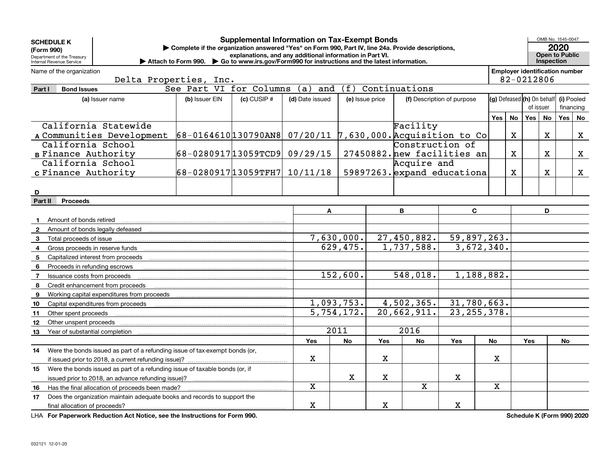| <b>SCHEDULE K</b> |                                                                             |                                                                                                   | <b>Supplemental Information on Tax-Exempt Bonds</b>      |                 |                   |                            |                 |                             |             |              |                                       |             | OMB No. 1545-0047     |              |
|-------------------|-----------------------------------------------------------------------------|---------------------------------------------------------------------------------------------------|----------------------------------------------------------|-----------------|-------------------|----------------------------|-----------------|-----------------------------|-------------|--------------|---------------------------------------|-------------|-----------------------|--------------|
| (Form 990)        |                                                                             | Complete if the organization answered "Yes" on Form 990, Part IV, line 24a. Provide descriptions, |                                                          |                 |                   |                            |                 |                             |             |              |                                       |             | 2020                  |              |
|                   | Department of the Treasury<br>Internal Revenue Service                      | Attach to Form 990. Go to www.irs.gov/Form990 for instructions and the latest information.        | explanations, and any additional information in Part VI. |                 |                   |                            |                 |                             |             |              |                                       | Inspection  | <b>Open to Public</b> |              |
|                   | Name of the organization                                                    |                                                                                                   |                                                          |                 |                   |                            |                 |                             |             |              | <b>Employer identification number</b> |             |                       |              |
|                   |                                                                             | Delta Properties, Inc.                                                                            |                                                          |                 |                   |                            |                 |                             |             |              | 82-0212806                            |             |                       |              |
| Part I            | <b>Bond Issues</b>                                                          | See Part VI for Columns                                                                           |                                                          | (a)<br>and      | (f)               |                            | Continuations   |                             |             |              |                                       |             |                       |              |
|                   | (a) Issuer name                                                             | (b) Issuer EIN                                                                                    | $(c)$ CUSIP $#$                                          | (d) Date issued |                   | (e) Issue price            |                 | (f) Description of purpose  |             |              | (g) Defeased (h) On behalf            |             | (i) Pooled            |              |
|                   |                                                                             |                                                                                                   |                                                          |                 |                   |                            |                 |                             |             |              | of issuer                             |             | financing             |              |
|                   |                                                                             |                                                                                                   |                                                          |                 |                   |                            | Yes             | No                          | Yes         | No           | Yes                                   | No          |                       |              |
|                   | California Statewide                                                        |                                                                                                   |                                                          |                 |                   |                            | Facility        |                             |             |              |                                       |             |                       |              |
|                   | A Communities Development                                                   | 68-0164610130790AN8 07/20/11 7,630,000. Acquisition to Co                                         |                                                          |                 |                   |                            |                 |                             |             | $\mathbf{x}$ |                                       | $\mathbf X$ |                       | X            |
|                   | California School                                                           |                                                                                                   |                                                          |                 |                   |                            | Construction of |                             |             |              |                                       |             |                       |              |
|                   | <b>B Finance Authority</b>                                                  | 68-028091713059TCD9 09/29/15                                                                      |                                                          |                 |                   |                            |                 | 27450882. new facilities an |             | $\mathbf{x}$ |                                       | $\mathbf X$ |                       | $\mathbf{X}$ |
|                   | California School                                                           |                                                                                                   |                                                          |                 |                   |                            | Acquire and     |                             |             |              |                                       |             |                       |              |
|                   | c Finance Authority                                                         | 68-028091713059TFH7 10/11/18                                                                      |                                                          |                 |                   |                            |                 | 59897263. expand educationa |             | X            |                                       | X           |                       | X            |
|                   |                                                                             |                                                                                                   |                                                          |                 |                   |                            |                 |                             |             |              |                                       |             |                       |              |
| D                 |                                                                             |                                                                                                   |                                                          |                 |                   |                            |                 |                             |             |              |                                       |             |                       |              |
| Part II           | <b>Proceeds</b>                                                             |                                                                                                   |                                                          |                 |                   |                            |                 |                             |             |              |                                       |             |                       |              |
|                   |                                                                             |                                                                                                   |                                                          | A               |                   |                            | B               | C.                          |             |              |                                       | D           |                       |              |
| $\mathbf{1}$      | Amount of bonds retired                                                     |                                                                                                   |                                                          |                 |                   |                            |                 |                             |             |              |                                       |             |                       |              |
|                   | <b>2</b> Amount of bonds legally defeased                                   |                                                                                                   |                                                          |                 |                   |                            |                 |                             |             |              |                                       |             |                       |              |
| 3                 | Total proceeds of issue                                                     |                                                                                                   |                                                          |                 | 7,630,000.        | 27,450,882.<br>59,897,263. |                 |                             |             |              |                                       |             |                       |              |
| 4                 | Gross proceeds in reserve funds                                             |                                                                                                   |                                                          |                 | 629,475.          | 1,737,588.                 |                 | 3,672,340.                  |             |              |                                       |             |                       |              |
| 5                 | Capitalized interest from proceeds                                          |                                                                                                   |                                                          |                 |                   |                            |                 |                             |             |              |                                       |             |                       |              |
| 6                 | Proceeds in refunding escrows                                               |                                                                                                   |                                                          |                 |                   |                            |                 |                             |             |              |                                       |             |                       |              |
| $\overline{7}$    | Issuance costs from proceeds                                                |                                                                                                   |                                                          |                 | 152,600.          |                            | 548,018.        | 1,188,882.                  |             |              |                                       |             |                       |              |
| 8                 | Credit enhancement from proceeds                                            |                                                                                                   |                                                          |                 |                   |                            |                 |                             |             |              |                                       |             |                       |              |
| 9                 | Working capital expenditures from proceeds                                  |                                                                                                   |                                                          |                 |                   |                            |                 |                             |             |              |                                       |             |                       |              |
| 10                | Capital expenditures from proceeds                                          |                                                                                                   |                                                          |                 | 1,093,753.        |                            | 4,502,365.      | 31,780,663.                 |             |              |                                       |             |                       |              |
| 11                | Other spent proceeds                                                        |                                                                                                   |                                                          |                 | 5,754,172.        |                            | 20,662,911.     | 23, 255, 378.               |             |              |                                       |             |                       |              |
| 12                | Other unspent proceeds                                                      |                                                                                                   |                                                          |                 |                   |                            |                 |                             |             |              |                                       |             |                       |              |
| 13                | Year of substantial completion                                              |                                                                                                   |                                                          |                 | $\overline{2011}$ |                            | 2016            |                             |             |              |                                       |             |                       |              |
|                   |                                                                             |                                                                                                   |                                                          | <b>Yes</b>      | No                | Yes                        | <b>No</b>       | Yes                         | No          |              | <b>Yes</b>                            |             | <b>No</b>             |              |
| 14                | Were the bonds issued as part of a refunding issue of tax-exempt bonds (or, |                                                                                                   |                                                          |                 |                   |                            |                 |                             |             |              |                                       |             |                       |              |
|                   | if issued prior to 2018, a current refunding issue)?                        |                                                                                                   |                                                          | $\mathbf X$     |                   | х                          |                 |                             | х           |              |                                       |             |                       |              |
| 15                | Were the bonds issued as part of a refunding issue of taxable bonds (or, if |                                                                                                   |                                                          |                 |                   |                            |                 |                             |             |              |                                       |             |                       |              |
|                   | issued prior to 2018, an advance refunding issue)?                          |                                                                                                   |                                                          |                 | $\mathbf X$       | $\mathbf X$                |                 | X                           |             |              |                                       |             |                       |              |
| 16                | Has the final allocation of proceeds been made?                             |                                                                                                   |                                                          | X               |                   |                            | X               |                             | $\mathbf X$ |              |                                       |             |                       |              |
| 17                | Does the organization maintain adequate books and records to support the    |                                                                                                   |                                                          |                 |                   |                            |                 |                             |             |              |                                       |             |                       |              |
|                   | final allocation of proceeds?                                               |                                                                                                   |                                                          | X               |                   | X                          |                 | x                           |             |              |                                       |             |                       |              |

**For Paperwork Reduction Act Notice, see the Instructions for Form 990. Schedule K (Form 990) 2020** LHA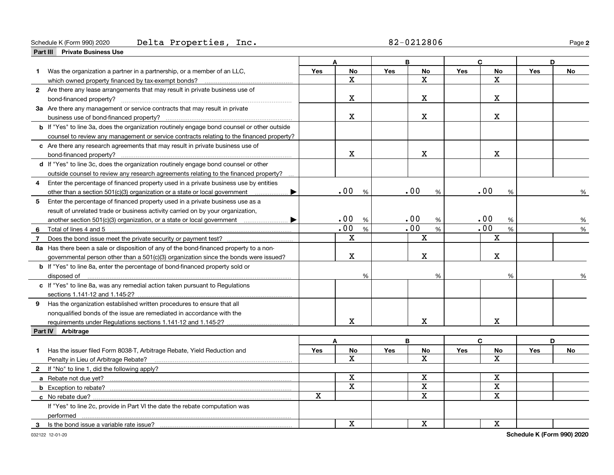#### Schedule K (Form 990) 2020 Page Delta Properties, Inc. 82-0212806

|                | Part III Private Business Use                                                               |     |             |            |             |            |             |            |           |
|----------------|---------------------------------------------------------------------------------------------|-----|-------------|------------|-------------|------------|-------------|------------|-----------|
|                |                                                                                             |     |             |            | B           |            | $\mathbf C$ |            | D         |
| 1              | Was the organization a partner in a partnership, or a member of an LLC,                     | Yes | <b>No</b>   | <b>Yes</b> | <b>No</b>   | Yes        | <b>No</b>   | Yes        | <b>No</b> |
|                | which owned property financed by tax-exempt bonds?                                          |     | $\mathbf X$ |            | $\mathbf X$ |            | $\mathbf X$ |            |           |
|                | 2 Are there any lease arrangements that may result in private business use of               |     |             |            |             |            |             |            |           |
|                |                                                                                             |     | $\mathbf X$ |            | х           |            | $\mathbf X$ |            |           |
|                | 3a Are there any management or service contracts that may result in private                 |     |             |            |             |            |             |            |           |
|                |                                                                                             |     | $\mathbf X$ |            | x           |            | X.          |            |           |
|                | b If "Yes" to line 3a, does the organization routinely engage bond counsel or other outside |     |             |            |             |            |             |            |           |
|                | counsel to review any management or service contracts relating to the financed property?    |     |             |            |             |            |             |            |           |
|                | c Are there any research agreements that may result in private business use of              |     |             |            |             |            |             |            |           |
|                |                                                                                             |     | $\mathbf X$ |            | $\mathbf X$ |            | $\mathbf X$ |            |           |
|                | d If "Yes" to line 3c, does the organization routinely engage bond counsel or other         |     |             |            |             |            |             |            |           |
|                | outside counsel to review any research agreements relating to the financed property?        |     |             |            |             |            |             |            |           |
| 4              | Enter the percentage of financed property used in a private business use by entities        |     |             |            |             |            |             |            |           |
|                | other than a section 501(c)(3) organization or a state or local government<br>▶             |     | .00<br>%    |            | .00<br>$\%$ |            | .00<br>%    |            | %         |
|                | 5 Enter the percentage of financed property used in a private business use as a             |     |             |            |             |            |             |            |           |
|                | result of unrelated trade or business activity carried on by your organization,             |     |             |            |             |            |             |            |           |
|                |                                                                                             |     | .00<br>%    |            | .00<br>%    |            | .00<br>%    |            | %         |
| 6              | Total of lines 4 and 5                                                                      |     | .00<br>$\%$ |            | .00<br>$\%$ |            | .00<br>%    |            | %         |
| $\overline{7}$ |                                                                                             |     | $\mathbf X$ |            | X           |            | $\mathbf X$ |            |           |
|                |                                                                                             |     |             |            |             |            |             |            |           |
|                | 8a Has there been a sale or disposition of any of the bond-financed property to a non-      |     | $\mathbf X$ |            | X           |            | $\mathbf X$ |            |           |
|                | governmental person other than a 501(c)(3) organization since the bonds were issued?        |     |             |            |             |            |             |            |           |
|                | <b>b</b> If "Yes" to line 8a, enter the percentage of bond-financed property sold or        |     |             |            |             |            |             |            |           |
|                | disposed of <u>www.communications.communications.communications.com</u>                     |     | %           |            | %           |            | %           |            |           |
|                | c If "Yes" to line 8a, was any remedial action taken pursuant to Regulations                |     |             |            |             |            |             |            |           |
|                |                                                                                             |     |             |            |             |            |             |            |           |
|                | 9 Has the organization established written procedures to ensure that all                    |     |             |            |             |            |             |            |           |
|                | nonqualified bonds of the issue are remediated in accordance with the                       |     |             |            |             |            |             |            |           |
|                | requirements under Regulations sections 1.141-12 and 1.145-2?                               |     | x           |            | $\mathbf X$ |            | $\mathbf X$ |            |           |
|                | Part IV Arbitrage                                                                           |     |             |            |             |            |             |            |           |
|                |                                                                                             |     | A           |            | B           |            | C           |            | D         |
| 1.             | Has the issuer filed Form 8038-T, Arbitrage Rebate, Yield Reduction and                     | Yes | No          | Yes        | No          | <b>Yes</b> | No          | <b>Yes</b> | No        |
|                | Penalty in Lieu of Arbitrage Rebate?                                                        |     | x           |            | X           |            | x           |            |           |
|                | 2 If "No" to line 1, did the following apply?                                               |     |             |            |             |            |             |            |           |
|                | a Rebate not due yet?                                                                       |     | $\mathbf X$ |            | $\mathbf x$ |            | $\mathbf X$ |            |           |
|                |                                                                                             |     | $\mathbf X$ |            | $\mathbf x$ |            | X           |            |           |
|                | c No rebate due?                                                                            | X   |             |            | X           |            | $\mathbf X$ |            |           |
|                | If "Yes" to line 2c, provide in Part VI the date the rebate computation was                 |     |             |            |             |            |             |            |           |
|                | performed                                                                                   |     |             |            |             |            |             |            |           |
| 3              |                                                                                             |     | $\mathbf X$ |            | $\mathbf x$ |            | X           |            |           |

032122 12-01-20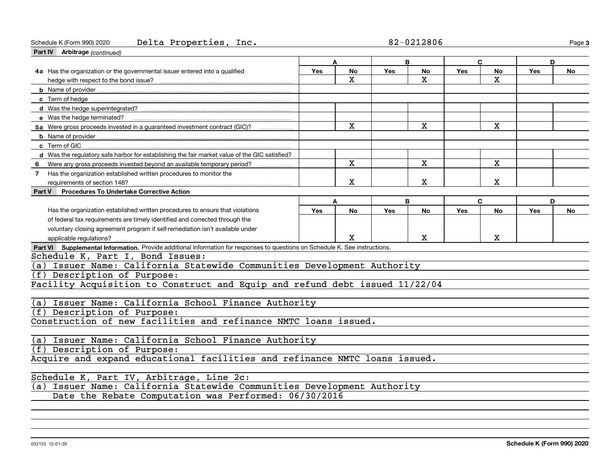#### Schedule K (Form 990) 2020 Page Delta Properties, Inc. 82-0212806

**3**

| Part IV Arbitrage (continued)                                                                                                |            |              |            |             |     |              |            |           |
|------------------------------------------------------------------------------------------------------------------------------|------------|--------------|------------|-------------|-----|--------------|------------|-----------|
|                                                                                                                              |            | A            |            | B           | C   |              | D          |           |
| 4a Has the organization or the governmental issuer entered into a qualified                                                  | Yes        | <b>No</b>    | Yes        | <b>No</b>   | Yes | <b>No</b>    | <b>Yes</b> | <b>No</b> |
|                                                                                                                              |            | $\mathbf X$  |            | X           |     | х            |            |           |
|                                                                                                                              |            |              |            |             |     |              |            |           |
| c Term of hedge                                                                                                              |            |              |            |             |     |              |            |           |
|                                                                                                                              |            |              |            |             |     |              |            |           |
| e Was the hedge terminated?                                                                                                  |            |              |            |             |     |              |            |           |
| 5a Were gross proceeds invested in a guaranteed investment contract (GIC)?                                                   |            | X            |            | X           |     | $\mathbf{x}$ |            |           |
|                                                                                                                              |            |              |            |             |     |              |            |           |
| c Term of GIC                                                                                                                |            |              |            |             |     |              |            |           |
| d Was the regulatory safe harbor for establishing the fair market value of the GIC satisfied?                                |            |              |            |             |     |              |            |           |
| Were any gross proceeds invested beyond an available temporary period?<br>6.                                                 |            | $\mathbf{x}$ |            | X           |     | $\mathbf{x}$ |            |           |
| 7 Has the organization established written procedures to monitor the                                                         |            |              |            |             |     |              |            |           |
| requirements of section 148?                                                                                                 |            | х            |            | $\mathbf X$ |     | х            |            |           |
| Part V<br><b>Procedures To Undertake Corrective Action</b>                                                                   |            |              |            |             |     |              |            |           |
|                                                                                                                              |            | A            |            | B           | C   |              | D          |           |
| Has the organization established written procedures to ensure that violations                                                | <b>Yes</b> | <b>No</b>    | <b>Yes</b> | <b>No</b>   | Yes | <b>No</b>    | <b>Yes</b> | No        |
| of federal tax requirements are timely identified and corrected through the                                                  |            |              |            |             |     |              |            |           |
| voluntary closing agreement program if self-remediation isn't available under                                                |            |              |            |             |     |              |            |           |
| applicable regulations?                                                                                                      |            | X            |            | X           |     | X            |            |           |
| Part VI Supplemental Information. Provide additional information for responses to questions on Schedule K. See instructions. |            |              |            |             |     |              |            |           |
| Schedule K, Part I, Bond Issues:                                                                                             |            |              |            |             |     |              |            |           |
| (a) Issuer Name: California Statewide Communities Development Authority                                                      |            |              |            |             |     |              |            |           |
| (f) Description of Purpose:                                                                                                  |            |              |            |             |     |              |            |           |
| Facility Acquisition to Construct and Equip and refund debt issued 11/22/04                                                  |            |              |            |             |     |              |            |           |
|                                                                                                                              |            |              |            |             |     |              |            |           |
| (a) Issuer Name: California School Finance Authority                                                                         |            |              |            |             |     |              |            |           |
| (f) Description of Purpose:                                                                                                  |            |              |            |             |     |              |            |           |
| Construction of new facilities and refinance NMTC loans issued.                                                              |            |              |            |             |     |              |            |           |
|                                                                                                                              |            |              |            |             |     |              |            |           |
| (a) Issuer Name: California School Finance Authority                                                                         |            |              |            |             |     |              |            |           |
| (f) Description of Purpose:                                                                                                  |            |              |            |             |     |              |            |           |
| Acquire and expand educational facilities and refinance NMTC loans issued.                                                   |            |              |            |             |     |              |            |           |
|                                                                                                                              |            |              |            |             |     |              |            |           |
| Schedule K, Part IV, Arbitrage, Line 2c:                                                                                     |            |              |            |             |     |              |            |           |
| (a) Issuer Name: California Statewide Communities Development Authority                                                      |            |              |            |             |     |              |            |           |
| Date the Rebate Computation was Performed: 06/30/2016                                                                        |            |              |            |             |     |              |            |           |
|                                                                                                                              |            |              |            |             |     |              |            |           |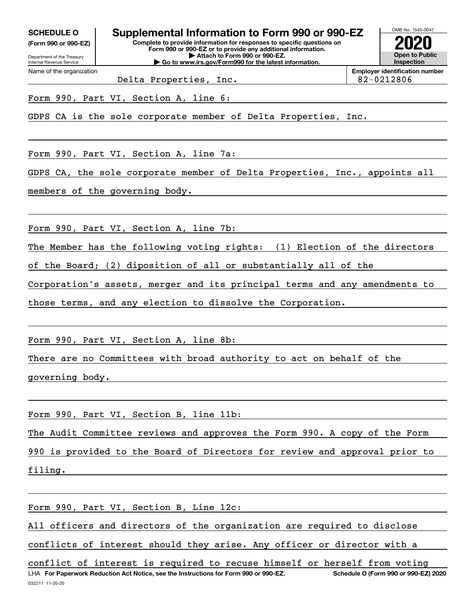**(Form 990 or 990-EZ)**

Department of the Treasury Internal Revenue Service Name of the organization

**Complete to provide information for responses to specific questions on Form 990 or 990-EZ or to provide any additional information. | Attach to Form 990 or 990-EZ. | Go to www.irs.gov/Form990 for the latest information. SCHEDULE O Supplemental Information to Form 990 or 990-EZ**



**Employer identification number** Delta Properties, Inc. 182-0212806

Form 990, Part VI, Section A, line 6:

GDPS CA is the sole corporate member of Delta Properties, Inc.

Form 990, Part VI, Section A, line 7a:

GDPS CA, the sole corporate member of Delta Properties, Inc., appoints all

members of the governing body.

Form 990, Part VI, Section A, line 7b:

The Member has the following voting rights: (1) Election of the directors

of the Board; (2) diposition of all or substantially all of the

Corporation's assets, merger and its principal terms and any amendments to

those terms, and any election to dissolve the Corporation.

Form 990, Part VI, Section A, line 8b:

There are no Committees with broad authority to act on behalf of the governing body.

Form 990, Part VI, Section B, line 11b:

The Audit Committee reviews and approves the Form 990. A copy of the Form

990 is provided to the Board of Directors for review and approval prior to filing.

Form 990, Part VI, Section B, Line 12c:

All officers and directors of the organization are required to disclose

conflicts of interest should they arise. Any officer or director with a

032211 11-20-20 LHA For Paperwork Reduction Act Notice, see the Instructions for Form 990 or 990-EZ. Schedule O (Form 990 or 990-EZ) 2020 conflict of interest is required to recuse himself or herself from voting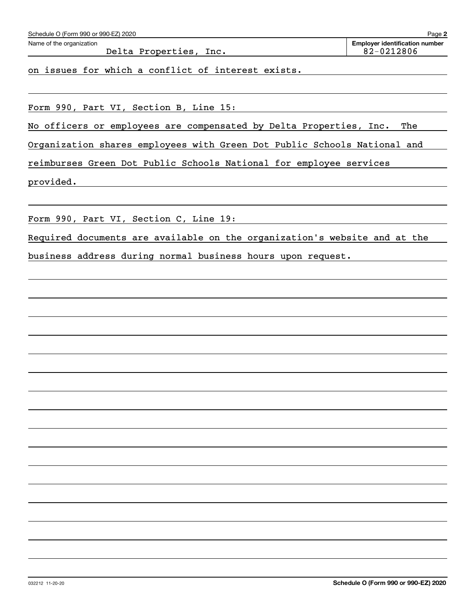| Schedule O (Form 990 or 990-EZ) 2020                                      | Page 2                                              |
|---------------------------------------------------------------------------|-----------------------------------------------------|
| Name of the organization<br>Delta Properties, Inc.                        | <b>Employer identification number</b><br>82-0212806 |
| on issues for which a conflict of interest exists.                        |                                                     |
|                                                                           |                                                     |
|                                                                           |                                                     |
| Form 990, Part VI, Section B, Line 15:                                    |                                                     |
| No officers or employees are compensated by Delta Properties, Inc.        | The                                                 |
| Organization shares employees with Green Dot Public Schools National and  |                                                     |
| reimburses Green Dot Public Schools National for employee services        |                                                     |
| provided.                                                                 |                                                     |
|                                                                           |                                                     |
| Form 990, Part VI, Section C, Line 19:                                    |                                                     |
| Required documents are available on the organization's website and at the |                                                     |
| business address during normal business hours upon request.               |                                                     |
|                                                                           |                                                     |
|                                                                           |                                                     |
|                                                                           |                                                     |
|                                                                           |                                                     |
|                                                                           |                                                     |
|                                                                           |                                                     |
|                                                                           |                                                     |
|                                                                           |                                                     |
|                                                                           |                                                     |
|                                                                           |                                                     |
|                                                                           |                                                     |
|                                                                           |                                                     |
|                                                                           |                                                     |
|                                                                           |                                                     |
|                                                                           |                                                     |
|                                                                           |                                                     |
|                                                                           |                                                     |
|                                                                           |                                                     |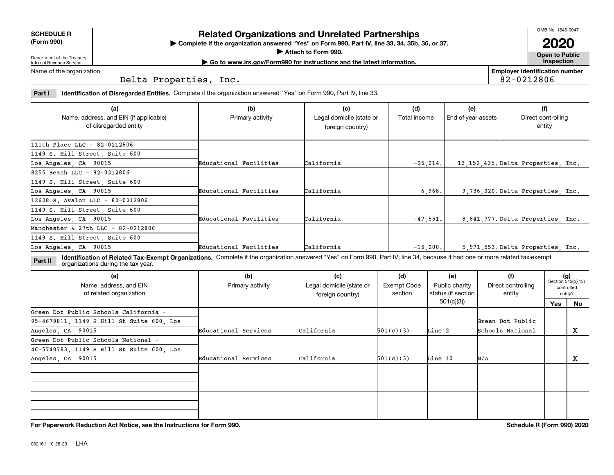| <b>SCHEDULE R</b>         |  |
|---------------------------|--|
| $\sim$ 0.00<br>$\sqrt{2}$ |  |

**(Form 990)**

## **Related Organizations and Unrelated Partnerships**

**Complete if the organization answered "Yes" on Form 990, Part IV, line 33, 34, 35b, 36, or 37.** |

**Attach to Form 990.**  |

OMB No. 1545-0047

**Open to Public | Go to www.irs.gov/Form990 for instructions and the latest information. Inspection 2020**

**Employer identification number**

82-0212806

Department of the Treasury Internal Revenue Service Name of the organization

Delta Properties, Inc.

**Part I Identification of Disregarded Entities.**  Complete if the organization answered "Yes" on Form 990, Part IV, line 33.

| (a)                                                             | (b)                    | (c)                                          | (d)          | (e)                | (f)                                  |
|-----------------------------------------------------------------|------------------------|----------------------------------------------|--------------|--------------------|--------------------------------------|
| Name, address, and EIN (if applicable)<br>of disregarded entity | Primary activity       | Legal domicile (state or<br>foreign country) | Total income | End-of-year assets | Direct controlling<br>entity         |
| 111th Place LLC - 82-0212806                                    |                        |                                              |              |                    |                                      |
| 1149 S. Hill Street, Suite 600                                  |                        |                                              |              |                    |                                      |
| Los Angeles, CA 90015                                           | Educational Facilities | California                                   | $-25,014.$   |                    | 13, 152, 435. Delta Properties, Inc. |
| 8255 Beach LLC - 82-0212806                                     |                        |                                              |              |                    |                                      |
| 1149 S. Hill Street, Suite 600                                  |                        |                                              |              |                    |                                      |
| Los Angeles, CA 90015                                           | Educational Facilities | California                                   | 6.968.       |                    | 9,736,020. Delta Properties, Inc.    |
| 12628 S. Avalon LLC - 82-0212806                                |                        |                                              |              |                    |                                      |
| 1149 S. Hill Street, Suite 600                                  |                        |                                              |              |                    |                                      |
| Los Angeles, CA 90015                                           | Educational Facilities | California                                   | $-47,551.$   |                    | 8,841,777. Delta Properties, Inc.    |
| Manchester & 27th LLC - 82-0212806                              |                        |                                              |              |                    |                                      |
| 1149 S. Hill Street, Suite 600                                  |                        |                                              |              |                    |                                      |
| Los Angeles, CA 90015                                           | Educational Facilities | California                                   | $-15, 200,$  |                    | 5.971.553. Delta Properties. Inc.    |

**Identification of Related Tax-Exempt Organizations.** Complete if the organization answered "Yes" on Form 990, Part IV, line 34, because it had one or more related tax-exempt **Part II** organizations during the tax year.

| (a)<br>Name, address, and EIN<br>of related organization | (b)<br>Primary activity | (c)<br>Legal domicile (state or<br>foreign country) | (d)<br><b>Exempt Code</b><br>section | (e)<br>Public charity<br>status (if section | (f)<br>Direct controlling<br>entity |     | $(g)$<br>Section 512(b)(13)<br>controlled<br>entity? |
|----------------------------------------------------------|-------------------------|-----------------------------------------------------|--------------------------------------|---------------------------------------------|-------------------------------------|-----|------------------------------------------------------|
|                                                          |                         |                                                     |                                      | 501(c)(3))                                  |                                     | Yes | No                                                   |
| Green Dot Public Schools California -                    |                         |                                                     |                                      |                                             |                                     |     |                                                      |
| 95-4679811, 1149 S Hill St Suite 600, Los                |                         |                                                     |                                      |                                             | Green Dot Public                    |     |                                                      |
| Angeles, CA 90015                                        | Educational Services    | California                                          | 501(c)(3)                            | Line 2                                      | Schools National                    |     | х                                                    |
| Green Dot Public Schools National -                      |                         |                                                     |                                      |                                             |                                     |     |                                                      |
| 46-5740783, 1149 S Hill St Suite 600, Los                |                         |                                                     |                                      |                                             |                                     |     |                                                      |
| Angeles, CA 90015                                        | Educational Services    | California                                          | 501(c)(3)                            | Line 10                                     | N/A                                 |     | x                                                    |
|                                                          |                         |                                                     |                                      |                                             |                                     |     |                                                      |
|                                                          |                         |                                                     |                                      |                                             |                                     |     |                                                      |
|                                                          |                         |                                                     |                                      |                                             |                                     |     |                                                      |
|                                                          |                         |                                                     |                                      |                                             |                                     |     |                                                      |

**For Paperwork Reduction Act Notice, see the Instructions for Form 990. Schedule R (Form 990) 2020**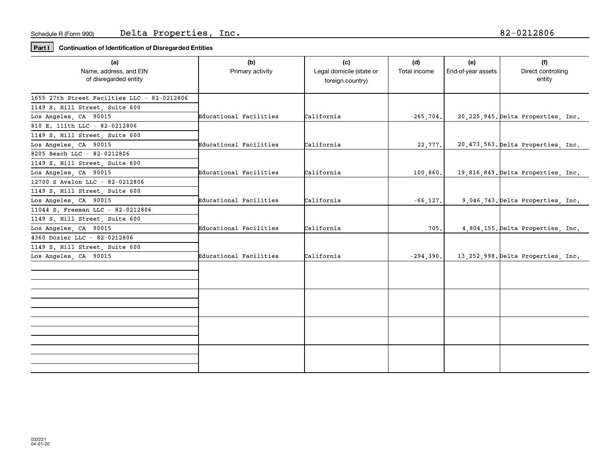**Part I Continuation of Identification of Disregarded Entities**

| (a)<br>Name, address, and EIN<br>of disregarded entity                                       | (b)<br>Primary activity | (c)<br>Legal domicile (state or<br>foreign country) | (d)<br>Total income | (e)<br>End-of-year assets | (f)<br>Direct controlling<br>entity  |
|----------------------------------------------------------------------------------------------|-------------------------|-----------------------------------------------------|---------------------|---------------------------|--------------------------------------|
| 1655 27th Street Facilties LLC - 82-0212806<br>1149 S. Hill Street, Suite 600                |                         |                                                     |                     |                           |                                      |
| Los Angeles, CA 90015<br>810 E. 111th LLC - 82-0212806<br>1149 S. Hill Street, Suite 600     | Educational Facilities  | California                                          | $-265, 704.$        |                           | 20, 225, 945. Delta Properties, Inc. |
| Los Angeles, CA 90015<br>8205 Beach LLC - 82-0212806                                         | Educational Facilities  | California                                          | 22,777.             |                           | 20, 473, 563. Delta Properties, Inc. |
| 1149 S. Hill Street, Suite 600<br>Los Angeles, CA 90015                                      | Educational Facilities  | California                                          | 100, 860.           |                           | 19,816,849. Delta Properties, Inc.   |
| 12700 S Avalon LLC - 82-0212806<br>1149 S. Hill Street, Suite 600<br>Los Angeles, CA 90015   | Educational Facilities  | California                                          | $-66, 127.$         |                           | 9,046,743. Delta Properties, Inc.    |
| 11044 S. Freeman LLC - 82-0212806<br>1149 S. Hill Street, Suite 600<br>Los Angeles, CA 90015 | Educational Facilities  | California                                          | 705.                |                           | 4,804,155. Delta Properties, Inc.    |
| 4360 Dozier LLC - 82-0212806<br>1149 S. Hill Street, Suite 600                               | Educational Facilities  | California                                          |                     |                           | 13, 252, 998. Delta Properties, Inc. |
| Los Angeles, CA 90015                                                                        |                         |                                                     | $-294,390.$         |                           |                                      |
|                                                                                              |                         |                                                     |                     |                           |                                      |
|                                                                                              |                         |                                                     |                     |                           |                                      |
|                                                                                              |                         |                                                     |                     |                           |                                      |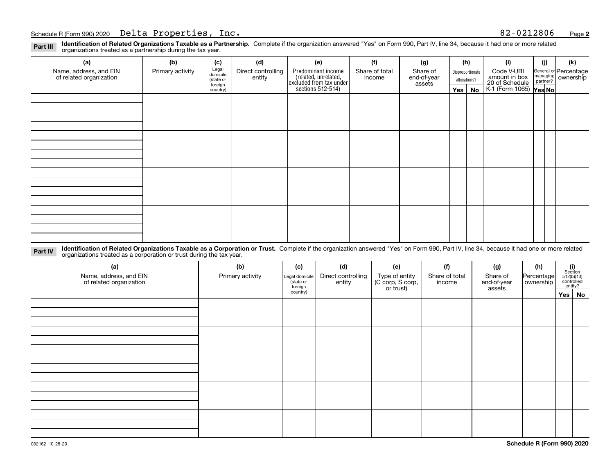**Identification of Related Organizations Taxable as a Partnership.** Complete if the organization answered "Yes" on Form 990, Part IV, line 34, because it had one or more related **Part III** organizations treated as a partnership during the tax year.

| (a)                                               | (b)              | (c)                  | (d)                          | (e)                                                                 | (f)                      | (g)                     |                  | (h)           | (i)                                      | (j) | (k)                   |
|---------------------------------------------------|------------------|----------------------|------------------------------|---------------------------------------------------------------------|--------------------------|-------------------------|------------------|---------------|------------------------------------------|-----|-----------------------|
| Name, address, and EIN<br>of related organization | Primary activity | Legal<br>domicile    | Direct controlling<br>entity | Predominant income                                                  | Share of total<br>income | Share of<br>end-of-year | Disproportionate |               | Code V-UBI<br>amount in box              |     | General or Percentage |
|                                                   |                  | (state or<br>foreign |                              | related, unrelated,<br>excluded from tax under<br>sections 512-514) |                          | assets                  |                  | allocations?  | 20 of Schedule<br>K-1 (Form 1065) Yes No |     | managing ownership    |
|                                                   |                  | country)             |                              |                                                                     |                          |                         |                  | $Yes \mid No$ |                                          |     |                       |
|                                                   |                  |                      |                              |                                                                     |                          |                         |                  |               |                                          |     |                       |
|                                                   |                  |                      |                              |                                                                     |                          |                         |                  |               |                                          |     |                       |
|                                                   |                  |                      |                              |                                                                     |                          |                         |                  |               |                                          |     |                       |
|                                                   |                  |                      |                              |                                                                     |                          |                         |                  |               |                                          |     |                       |
|                                                   |                  |                      |                              |                                                                     |                          |                         |                  |               |                                          |     |                       |
|                                                   |                  |                      |                              |                                                                     |                          |                         |                  |               |                                          |     |                       |
|                                                   |                  |                      |                              |                                                                     |                          |                         |                  |               |                                          |     |                       |
|                                                   |                  |                      |                              |                                                                     |                          |                         |                  |               |                                          |     |                       |
|                                                   |                  |                      |                              |                                                                     |                          |                         |                  |               |                                          |     |                       |
|                                                   |                  |                      |                              |                                                                     |                          |                         |                  |               |                                          |     |                       |
|                                                   |                  |                      |                              |                                                                     |                          |                         |                  |               |                                          |     |                       |
|                                                   |                  |                      |                              |                                                                     |                          |                         |                  |               |                                          |     |                       |
|                                                   |                  |                      |                              |                                                                     |                          |                         |                  |               |                                          |     |                       |
|                                                   |                  |                      |                              |                                                                     |                          |                         |                  |               |                                          |     |                       |
|                                                   |                  |                      |                              |                                                                     |                          |                         |                  |               |                                          |     |                       |
|                                                   |                  |                      |                              |                                                                     |                          |                         |                  |               |                                          |     |                       |
|                                                   |                  |                      |                              |                                                                     |                          |                         |                  |               |                                          |     |                       |

**Identification of Related Organizations Taxable as a Corporation or Trust.** Complete if the organization answered "Yes" on Form 990, Part IV, line 34, because it had one or more related **Part IV** organizations treated as a corporation or trust during the tax year.

| (a)<br>Name, address, and EIN<br>of related organization | (b)<br>Primary activity | (c)<br>Legal domicile<br>state or<br>foreign | (d)<br>Direct controlling<br>entity | (e)<br>Type of entity<br>(C corp, S corp,<br>or trust) | (f)<br>Share of total<br>income | (g)<br>Share of<br>end-of-year<br>assets | (h)<br>Percentage<br>ownership | $(i)$ Section<br>512(b)(13)<br>controlled<br>entity? |  |  |  |  |  |  |  |  |  |
|----------------------------------------------------------|-------------------------|----------------------------------------------|-------------------------------------|--------------------------------------------------------|---------------------------------|------------------------------------------|--------------------------------|------------------------------------------------------|--|--|--|--|--|--|--|--|--|
|                                                          |                         | country)                                     |                                     |                                                        |                                 |                                          |                                | Yes No                                               |  |  |  |  |  |  |  |  |  |
|                                                          |                         |                                              |                                     |                                                        |                                 |                                          |                                |                                                      |  |  |  |  |  |  |  |  |  |
|                                                          |                         |                                              |                                     |                                                        |                                 |                                          |                                |                                                      |  |  |  |  |  |  |  |  |  |
|                                                          |                         |                                              |                                     |                                                        |                                 |                                          |                                |                                                      |  |  |  |  |  |  |  |  |  |
|                                                          |                         |                                              |                                     |                                                        |                                 |                                          |                                |                                                      |  |  |  |  |  |  |  |  |  |
|                                                          |                         |                                              |                                     |                                                        |                                 |                                          |                                |                                                      |  |  |  |  |  |  |  |  |  |
|                                                          |                         |                                              |                                     |                                                        |                                 |                                          |                                |                                                      |  |  |  |  |  |  |  |  |  |
|                                                          |                         |                                              |                                     |                                                        |                                 |                                          |                                |                                                      |  |  |  |  |  |  |  |  |  |
|                                                          |                         |                                              |                                     |                                                        |                                 |                                          |                                |                                                      |  |  |  |  |  |  |  |  |  |
|                                                          |                         |                                              |                                     |                                                        |                                 |                                          |                                |                                                      |  |  |  |  |  |  |  |  |  |
|                                                          |                         |                                              |                                     |                                                        |                                 |                                          |                                |                                                      |  |  |  |  |  |  |  |  |  |
|                                                          |                         |                                              |                                     |                                                        |                                 |                                          |                                |                                                      |  |  |  |  |  |  |  |  |  |
|                                                          |                         |                                              |                                     |                                                        |                                 |                                          |                                |                                                      |  |  |  |  |  |  |  |  |  |
|                                                          |                         |                                              |                                     |                                                        |                                 |                                          |                                |                                                      |  |  |  |  |  |  |  |  |  |
|                                                          |                         |                                              |                                     |                                                        |                                 |                                          |                                |                                                      |  |  |  |  |  |  |  |  |  |
|                                                          |                         |                                              |                                     |                                                        |                                 |                                          |                                |                                                      |  |  |  |  |  |  |  |  |  |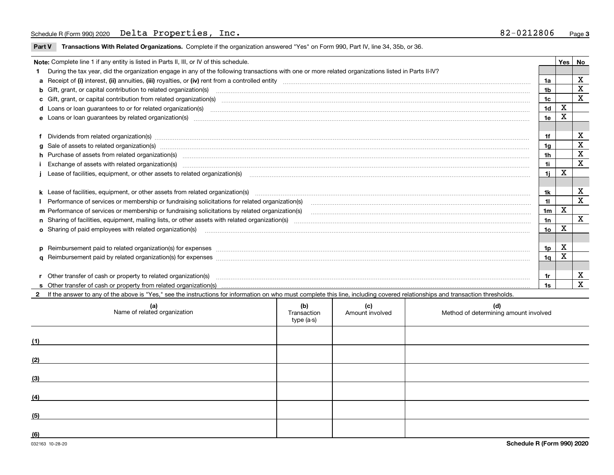**Part V** T**ransactions With Related Organizations.** Complete if the organization answered "Yes" on Form 990, Part IV, line 34, 35b, or 36.

| Note: Complete line 1 if any entity is listed in Parts II, III, or IV of this schedule.                                                                                                                                        |                | Yes | No          |
|--------------------------------------------------------------------------------------------------------------------------------------------------------------------------------------------------------------------------------|----------------|-----|-------------|
| 1 During the tax year, did the organization engage in any of the following transactions with one or more related organizations listed in Parts II-IV?                                                                          |                |     |             |
|                                                                                                                                                                                                                                | 1a             |     | X           |
| b Gift, grant, or capital contribution to related organization(s) material contracts and contribution to related organization(s)                                                                                               | 1b             |     | X           |
| c Gift, grant, or capital contribution from related organization(s) manufaction content to content and contribution from related organization(s) manufaction content and contribution from related organization(s) manufaction | 1c             |     | X           |
|                                                                                                                                                                                                                                | 1 <sub>d</sub> | X   |             |
|                                                                                                                                                                                                                                | 1e             | X   |             |
|                                                                                                                                                                                                                                |                |     |             |
| f Dividends from related organization(s) manufactured contains and contained a series of the contact of the contact of the contact of the contact of the contact of the contact of the contact of the contact of the contact o | 1f             |     | x           |
|                                                                                                                                                                                                                                | 1a             |     | X           |
| h Purchase of assets from related organization(s) material contents and content to content the content of the content of the content of the content of the content of the content of the content of the content of the content | 1 <sub>h</sub> |     | X           |
| Exchange of assets with related organization(s) www.assettion.com/www.assettion.com/www.assettion.com/www.assettion.com/www.assettion.com/www.assettion.com/www.assettion.com/www.assettion.com/www.assettion.com/www.assettio | 1i             |     | $\mathbf X$ |
|                                                                                                                                                                                                                                | 11             | X   |             |
|                                                                                                                                                                                                                                |                |     |             |
|                                                                                                                                                                                                                                | 1k             |     | X           |
|                                                                                                                                                                                                                                | 11             |     | X           |
| m Performance of services or membership or fundraising solicitations by related organization(s)                                                                                                                                | 1 <sub>m</sub> | X   |             |
|                                                                                                                                                                                                                                | 1n             |     | X           |
| <b>o</b> Sharing of paid employees with related organization(s)                                                                                                                                                                | 10             | X   |             |
|                                                                                                                                                                                                                                |                |     |             |
|                                                                                                                                                                                                                                | 1p             | X   |             |
|                                                                                                                                                                                                                                | 1q             | X   |             |
|                                                                                                                                                                                                                                |                |     |             |
| r Other transfer of cash or property to related organization(s)                                                                                                                                                                | 1r             |     | X           |
|                                                                                                                                                                                                                                | 1s             |     | X           |
| 2 If the answer to any of the above is "Yes," see the instructions for information on who must complete this line, including covered relationships and transaction thresholds.                                                 |                |     |             |

| (a)<br>Name of related organization | (b)<br>Transaction<br>type (a-s) | (c)<br>Amount involved | (d)<br>Method of determining amount involved |
|-------------------------------------|----------------------------------|------------------------|----------------------------------------------|
| (1)                                 |                                  |                        |                                              |
| (2)                                 |                                  |                        |                                              |
| (3)                                 |                                  |                        |                                              |
| (4)                                 |                                  |                        |                                              |
| (5)                                 |                                  |                        |                                              |
| (6)                                 |                                  |                        |                                              |

 $\overline{\phantom{a}}$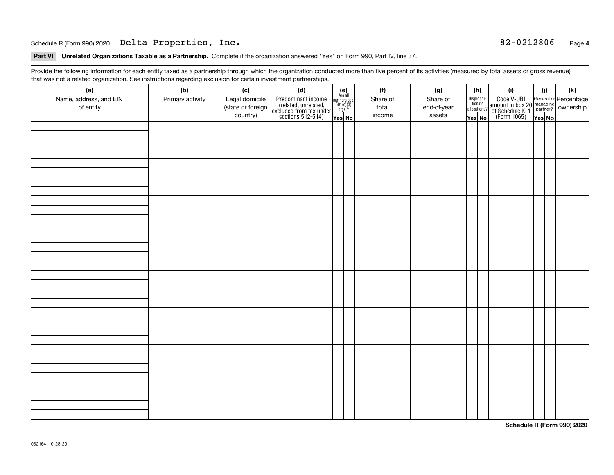#### Schedule R (Form 990) 2020 Page Delta Properties, Inc. 82-0212806

**Part VI Unrelated Organizations Taxable as a Partnership. Complete if the organization answered "Yes" on Form 990, Part IV, line 37.** 

Provide the following information for each entity taxed as a partnership through which the organization conducted more than five percent of its activities (measured by total assets or gross revenue) that was not a related organization. See instructions regarding exclusion for certain investment partnerships.

| (a)<br>Name, address, and EIN<br>of entity | ----- <del>-</del> --------<br>(b)<br>Primary activity | (c)<br>Legal domicile<br>(state or foreign<br>country) | (d)<br>Predominant income<br>(related, unrelated,<br>excluded from tax under<br>sections 512-514) | (e)<br>Are all<br>partners sec.<br>$501(c)(3)$<br>orgs.?<br>Yes No | (f)<br>Share of<br>total<br>income | (g)<br>Share of<br>end-of-year<br>assets | (h)<br>Dispropor-<br>tionate<br>allocations?<br>Yes No | (i)<br>Code V-UBI<br>  amount in box 20 managing<br>  of Schedule K-1 partner? ownership<br>  of Schedule K-1 partner? ownership<br>  Yes No | (i)<br>Yes No | (k) |
|--------------------------------------------|--------------------------------------------------------|--------------------------------------------------------|---------------------------------------------------------------------------------------------------|--------------------------------------------------------------------|------------------------------------|------------------------------------------|--------------------------------------------------------|----------------------------------------------------------------------------------------------------------------------------------------------|---------------|-----|
|                                            |                                                        |                                                        |                                                                                                   |                                                                    |                                    |                                          |                                                        |                                                                                                                                              |               |     |
|                                            |                                                        |                                                        |                                                                                                   |                                                                    |                                    |                                          |                                                        |                                                                                                                                              |               |     |
|                                            |                                                        |                                                        |                                                                                                   |                                                                    |                                    |                                          |                                                        |                                                                                                                                              |               |     |
|                                            |                                                        |                                                        |                                                                                                   |                                                                    |                                    |                                          |                                                        |                                                                                                                                              |               |     |
|                                            |                                                        |                                                        |                                                                                                   |                                                                    |                                    |                                          |                                                        |                                                                                                                                              |               |     |
|                                            |                                                        |                                                        |                                                                                                   |                                                                    |                                    |                                          |                                                        |                                                                                                                                              |               |     |
|                                            |                                                        |                                                        |                                                                                                   |                                                                    |                                    |                                          |                                                        |                                                                                                                                              |               |     |
|                                            |                                                        |                                                        |                                                                                                   |                                                                    |                                    |                                          |                                                        |                                                                                                                                              |               |     |

**Schedule R (Form 990) 2020**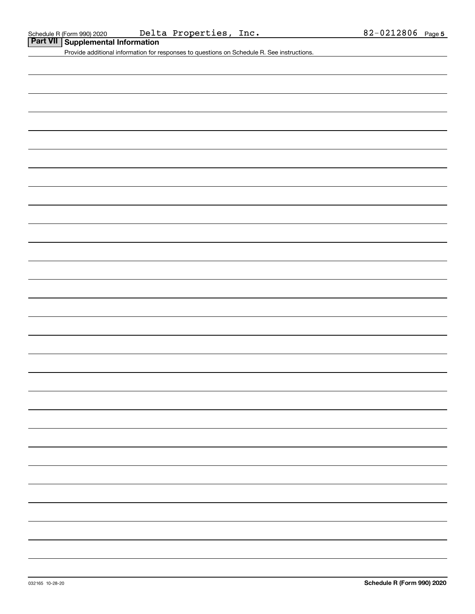| Part VII   Supplemental Information |
|-------------------------------------|
|                                     |

Provide additional information for responses to questions on Schedule R. See instructions.